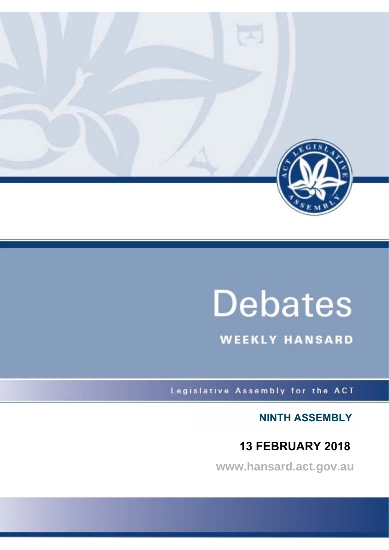

# **Debates**

**WEEKLY HANSARD** 

Legislative Assembly for the ACT

**NINTH ASSEMBLY**

# **13 FEBRUARY 2018**

**www.hansard.act.gov.au**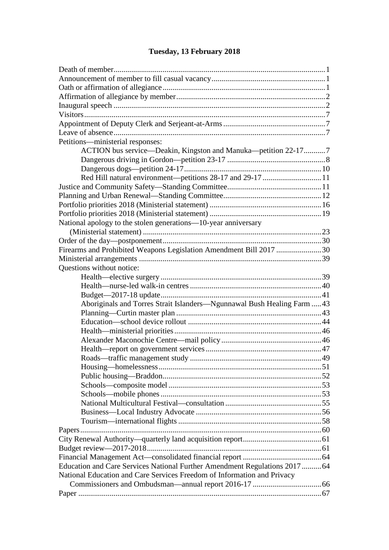#### [Death of member............................................................................................................1](#page-3-1) [Announcement of member to fill casual vacancy..........................................................1](#page-3-2) [Oath or affirmation of allegiance...................................................................................1](#page-3-3) [Affirmation of allegiance by member............................................................................2](#page-4-0) Inaugural speech [............................................................................................................2](#page-4-1) [Visitors...........................................................................................................................7](#page-9-0) [Appointment of Deputy Clerk and Serjeant-at-Arms....................................................7](#page-9-1) [Leave of absence............................................................................................................7](#page-9-2) [Petitions—ministerial responses:](#page-9-3) [ACTION bus service—Deakin, Kingston and Manuka—petition 22-17...........7](#page-9-4) [Dangerous driving in Gordon—petition 23-17](#page-10-0) ..................................................8 [Dangerous dogs—petition 24-17......................................................................10](#page-12-0) Red Hill [natural environment—petitions 28-17 and 29-17](#page-13-0) ..............................11 [Justice and Community Safety—Standing Committee................................................11](#page-13-1) [Planning and Urban Renewal—Standing Committee..................................................12](#page-14-0) [Portfolio priorities 2018](#page-18-0) (Ministerial statement) [.........................................................16](#page-18-1) [Portfolio priorities 2018](#page-21-0) (Ministerial statement) [.........................................................19](#page-21-1) [National apology to the stolen generations—10-year anniversary](#page-25-0) [\(M](#page-25-0)inisterial statement) [...........................................................................................23](#page-25-1) [Order of the day—postponement.................................................................................30](#page-32-0) [Firearms and Prohibited Weapons Legislation Amendment Bill 2017](#page-32-1) .......................30 Ministerial arrangements [.............................................................................................39](#page-41-0) [Questions without notice:](#page-41-1)  Health—elective surgery [..................................................................................39](#page-41-2) [Health—nurse-led walk-in centres...................................................................40](#page-42-0) [Budget—2017-18 update..................................................................................41](#page-43-0) [Aboriginals and Torres Strait Islanders—Ngunnawal Bush Healing Farm](#page-45-0) .....43 Planning—Curtin master plan [..........................................................................43](#page-45-1) Education—school device rollout [....................................................................44](#page-46-0) [Health—ministerial priorities...........................................................................46](#page-48-0) [Alexander Maconochie Centre—mail policy...................................................46](#page-48-1) [Health—report on government services...........................................................47](#page-49-0) Roads—traffic management study [...................................................................49](#page-51-0) [Housing—homelessness...................................................................................51](#page-53-0) [Public housing—Braddon.................................................................................52](#page-54-0) Schools—composite model [..............................................................................53](#page-55-0) [Schools—mobile phones..................................................................................53](#page-55-1) [National Multicultural Festival—consultation](#page-57-0) .................................................55 Business—Local Industry Advocate [................................................................56](#page-58-0) [Tourism—international flights.........................................................................58](#page-60-0) [Papers...........................................................................................................................60](#page-62-0) [City Renewal Authority—quarterly land acquisition report........................................61](#page-63-0) [Budget review—2017-2018.........................................................................................61](#page-63-1) [Financial Management Act—consolidated financial report](#page-66-0) ........................................64 [Education and Care Services National Further Amendment Regulations 2017](#page-66-1) ..........64 [National Education and Care Services Freedom of Information and Privacy](#page-68-0)  [Commissioners and Ombudsman—annual report 2016-17](#page-68-0) ...................................66 Paper [............................................................................................................................67](#page-69-0)

#### **[Tuesday, 13 February 2018](#page-3-0)**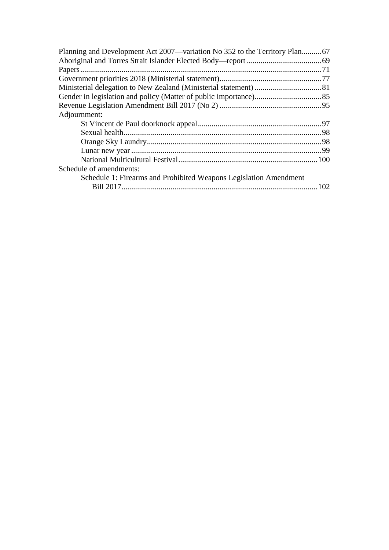| Adjournment:                                                      |  |
|-------------------------------------------------------------------|--|
|                                                                   |  |
|                                                                   |  |
|                                                                   |  |
|                                                                   |  |
|                                                                   |  |
| Schedule of amendments:                                           |  |
| Schedule 1: Firearms and Prohibited Weapons Legislation Amendment |  |
|                                                                   |  |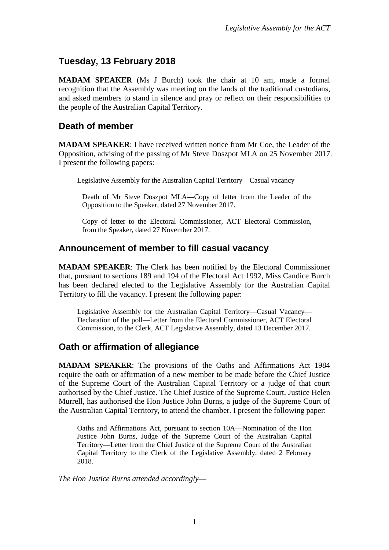# <span id="page-3-0"></span>**Tuesday, 13 February 2018**

**MADAM SPEAKER** (Ms J Burch) took the chair at 10 am, made a formal recognition that the Assembly was meeting on the lands of the traditional custodians, and asked members to stand in silence and pray or reflect on their responsibilities to the people of the Australian Capital Territory.

# <span id="page-3-1"></span>**Death of member**

**MADAM SPEAKER**: I have received written notice from Mr Coe, the Leader of the Opposition, advising of the passing of Mr Steve Doszpot MLA on 25 November 2017. I present the following papers:

Legislative Assembly for the Australian Capital Territory—Casual vacancy—

Death of Mr Steve Doszpot MLA—Copy of letter from the Leader of the Opposition to the Speaker, dated 27 November 2017.

Copy of letter to the Electoral Commissioner, ACT Electoral Commission, from the Speaker, dated 27 November 2017.

# <span id="page-3-2"></span>**Announcement of member to fill casual vacancy**

**MADAM SPEAKER**: The Clerk has been notified by the Electoral Commissioner that, pursuant to sections 189 and 194 of the Electoral Act 1992, Miss Candice Burch has been declared elected to the Legislative Assembly for the Australian Capital Territory to fill the vacancy. I present the following paper:

Legislative Assembly for the Australian Capital Territory—Casual Vacancy— Declaration of the poll—Letter from the Electoral Commissioner, ACT Electoral Commission, to the Clerk, ACT Legislative Assembly, dated 13 December 2017.

# <span id="page-3-3"></span>**Oath or affirmation of allegiance**

**MADAM SPEAKER**: The provisions of the Oaths and Affirmations Act 1984 require the oath or affirmation of a new member to be made before the Chief Justice of the Supreme Court of the Australian Capital Territory or a judge of that court authorised by the Chief Justice. The Chief Justice of the Supreme Court, Justice Helen Murrell, has authorised the Hon Justice John Burns, a judge of the Supreme Court of the Australian Capital Territory, to attend the chamber. I present the following paper:

Oaths and Affirmations Act, pursuant to section 10A—Nomination of the Hon Justice John Burns, Judge of the Supreme Court of the Australian Capital Territory—Letter from the Chief Justice of the Supreme Court of the Australian Capital Territory to the Clerk of the Legislative Assembly, dated 2 February 2018.

*The Hon Justice Burns attended accordingly*—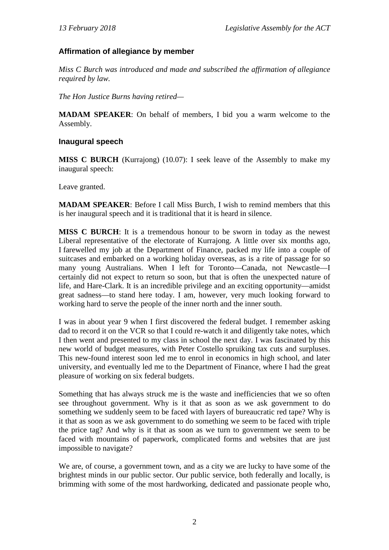#### <span id="page-4-0"></span>**Affirmation of allegiance by member**

*Miss C Burch was introduced and made and subscribed the affirmation of allegiance required by law.*

*The Hon Justice Burns having retired—*

**MADAM SPEAKER**: On behalf of members, I bid you a warm welcome to the Assembly.

#### <span id="page-4-1"></span>**Inaugural speech**

**MISS C BURCH** (Kurrajong) (10.07): I seek leave of the Assembly to make my inaugural speech:

Leave granted.

**MADAM SPEAKER**: Before I call Miss Burch, I wish to remind members that this is her inaugural speech and it is traditional that it is heard in silence.

**MISS C BURCH**: It is a tremendous honour to be sworn in today as the newest Liberal representative of the electorate of Kurrajong. A little over six months ago, I farewelled my job at the Department of Finance, packed my life into a couple of suitcases and embarked on a working holiday overseas, as is a rite of passage for so many young Australians. When I left for Toronto—Canada, not Newcastle—I certainly did not expect to return so soon, but that is often the unexpected nature of life, and Hare-Clark. It is an incredible privilege and an exciting opportunity—amidst great sadness—to stand here today. I am, however, very much looking forward to working hard to serve the people of the inner north and the inner south.

I was in about year 9 when I first discovered the federal budget. I remember asking dad to record it on the VCR so that I could re-watch it and diligently take notes, which I then went and presented to my class in school the next day. I was fascinated by this new world of budget measures, with Peter Costello spruiking tax cuts and surpluses. This new-found interest soon led me to enrol in economics in high school, and later university, and eventually led me to the Department of Finance, where I had the great pleasure of working on six federal budgets.

Something that has always struck me is the waste and inefficiencies that we so often see throughout government. Why is it that as soon as we ask government to do something we suddenly seem to be faced with layers of bureaucratic red tape? Why is it that as soon as we ask government to do something we seem to be faced with triple the price tag? And why is it that as soon as we turn to government we seem to be faced with mountains of paperwork, complicated forms and websites that are just impossible to navigate?

We are, of course, a government town, and as a city we are lucky to have some of the brightest minds in our public sector. Our public service, both federally and locally, is brimming with some of the most hardworking, dedicated and passionate people who,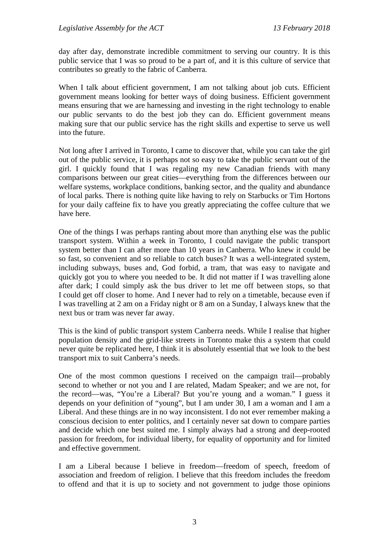day after day, demonstrate incredible commitment to serving our country. It is this public service that I was so proud to be a part of, and it is this culture of service that contributes so greatly to the fabric of Canberra.

When I talk about efficient government, I am not talking about job cuts. Efficient government means looking for better ways of doing business. Efficient government means ensuring that we are harnessing and investing in the right technology to enable our public servants to do the best job they can do. Efficient government means making sure that our public service has the right skills and expertise to serve us well into the future.

Not long after I arrived in Toronto, I came to discover that, while you can take the girl out of the public service, it is perhaps not so easy to take the public servant out of the girl. I quickly found that I was regaling my new Canadian friends with many comparisons between our great cities—everything from the differences between our welfare systems, workplace conditions, banking sector, and the quality and abundance of local parks. There is nothing quite like having to rely on Starbucks or Tim Hortons for your daily caffeine fix to have you greatly appreciating the coffee culture that we have here.

One of the things I was perhaps ranting about more than anything else was the public transport system. Within a week in Toronto, I could navigate the public transport system better than I can after more than 10 years in Canberra. Who knew it could be so fast, so convenient and so reliable to catch buses? It was a well-integrated system, including subways, buses and, God forbid, a tram, that was easy to navigate and quickly got you to where you needed to be. It did not matter if I was travelling alone after dark; I could simply ask the bus driver to let me off between stops, so that I could get off closer to home. And I never had to rely on a timetable, because even if I was travelling at 2 am on a Friday night or 8 am on a Sunday, I always knew that the next bus or tram was never far away.

This is the kind of public transport system Canberra needs. While I realise that higher population density and the grid-like streets in Toronto make this a system that could never quite be replicated here, I think it is absolutely essential that we look to the best transport mix to suit Canberra's needs.

One of the most common questions I received on the campaign trail—probably second to whether or not you and I are related, Madam Speaker; and we are not, for the record—was, "You're a Liberal? But you're young and a woman." I guess it depends on your definition of "young", but I am under 30, I am a woman and I am a Liberal. And these things are in no way inconsistent. I do not ever remember making a conscious decision to enter politics, and I certainly never sat down to compare parties and decide which one best suited me. I simply always had a strong and deep-rooted passion for freedom, for individual liberty, for equality of opportunity and for limited and effective government.

I am a Liberal because I believe in freedom—freedom of speech, freedom of association and freedom of religion. I believe that this freedom includes the freedom to offend and that it is up to society and not government to judge those opinions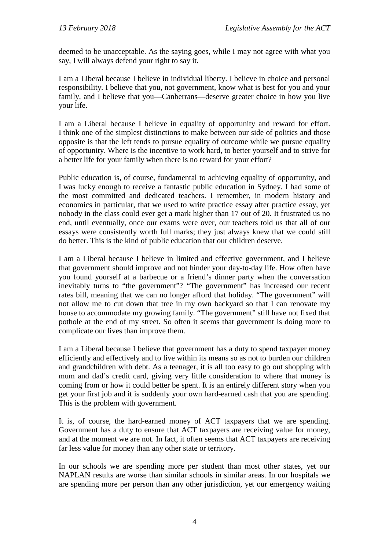deemed to be unacceptable. As the saying goes, while I may not agree with what you say, I will always defend your right to say it.

I am a Liberal because I believe in individual liberty. I believe in choice and personal responsibility. I believe that you, not government, know what is best for you and your family, and I believe that you—Canberrans—deserve greater choice in how you live your life.

I am a Liberal because I believe in equality of opportunity and reward for effort. I think one of the simplest distinctions to make between our side of politics and those opposite is that the left tends to pursue equality of outcome while we pursue equality of opportunity. Where is the incentive to work hard, to better yourself and to strive for a better life for your family when there is no reward for your effort?

Public education is, of course, fundamental to achieving equality of opportunity, and I was lucky enough to receive a fantastic public education in Sydney. I had some of the most committed and dedicated teachers. I remember, in modern history and economics in particular, that we used to write practice essay after practice essay, yet nobody in the class could ever get a mark higher than 17 out of 20. It frustrated us no end, until eventually, once our exams were over, our teachers told us that all of our essays were consistently worth full marks; they just always knew that we could still do better. This is the kind of public education that our children deserve.

I am a Liberal because I believe in limited and effective government, and I believe that government should improve and not hinder your day-to-day life. How often have you found yourself at a barbecue or a friend's dinner party when the conversation inevitably turns to "the government"? "The government" has increased our recent rates bill, meaning that we can no longer afford that holiday. "The government" will not allow me to cut down that tree in my own backyard so that I can renovate my house to accommodate my growing family. "The government" still have not fixed that pothole at the end of my street. So often it seems that government is doing more to complicate our lives than improve them.

I am a Liberal because I believe that government has a duty to spend taxpayer money efficiently and effectively and to live within its means so as not to burden our children and grandchildren with debt. As a teenager, it is all too easy to go out shopping with mum and dad's credit card, giving very little consideration to where that money is coming from or how it could better be spent. It is an entirely different story when you get your first job and it is suddenly your own hard-earned cash that you are spending. This is the problem with government.

It is, of course, the hard-earned money of ACT taxpayers that we are spending. Government has a duty to ensure that ACT taxpayers are receiving value for money, and at the moment we are not. In fact, it often seems that ACT taxpayers are receiving far less value for money than any other state or territory.

In our schools we are spending more per student than most other states, yet our NAPLAN results are worse than similar schools in similar areas. In our hospitals we are spending more per person than any other jurisdiction, yet our emergency waiting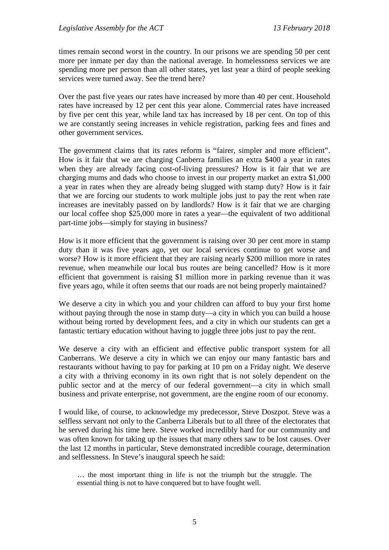times remain second worst in the country. In our prisons we are spending 50 per cent more per inmate per day than the national average. In homelessness services we are spending more per person than all other states, yet last year a third of people seeking services were turned away. See the trend here?

Over the past five years our rates have increased by more than 40 per cent. Household rates have increased by 12 per cent this year alone. Commercial rates have increased by five per cent this year, while land tax has increased by 18 per cent. On top of this we are constantly seeing increases in vehicle registration, parking fees and fines and other government services.

The government claims that its rates reform is "fairer, simpler and more efficient". How is it fair that we are charging Canberra families an extra \$400 a year in rates when they are already facing cost-of-living pressures? How is it fair that we are charging mums and dads who choose to invest in our property market an extra \$1,000 a year in rates when they are already being slugged with stamp duty? How is it fair that we are forcing our students to work multiple jobs just to pay the rent when rate increases are inevitably passed on by landlords? How is it fair that we are charging our local coffee shop \$25,000 more in rates a year—the equivalent of two additional part-time jobs—simply for staying in business?

How is it more efficient that the government is raising over 30 per cent more in stamp duty than it was five years ago, yet our local services continue to get worse and worse? How is it more efficient that they are raising nearly \$200 million more in rates revenue, when meanwhile our local bus routes are being cancelled? How is it more efficient that government is raising \$1 million more in parking revenue than it was five years ago, while it often seems that our roads are not being properly maintained?

We deserve a city in which you and your children can afford to buy your first home without paying through the nose in stamp duty—a city in which you can build a house without being rorted by development fees, and a city in which our students can get a fantastic tertiary education without having to juggle three jobs just to pay the rent.

We deserve a city with an efficient and effective public transport system for all Canberrans. We deserve a city in which we can enjoy our many fantastic bars and restaurants without having to pay for parking at 10 pm on a Friday night. We deserve a city with a thriving economy in its own right that is not solely dependent on the public sector and at the mercy of our federal government—a city in which small business and private enterprise, not government, are the engine room of our economy.

I would like, of course, to acknowledge my predecessor, Steve Doszpot. Steve was a selfless servant not only to the Canberra Liberals but to all three of the electorates that he served during his time here. Steve worked incredibly hard for our community and was often known for taking up the issues that many others saw to be lost causes. Over the last 12 months in particular, Steve demonstrated incredible courage, determination and selflessness. In Steve's inaugural speech he said:

<sup>…</sup> the most important thing in life is not the triumph but the struggle. The essential thing is not to have conquered but to have fought well.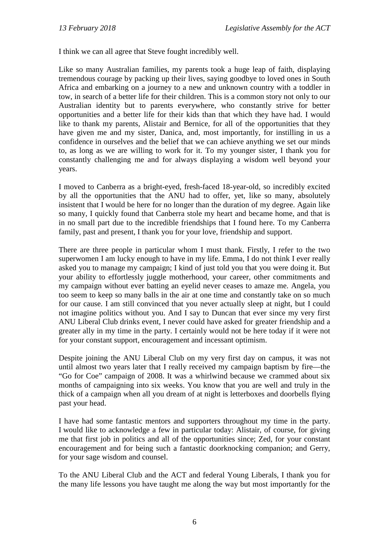I think we can all agree that Steve fought incredibly well.

Like so many Australian families, my parents took a huge leap of faith, displaying tremendous courage by packing up their lives, saying goodbye to loved ones in South Africa and embarking on a journey to a new and unknown country with a toddler in tow, in search of a better life for their children. This is a common story not only to our Australian identity but to parents everywhere, who constantly strive for better opportunities and a better life for their kids than that which they have had. I would like to thank my parents, Alistair and Bernice, for all of the opportunities that they have given me and my sister, Danica, and, most importantly, for instilling in us a confidence in ourselves and the belief that we can achieve anything we set our minds to, as long as we are willing to work for it. To my younger sister, I thank you for constantly challenging me and for always displaying a wisdom well beyond your years.

I moved to Canberra as a bright-eyed, fresh-faced 18-year-old, so incredibly excited by all the opportunities that the ANU had to offer, yet, like so many, absolutely insistent that I would be here for no longer than the duration of my degree. Again like so many, I quickly found that Canberra stole my heart and became home, and that is in no small part due to the incredible friendships that I found here. To my Canberra family, past and present, I thank you for your love, friendship and support.

There are three people in particular whom I must thank. Firstly, I refer to the two superwomen I am lucky enough to have in my life. Emma, I do not think I ever really asked you to manage my campaign; I kind of just told you that you were doing it. But your ability to effortlessly juggle motherhood, your career, other commitments and my campaign without ever batting an eyelid never ceases to amaze me. Angela, you too seem to keep so many balls in the air at one time and constantly take on so much for our cause. I am still convinced that you never actually sleep at night, but I could not imagine politics without you. And I say to Duncan that ever since my very first ANU Liberal Club drinks event, I never could have asked for greater friendship and a greater ally in my time in the party. I certainly would not be here today if it were not for your constant support, encouragement and incessant optimism.

Despite joining the ANU Liberal Club on my very first day on campus, it was not until almost two years later that I really received my campaign baptism by fire—the "Go for Coe" campaign of 2008. It was a whirlwind because we crammed about six months of campaigning into six weeks. You know that you are well and truly in the thick of a campaign when all you dream of at night is letterboxes and doorbells flying past your head.

I have had some fantastic mentors and supporters throughout my time in the party. I would like to acknowledge a few in particular today: Alistair, of course, for giving me that first job in politics and all of the opportunities since; Zed, for your constant encouragement and for being such a fantastic doorknocking companion; and Gerry, for your sage wisdom and counsel.

To the ANU Liberal Club and the ACT and federal Young Liberals, I thank you for the many life lessons you have taught me along the way but most importantly for the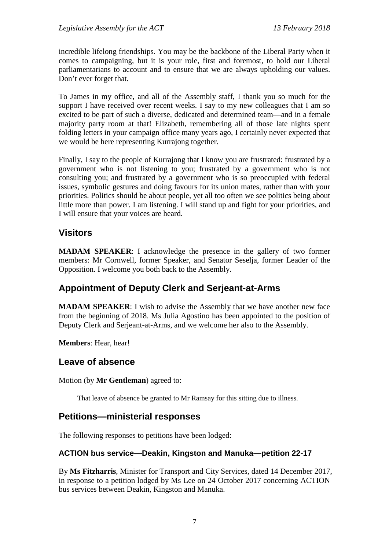incredible lifelong friendships. You may be the backbone of the Liberal Party when it comes to campaigning, but it is your role, first and foremost, to hold our Liberal parliamentarians to account and to ensure that we are always upholding our values. Don't ever forget that.

To James in my office, and all of the Assembly staff, I thank you so much for the support I have received over recent weeks. I say to my new colleagues that I am so excited to be part of such a diverse, dedicated and determined team—and in a female majority party room at that! Elizabeth, remembering all of those late nights spent folding letters in your campaign office many years ago, I certainly never expected that we would be here representing Kurrajong together.

Finally, I say to the people of Kurrajong that I know you are frustrated: frustrated by a government who is not listening to you; frustrated by a government who is not consulting you; and frustrated by a government who is so preoccupied with federal issues, symbolic gestures and doing favours for its union mates, rather than with your priorities. Politics should be about people, yet all too often we see politics being about little more than power. I am listening. I will stand up and fight for your priorities, and I will ensure that your voices are heard.

# <span id="page-9-0"></span>**Visitors**

**MADAM SPEAKER**: I acknowledge the presence in the gallery of two former members: Mr Cornwell, former Speaker, and Senator Seselja, former Leader of the Opposition. I welcome you both back to the Assembly.

# <span id="page-9-1"></span>**Appointment of Deputy Clerk and Serjeant-at-Arms**

**MADAM SPEAKER**: I wish to advise the Assembly that we have another new face from the beginning of 2018. Ms Julia Agostino has been appointed to the position of Deputy Clerk and Serjeant-at-Arms, and we welcome her also to the Assembly.

**Members**: Hear, hear!

# <span id="page-9-2"></span>**Leave of absence**

Motion (by **Mr Gentleman**) agreed to:

That leave of absence be granted to Mr Ramsay for this sitting due to illness.

# <span id="page-9-3"></span>**Petitions—ministerial responses**

The following responses to petitions have been lodged:

#### <span id="page-9-4"></span>**ACTION bus service—Deakin, Kingston and Manuka—petition 22-17**

By **Ms Fitzharris**, Minister for Transport and City Services, dated 14 December 2017, in response to a petition lodged by Ms Lee on 24 October 2017 concerning ACTION bus services between Deakin, Kingston and Manuka.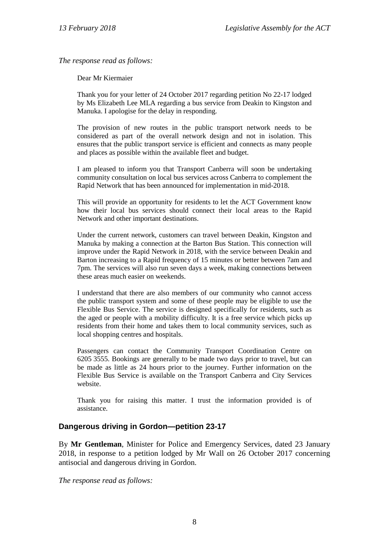*The response read as follows:*

Dear Mr Kiermaier

Thank you for your letter of 24 October 2017 regarding petition No 22-17 lodged by Ms Elizabeth Lee MLA regarding a bus service from Deakin to Kingston and Manuka. I apologise for the delay in responding.

The provision of new routes in the public transport network needs to be considered as part of the overall network design and not in isolation. This ensures that the public transport service is efficient and connects as many people and places as possible within the available fleet and budget.

I am pleased to inform you that Transport Canberra will soon be undertaking community consultation on local bus services across Canberra to complement the Rapid Network that has been announced for implementation in mid-2018.

This will provide an opportunity for residents to let the ACT Government know how their local bus services should connect their local areas to the Rapid Network and other important destinations.

Under the current network, customers can travel between Deakin, Kingston and Manuka by making a connection at the Barton Bus Station. This connection will improve under the Rapid Network in 2018, with the service between Deakin and Barton increasing to a Rapid frequency of 15 minutes or better between 7am and 7pm. The services will also run seven days a week, making connections between these areas much easier on weekends.

I understand that there are also members of our community who cannot access the public transport system and some of these people may be eligible to use the Flexible Bus Service. The service is designed specifically for residents, such as the aged or people with a mobility difficulty. It is a free service which picks up residents from their home and takes them to local community services, such as local shopping centres and hospitals.

Passengers can contact the Community Transport Coordination Centre on 6205 3555. Bookings are generally to be made two days prior to travel, but can be made as little as 24 hours prior to the journey. Further information on the Flexible Bus Service is available on the Transport Canberra and City Services website.

Thank you for raising this matter. I trust the information provided is of assistance.

#### <span id="page-10-0"></span>**Dangerous driving in Gordon—petition 23-17**

By **Mr Gentleman**, Minister for Police and Emergency Services, dated 23 January 2018, in response to a petition lodged by Mr Wall on 26 October 2017 concerning antisocial and dangerous driving in Gordon.

*The response read as follows:*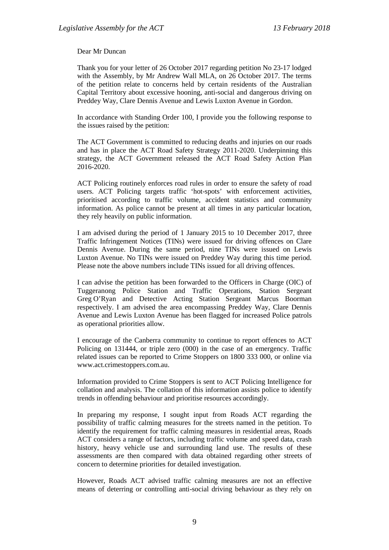Dear Mr Duncan

Thank you for your letter of 26 October 2017 regarding petition No 23-17 lodged with the Assembly, by Mr Andrew Wall MLA, on 26 October 2017. The terms of the petition relate to concerns held by certain residents of the Australian Capital Territory about excessive hooning, anti-social and dangerous driving on Preddey Way, Clare Dennis Avenue and Lewis Luxton Avenue in Gordon.

In accordance with Standing Order 100, I provide you the following response to the issues raised by the petition:

The ACT Government is committed to reducing deaths and injuries on our roads and has in place the ACT Road Safety Strategy 2011-2020. Underpinning this strategy, the ACT Government released the ACT Road Safety Action Plan 2016-2020.

ACT Policing routinely enforces road rules in order to ensure the safety of road users. ACT Policing targets traffic 'hot-spots' with enforcement activities, prioritised according to traffic volume, accident statistics and community information. As police cannot be present at all times in any particular location, they rely heavily on public information.

I am advised during the period of 1 January 2015 to 10 December 2017, three Traffic Infringement Notices (TINs) were issued for driving offences on Clare Dennis Avenue. During the same period, nine TINs were issued on Lewis Luxton Avenue. No TINs were issued on Preddey Way during this time period. Please note the above numbers include TINs issued for all driving offences.

I can advise the petition has been forwarded to the Officers in Charge (OIC) of Tuggeranong Police Station and Traffic Operations, Station Sergeant Greg O'Ryan and Detective Acting Station Sergeant Marcus Boorman respectively. I am advised the area encompassing Preddey Way, Clare Dennis Avenue and Lewis Luxton Avenue has been flagged for increased Police patrols as operational priorities allow.

I encourage of the Canberra community to continue to report offences to ACT Policing on 131444, or triple zero (000) in the case of an emergency. Traffic related issues can be reported to Crime Stoppers on 1800 333 000, or online via www.act.crimestoppers.com.au.

Information provided to Crime Stoppers is sent to ACT Policing Intelligence for collation and analysis. The collation of this information assists police to identify trends in offending behaviour and prioritise resources accordingly.

In preparing my response, I sought input from Roads ACT regarding the possibility of traffic calming measures for the streets named in the petition. To identify the requirement for traffic calming measures in residential areas, Roads ACT considers a range of factors, including traffic volume and speed data, crash history, heavy vehicle use and surrounding land use. The results of these assessments are then compared with data obtained regarding other streets of concern to determine priorities for detailed investigation.

However, Roads ACT advised traffic calming measures are not an effective means of deterring or controlling anti-social driving behaviour as they rely on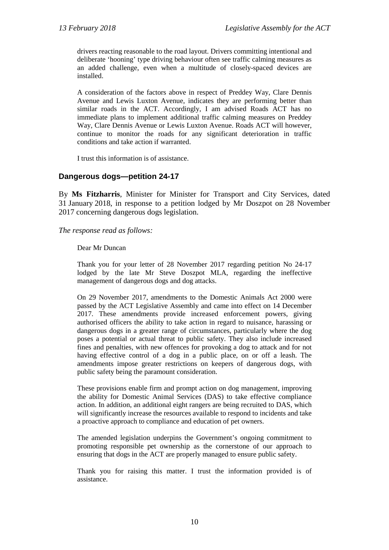drivers reacting reasonable to the road layout. Drivers committing intentional and deliberate 'hooning' type driving behaviour often see traffic calming measures as an added challenge, even when a multitude of closely-spaced devices are installed.

A consideration of the factors above in respect of Preddey Way, Clare Dennis Avenue and Lewis Luxton Avenue, indicates they are performing better than similar roads in the ACT. Accordingly, I am advised Roads ACT has no immediate plans to implement additional traffic calming measures on Preddey Way, Clare Dennis Avenue or Lewis Luxton Avenue. Roads ACT will however, continue to monitor the roads for any significant deterioration in traffic conditions and take action if warranted.

I trust this information is of assistance.

#### <span id="page-12-0"></span>**Dangerous dogs—petition 24-17**

By **Ms Fitzharris**, Minister for Minister for Transport and City Services, dated 31 January 2018, in response to a petition lodged by Mr Doszpot on 28 November 2017 concerning dangerous dogs legislation.

*The response read as follows:*

Dear Mr Duncan

Thank you for your letter of 28 November 2017 regarding petition No 24-17 lodged by the late Mr Steve Doszpot MLA, regarding the ineffective management of dangerous dogs and dog attacks.

On 29 November 2017, amendments to the Domestic Animals Act 2000 were passed by the ACT Legislative Assembly and came into effect on 14 December 2017. These amendments provide increased enforcement powers, giving authorised officers the ability to take action in regard to nuisance, harassing or dangerous dogs in a greater range of circumstances, particularly where the dog poses a potential or actual threat to public safety. They also include increased fines and penalties, with new offences for provoking a dog to attack and for not having effective control of a dog in a public place, on or off a leash. The amendments impose greater restrictions on keepers of dangerous dogs, with public safety being the paramount consideration.

These provisions enable firm and prompt action on dog management, improving the ability for Domestic Animal Services (DAS) to take effective compliance action. In addition, an additional eight rangers are being recruited to DAS, which will significantly increase the resources available to respond to incidents and take a proactive approach to compliance and education of pet owners.

The amended legislation underpins the Government's ongoing commitment to promoting responsible pet ownership as the cornerstone of our approach to ensuring that dogs in the ACT are properly managed to ensure public safety.

Thank you for raising this matter. I trust the information provided is of assistance.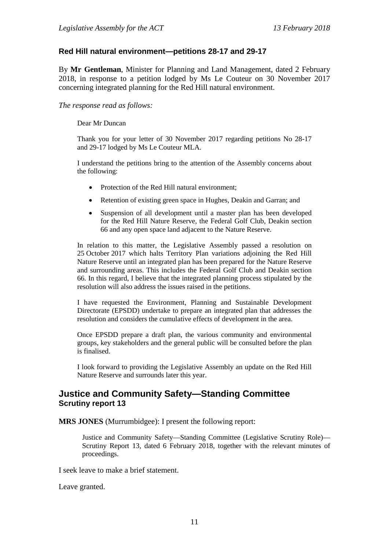#### <span id="page-13-0"></span>**Red Hill natural environment—petitions 28-17 and 29-17**

By **Mr Gentleman**, Minister for Planning and Land Management, dated 2 February 2018, in response to a petition lodged by Ms Le Couteur on 30 November 2017 concerning integrated planning for the Red Hill natural environment.

*The response read as follows:*

Dear Mr Duncan

Thank you for your letter of 30 November 2017 regarding petitions No 28-17 and 29-17 lodged by Ms Le Couteur MLA.

I understand the petitions bring to the attention of the Assembly concerns about the following:

- Protection of the Red Hill natural environment;
- Retention of existing green space in Hughes, Deakin and Garran; and
- Suspension of all development until a master plan has been developed for the Red Hill Nature Reserve, the Federal Golf Club, Deakin section 66 and any open space land adjacent to the Nature Reserve.

In relation to this matter, the Legislative Assembly passed a resolution on 25 October 2017 which halts Territory Plan variations adjoining the Red Hill Nature Reserve until an integrated plan has been prepared for the Nature Reserve and surrounding areas. This includes the Federal Golf Club and Deakin section 66. In this regard, I believe that the integrated planning process stipulated by the resolution will also address the issues raised in the petitions.

I have requested the Environment, Planning and Sustainable Development Directorate (EPSDD) undertake to prepare an integrated plan that addresses the resolution and considers the cumulative effects of development in the area.

Once EPSDD prepare a draft plan, the various community and environmental groups, key stakeholders and the general public will be consulted before the plan is finalised.

I look forward to providing the Legislative Assembly an update on the Red Hill Nature Reserve and surrounds later this year.

#### <span id="page-13-1"></span>**Justice and Community Safety—Standing Committee Scrutiny report 13**

**MRS JONES** (Murrumbidgee): I present the following report:

Justice and Community Safety—Standing Committee (Legislative Scrutiny Role)— Scrutiny Report 13*,* dated 6 February 2018, together with the relevant minutes of proceedings.

I seek leave to make a brief statement.

Leave granted.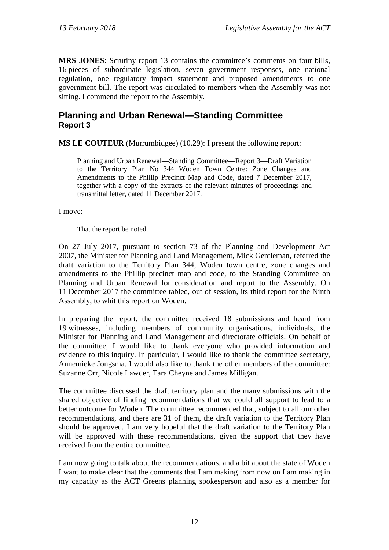**MRS JONES**: Scrutiny report 13 contains the committee's comments on four bills, 16 pieces of subordinate legislation, seven government responses, one national regulation, one regulatory impact statement and proposed amendments to one government bill. The report was circulated to members when the Assembly was not sitting. I commend the report to the Assembly.

### <span id="page-14-0"></span>**Planning and Urban Renewal—Standing Committee Report 3**

**MS LE COUTEUR** (Murrumbidgee) (10.29): I present the following report:

Planning and Urban Renewal—Standing Committee—Report 3—Draft Variation to the Territory Plan No 344 Woden Town Centre: Zone Changes and Amendments to the Phillip Precinct Map and Code, dated 7 December 2017, together with a copy of the extracts of the relevant minutes of proceedings and transmittal letter, dated 11 December 2017.

I move:

That the report be noted.

On 27 July 2017, pursuant to section 73 of the Planning and Development Act 2007, the Minister for Planning and Land Management, Mick Gentleman, referred the draft variation to the Territory Plan 344, Woden town centre, zone changes and amendments to the Phillip precinct map and code, to the Standing Committee on Planning and Urban Renewal for consideration and report to the Assembly. On 11 December 2017 the committee tabled, out of session, its third report for the Ninth Assembly, to whit this report on Woden.

In preparing the report, the committee received 18 submissions and heard from 19 witnesses, including members of community organisations, individuals, the Minister for Planning and Land Management and directorate officials. On behalf of the committee, I would like to thank everyone who provided information and evidence to this inquiry. In particular, I would like to thank the committee secretary, Annemieke Jongsma. I would also like to thank the other members of the committee: Suzanne Orr, Nicole Lawder, Tara Cheyne and James Milligan.

The committee discussed the draft territory plan and the many submissions with the shared objective of finding recommendations that we could all support to lead to a better outcome for Woden. The committee recommended that, subject to all our other recommendations, and there are 31 of them, the draft variation to the Territory Plan should be approved. I am very hopeful that the draft variation to the Territory Plan will be approved with these recommendations, given the support that they have received from the entire committee.

I am now going to talk about the recommendations, and a bit about the state of Woden. I want to make clear that the comments that I am making from now on I am making in my capacity as the ACT Greens planning spokesperson and also as a member for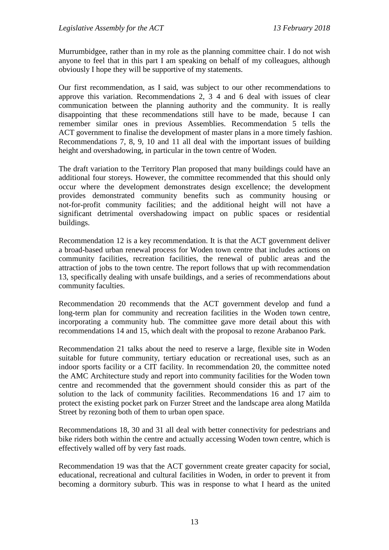Murrumbidgee, rather than in my role as the planning committee chair. I do not wish anyone to feel that in this part I am speaking on behalf of my colleagues, although obviously I hope they will be supportive of my statements.

Our first recommendation, as I said, was subject to our other recommendations to approve this variation. Recommendations 2, 3 4 and 6 deal with issues of clear communication between the planning authority and the community. It is really disappointing that these recommendations still have to be made, because I can remember similar ones in previous Assemblies. Recommendation 5 tells the ACT government to finalise the development of master plans in a more timely fashion. Recommendations 7, 8, 9, 10 and 11 all deal with the important issues of building height and overshadowing, in particular in the town centre of Woden.

The draft variation to the Territory Plan proposed that many buildings could have an additional four storeys. However, the committee recommended that this should only occur where the development demonstrates design excellence; the development provides demonstrated community benefits such as community housing or not-for-profit community facilities; and the additional height will not have a significant detrimental overshadowing impact on public spaces or residential buildings.

Recommendation 12 is a key recommendation. It is that the ACT government deliver a broad-based urban renewal process for Woden town centre that includes actions on community facilities, recreation facilities, the renewal of public areas and the attraction of jobs to the town centre. The report follows that up with recommendation 13, specifically dealing with unsafe buildings, and a series of recommendations about community faculties.

Recommendation 20 recommends that the ACT government develop and fund a long-term plan for community and recreation facilities in the Woden town centre, incorporating a community hub. The committee gave more detail about this with recommendations 14 and 15, which dealt with the proposal to rezone Arabanoo Park.

Recommendation 21 talks about the need to reserve a large, flexible site in Woden suitable for future community, tertiary education or recreational uses, such as an indoor sports facility or a CIT facility. In recommendation 20, the committee noted the AMC Architecture study and report into community facilities for the Woden town centre and recommended that the government should consider this as part of the solution to the lack of community facilities. Recommendations 16 and 17 aim to protect the existing pocket park on Furzer Street and the landscape area along Matilda Street by rezoning both of them to urban open space.

Recommendations 18, 30 and 31 all deal with better connectivity for pedestrians and bike riders both within the centre and actually accessing Woden town centre, which is effectively walled off by very fast roads.

Recommendation 19 was that the ACT government create greater capacity for social, educational, recreational and cultural facilities in Woden, in order to prevent it from becoming a dormitory suburb. This was in response to what I heard as the united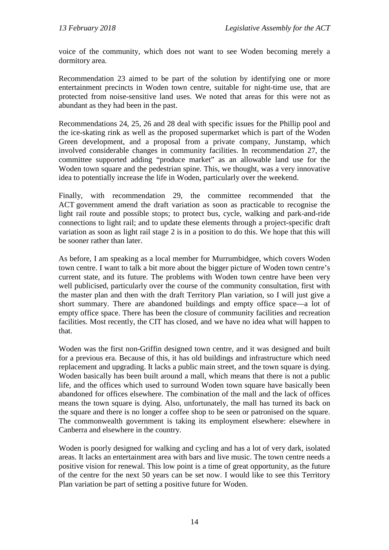voice of the community, which does not want to see Woden becoming merely a dormitory area.

Recommendation 23 aimed to be part of the solution by identifying one or more entertainment precincts in Woden town centre, suitable for night-time use, that are protected from noise-sensitive land uses. We noted that areas for this were not as abundant as they had been in the past.

Recommendations 24, 25, 26 and 28 deal with specific issues for the Phillip pool and the ice-skating rink as well as the proposed supermarket which is part of the Woden Green development, and a proposal from a private company, Junstamp, which involved considerable changes in community facilities. In recommendation 27, the committee supported adding "produce market" as an allowable land use for the Woden town square and the pedestrian spine. This, we thought, was a very innovative idea to potentially increase the life in Woden, particularly over the weekend.

Finally, with recommendation 29, the committee recommended that the ACT government amend the draft variation as soon as practicable to recognise the light rail route and possible stops; to protect bus, cycle, walking and park-and-ride connections to light rail; and to update these elements through a project-specific draft variation as soon as light rail stage 2 is in a position to do this. We hope that this will be sooner rather than later.

As before, I am speaking as a local member for Murrumbidgee, which covers Woden town centre. I want to talk a bit more about the bigger picture of Woden town centre's current state, and its future. The problems with Woden town centre have been very well publicised, particularly over the course of the community consultation, first with the master plan and then with the draft Territory Plan variation, so I will just give a short summary. There are abandoned buildings and empty office space—a lot of empty office space. There has been the closure of community facilities and recreation facilities. Most recently, the CIT has closed, and we have no idea what will happen to that.

Woden was the first non-Griffin designed town centre, and it was designed and built for a previous era. Because of this, it has old buildings and infrastructure which need replacement and upgrading. It lacks a public main street, and the town square is dying. Woden basically has been built around a mall, which means that there is not a public life, and the offices which used to surround Woden town square have basically been abandoned for offices elsewhere. The combination of the mall and the lack of offices means the town square is dying. Also, unfortunately, the mall has turned its back on the square and there is no longer a coffee shop to be seen or patronised on the square. The commonwealth government is taking its employment elsewhere: elsewhere in Canberra and elsewhere in the country.

Woden is poorly designed for walking and cycling and has a lot of very dark, isolated areas. It lacks an entertainment area with bars and live music. The town centre needs a positive vision for renewal. This low point is a time of great opportunity, as the future of the centre for the next 50 years can be set now. I would like to see this Territory Plan variation be part of setting a positive future for Woden.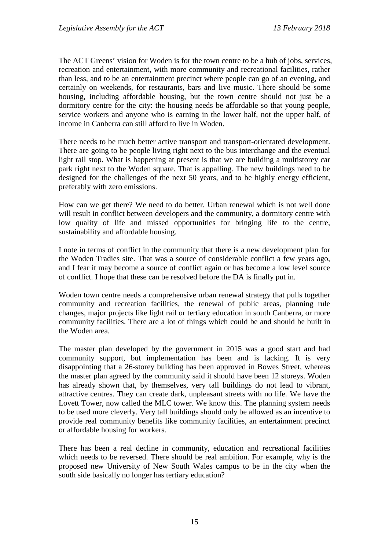The ACT Greens' vision for Woden is for the town centre to be a hub of jobs, services, recreation and entertainment, with more community and recreational facilities, rather than less, and to be an entertainment precinct where people can go of an evening, and certainly on weekends, for restaurants, bars and live music. There should be some housing, including affordable housing, but the town centre should not just be a dormitory centre for the city: the housing needs be affordable so that young people, service workers and anyone who is earning in the lower half, not the upper half, of income in Canberra can still afford to live in Woden.

There needs to be much better active transport and transport-orientated development. There are going to be people living right next to the bus interchange and the eventual light rail stop. What is happening at present is that we are building a multistorey car park right next to the Woden square. That is appalling. The new buildings need to be designed for the challenges of the next 50 years, and to be highly energy efficient, preferably with zero emissions.

How can we get there? We need to do better. Urban renewal which is not well done will result in conflict between developers and the community, a dormitory centre with low quality of life and missed opportunities for bringing life to the centre, sustainability and affordable housing.

I note in terms of conflict in the community that there is a new development plan for the Woden Tradies site. That was a source of considerable conflict a few years ago, and I fear it may become a source of conflict again or has become a low level source of conflict. I hope that these can be resolved before the DA is finally put in.

Woden town centre needs a comprehensive urban renewal strategy that pulls together community and recreation facilities, the renewal of public areas, planning rule changes, major projects like light rail or tertiary education in south Canberra, or more community facilities. There are a lot of things which could be and should be built in the Woden area.

The master plan developed by the government in 2015 was a good start and had community support, but implementation has been and is lacking. It is very disappointing that a 26-storey building has been approved in Bowes Street, whereas the master plan agreed by the community said it should have been 12 storeys. Woden has already shown that, by themselves, very tall buildings do not lead to vibrant, attractive centres. They can create dark, unpleasant streets with no life. We have the Lovett Tower, now called the MLC tower. We know this. The planning system needs to be used more cleverly. Very tall buildings should only be allowed as an incentive to provide real community benefits like community facilities, an entertainment precinct or affordable housing for workers.

There has been a real decline in community, education and recreational facilities which needs to be reversed. There should be real ambition. For example, why is the proposed new University of New South Wales campus to be in the city when the south side basically no longer has tertiary education?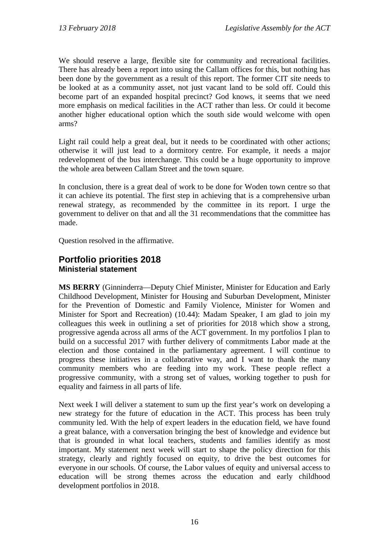We should reserve a large, flexible site for community and recreational facilities. There has already been a report into using the Callam offices for this, but nothing has been done by the government as a result of this report. The former CIT site needs to be looked at as a community asset, not just vacant land to be sold off. Could this become part of an expanded hospital precinct? God knows, it seems that we need more emphasis on medical facilities in the ACT rather than less. Or could it become another higher educational option which the south side would welcome with open arms?

Light rail could help a great deal, but it needs to be coordinated with other actions; otherwise it will just lead to a dormitory centre. For example, it needs a major redevelopment of the bus interchange. This could be a huge opportunity to improve the whole area between Callam Street and the town square.

In conclusion, there is a great deal of work to be done for Woden town centre so that it can achieve its potential. The first step in achieving that is a comprehensive urban renewal strategy, as recommended by the committee in its report. I urge the government to deliver on that and all the 31 recommendations that the committee has made.

Question resolved in the affirmative.

#### <span id="page-18-1"></span><span id="page-18-0"></span>**Portfolio priorities 2018 Ministerial statement**

**MS BERRY** (Ginninderra—Deputy Chief Minister, Minister for Education and Early Childhood Development, Minister for Housing and Suburban Development, Minister for the Prevention of Domestic and Family Violence, Minister for Women and Minister for Sport and Recreation) (10.44): Madam Speaker, I am glad to join my colleagues this week in outlining a set of priorities for 2018 which show a strong, progressive agenda across all arms of the ACT government. In my portfolios I plan to build on a successful 2017 with further delivery of commitments Labor made at the election and those contained in the parliamentary agreement. I will continue to progress these initiatives in a collaborative way, and I want to thank the many community members who are feeding into my work. These people reflect a progressive community, with a strong set of values, working together to push for equality and fairness in all parts of life.

Next week I will deliver a statement to sum up the first year's work on developing a new strategy for the future of education in the ACT. This process has been truly community led. With the help of expert leaders in the education field, we have found a great balance, with a conversation bringing the best of knowledge and evidence but that is grounded in what local teachers, students and families identify as most important. My statement next week will start to shape the policy direction for this strategy, clearly and rightly focused on equity, to drive the best outcomes for everyone in our schools. Of course, the Labor values of equity and universal access to education will be strong themes across the education and early childhood development portfolios in 2018.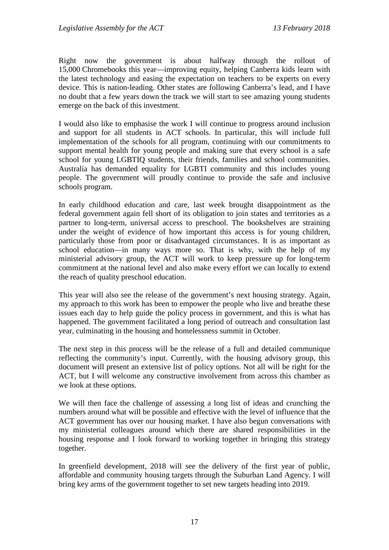Right now the government is about halfway through the rollout of 15,000 Chromebooks this year—improving equity, helping Canberra kids learn with the latest technology and easing the expectation on teachers to be experts on every device. This is nation-leading. Other states are following Canberra's lead, and I have no doubt that a few years down the track we will start to see amazing young students emerge on the back of this investment.

I would also like to emphasise the work I will continue to progress around inclusion and support for all students in ACT schools. In particular, this will include full implementation of the schools for all program, continuing with our commitments to support mental health for young people and making sure that every school is a safe school for young LGBTIQ students, their friends, families and school communities. Australia has demanded equality for LGBTI community and this includes young people. The government will proudly continue to provide the safe and inclusive schools program.

In early childhood education and care, last week brought disappointment as the federal government again fell short of its obligation to join states and territories as a partner to long-term, universal access to preschool. The bookshelves are straining under the weight of evidence of how important this access is for young children, particularly those from poor or disadvantaged circumstances. It is as important as school education—in many ways more so. That is why, with the help of my ministerial advisory group, the ACT will work to keep pressure up for long-term commitment at the national level and also make every effort we can locally to extend the reach of quality preschool education.

This year will also see the release of the government's next housing strategy. Again, my approach to this work has been to empower the people who live and breathe these issues each day to help guide the policy process in government, and this is what has happened. The government facilitated a long period of outreach and consultation last year, culminating in the housing and homelessness summit in October.

The next step in this process will be the release of a full and detailed communique reflecting the community's input. Currently, with the housing advisory group, this document will present an extensive list of policy options. Not all will be right for the ACT, but I will welcome any constructive involvement from across this chamber as we look at these options.

We will then face the challenge of assessing a long list of ideas and crunching the numbers around what will be possible and effective with the level of influence that the ACT government has over our housing market. I have also begun conversations with my ministerial colleagues around which there are shared responsibilities in the housing response and I look forward to working together in bringing this strategy together.

In greenfield development, 2018 will see the delivery of the first year of public, affordable and community housing targets through the Suburban Land Agency. I will bring key arms of the government together to set new targets heading into 2019.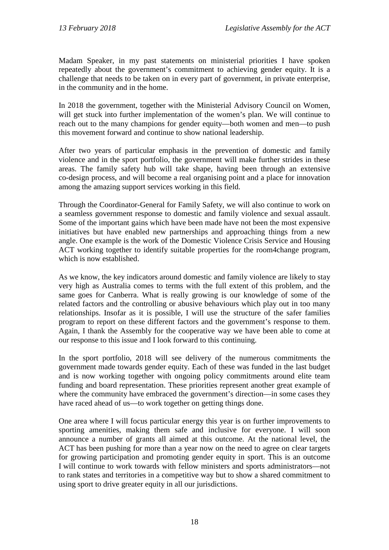Madam Speaker, in my past statements on ministerial priorities I have spoken repeatedly about the government's commitment to achieving gender equity. It is a challenge that needs to be taken on in every part of government, in private enterprise, in the community and in the home.

In 2018 the government, together with the Ministerial Advisory Council on Women, will get stuck into further implementation of the women's plan. We will continue to reach out to the many champions for gender equity—both women and men—to push this movement forward and continue to show national leadership.

After two years of particular emphasis in the prevention of domestic and family violence and in the sport portfolio, the government will make further strides in these areas. The family safety hub will take shape, having been through an extensive co-design process, and will become a real organising point and a place for innovation among the amazing support services working in this field.

Through the Coordinator-General for Family Safety, we will also continue to work on a seamless government response to domestic and family violence and sexual assault. Some of the important gains which have been made have not been the most expensive initiatives but have enabled new partnerships and approaching things from a new angle. One example is the work of the Domestic Violence Crisis Service and Housing ACT working together to identify suitable properties for the room4change program, which is now established.

As we know, the key indicators around domestic and family violence are likely to stay very high as Australia comes to terms with the full extent of this problem, and the same goes for Canberra. What is really growing is our knowledge of some of the related factors and the controlling or abusive behaviours which play out in too many relationships. Insofar as it is possible, I will use the structure of the safer families program to report on these different factors and the government's response to them. Again, I thank the Assembly for the cooperative way we have been able to come at our response to this issue and I look forward to this continuing.

In the sport portfolio, 2018 will see delivery of the numerous commitments the government made towards gender equity. Each of these was funded in the last budget and is now working together with ongoing policy commitments around elite team funding and board representation. These priorities represent another great example of where the community have embraced the government's direction—in some cases they have raced ahead of us—to work together on getting things done.

One area where I will focus particular energy this year is on further improvements to sporting amenities, making them safe and inclusive for everyone. I will soon announce a number of grants all aimed at this outcome. At the national level, the ACT has been pushing for more than a year now on the need to agree on clear targets for growing participation and promoting gender equity in sport. This is an outcome I will continue to work towards with fellow ministers and sports administrators—not to rank states and territories in a competitive way but to show a shared commitment to using sport to drive greater equity in all our jurisdictions.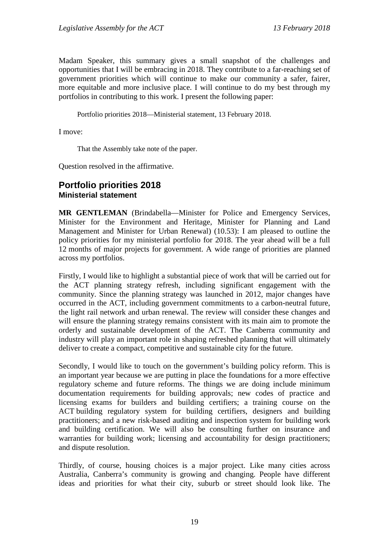Madam Speaker, this summary gives a small snapshot of the challenges and opportunities that I will be embracing in 2018. They contribute to a far-reaching set of government priorities which will continue to make our community a safer, fairer, more equitable and more inclusive place. I will continue to do my best through my portfolios in contributing to this work. I present the following paper:

Portfolio priorities 2018—Ministerial statement, 13 February 2018.

I move:

That the Assembly take note of the paper.

Question resolved in the affirmative.

#### <span id="page-21-1"></span><span id="page-21-0"></span>**Portfolio priorities 2018 Ministerial statement**

**MR GENTLEMAN** (Brindabella—Minister for Police and Emergency Services, Minister for the Environment and Heritage, Minister for Planning and Land Management and Minister for Urban Renewal) (10.53): I am pleased to outline the policy priorities for my ministerial portfolio for 2018. The year ahead will be a full 12 months of major projects for government. A wide range of priorities are planned across my portfolios.

Firstly, I would like to highlight a substantial piece of work that will be carried out for the ACT planning strategy refresh, including significant engagement with the community. Since the planning strategy was launched in 2012, major changes have occurred in the ACT, including government commitments to a carbon-neutral future, the light rail network and urban renewal. The review will consider these changes and will ensure the planning strategy remains consistent with its main aim to promote the orderly and sustainable development of the ACT. The Canberra community and industry will play an important role in shaping refreshed planning that will ultimately deliver to create a compact, competitive and sustainable city for the future.

Secondly, I would like to touch on the government's building policy reform. This is an important year because we are putting in place the foundations for a more effective regulatory scheme and future reforms. The things we are doing include minimum documentation requirements for building approvals; new codes of practice and licensing exams for builders and building certifiers; a training course on the ACT building regulatory system for building certifiers, designers and building practitioners; and a new risk-based auditing and inspection system for building work and building certification. We will also be consulting further on insurance and warranties for building work; licensing and accountability for design practitioners; and dispute resolution.

Thirdly, of course, housing choices is a major project. Like many cities across Australia, Canberra's community is growing and changing. People have different ideas and priorities for what their city, suburb or street should look like. The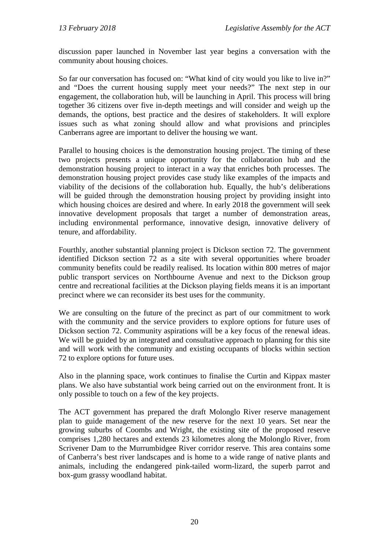discussion paper launched in November last year begins a conversation with the community about housing choices.

So far our conversation has focused on: "What kind of city would you like to live in?" and "Does the current housing supply meet your needs?" The next step in our engagement, the collaboration hub, will be launching in April. This process will bring together 36 citizens over five in-depth meetings and will consider and weigh up the demands, the options, best practice and the desires of stakeholders. It will explore issues such as what zoning should allow and what provisions and principles Canberrans agree are important to deliver the housing we want.

Parallel to housing choices is the demonstration housing project. The timing of these two projects presents a unique opportunity for the collaboration hub and the demonstration housing project to interact in a way that enriches both processes. The demonstration housing project provides case study like examples of the impacts and viability of the decisions of the collaboration hub. Equally, the hub's deliberations will be guided through the demonstration housing project by providing insight into which housing choices are desired and where. In early 2018 the government will seek innovative development proposals that target a number of demonstration areas, including environmental performance, innovative design, innovative delivery of tenure, and affordability.

Fourthly, another substantial planning project is Dickson section 72. The government identified Dickson section 72 as a site with several opportunities where broader community benefits could be readily realised. Its location within 800 metres of major public transport services on Northbourne Avenue and next to the Dickson group centre and recreational facilities at the Dickson playing fields means it is an important precinct where we can reconsider its best uses for the community.

We are consulting on the future of the precinct as part of our commitment to work with the community and the service providers to explore options for future uses of Dickson section 72. Community aspirations will be a key focus of the renewal ideas. We will be guided by an integrated and consultative approach to planning for this site and will work with the community and existing occupants of blocks within section 72 to explore options for future uses.

Also in the planning space, work continues to finalise the Curtin and Kippax master plans. We also have substantial work being carried out on the environment front. It is only possible to touch on a few of the key projects.

The ACT government has prepared the draft Molonglo River reserve management plan to guide management of the new reserve for the next 10 years. Set near the growing suburbs of Coombs and Wright, the existing site of the proposed reserve comprises 1,280 hectares and extends 23 kilometres along the Molonglo River, from Scrivener Dam to the Murrumbidgee River corridor reserve. This area contains some of Canberra's best river landscapes and is home to a wide range of native plants and animals, including the endangered pink-tailed worm-lizard, the superb parrot and box-gum grassy woodland habitat.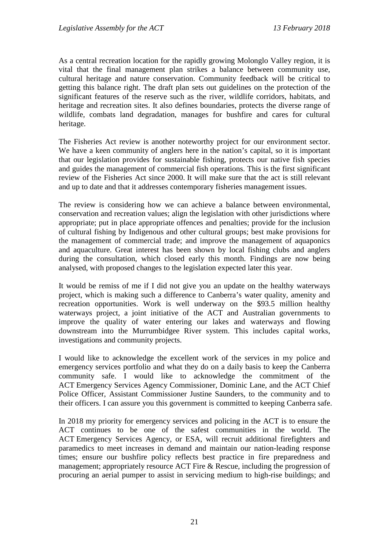As a central recreation location for the rapidly growing Molonglo Valley region, it is vital that the final management plan strikes a balance between community use, cultural heritage and nature conservation. Community feedback will be critical to getting this balance right. The draft plan sets out guidelines on the protection of the significant features of the reserve such as the river, wildlife corridors, habitats, and heritage and recreation sites. It also defines boundaries, protects the diverse range of wildlife, combats land degradation, manages for bushfire and cares for cultural heritage.

The Fisheries Act review is another noteworthy project for our environment sector. We have a keen community of anglers here in the nation's capital, so it is important that our legislation provides for sustainable fishing, protects our native fish species and guides the management of commercial fish operations. This is the first significant review of the Fisheries Act since 2000. It will make sure that the act is still relevant and up to date and that it addresses contemporary fisheries management issues.

The review is considering how we can achieve a balance between environmental, conservation and recreation values; align the legislation with other jurisdictions where appropriate; put in place appropriate offences and penalties; provide for the inclusion of cultural fishing by Indigenous and other cultural groups; best make provisions for the management of commercial trade; and improve the management of aquaponics and aquaculture. Great interest has been shown by local fishing clubs and anglers during the consultation, which closed early this month. Findings are now being analysed, with proposed changes to the legislation expected later this year.

It would be remiss of me if I did not give you an update on the healthy waterways project, which is making such a difference to Canberra's water quality, amenity and recreation opportunities. Work is well underway on the \$93.5 million healthy waterways project, a joint initiative of the ACT and Australian governments to improve the quality of water entering our lakes and waterways and flowing downstream into the Murrumbidgee River system. This includes capital works, investigations and community projects.

I would like to acknowledge the excellent work of the services in my police and emergency services portfolio and what they do on a daily basis to keep the Canberra community safe. I would like to acknowledge the commitment of the ACT Emergency Services Agency Commissioner, Dominic Lane, and the ACT Chief Police Officer, Assistant Commissioner Justine Saunders, to the community and to their officers. I can assure you this government is committed to keeping Canberra safe.

In 2018 my priority for emergency services and policing in the ACT is to ensure the ACT continues to be one of the safest communities in the world. The ACT Emergency Services Agency, or ESA, will recruit additional firefighters and paramedics to meet increases in demand and maintain our nation-leading response times; ensure our bushfire policy reflects best practice in fire preparedness and management; appropriately resource ACT Fire & Rescue, including the progression of procuring an aerial pumper to assist in servicing medium to high-rise buildings; and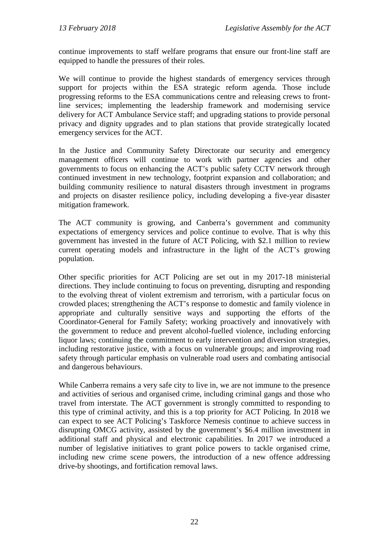continue improvements to staff welfare programs that ensure our front-line staff are equipped to handle the pressures of their roles.

We will continue to provide the highest standards of emergency services through support for projects within the ESA strategic reform agenda. Those include progressing reforms to the ESA communications centre and releasing crews to frontline services; implementing the leadership framework and modernising service delivery for ACT Ambulance Service staff; and upgrading stations to provide personal privacy and dignity upgrades and to plan stations that provide strategically located emergency services for the ACT.

In the Justice and Community Safety Directorate our security and emergency management officers will continue to work with partner agencies and other governments to focus on enhancing the ACT's public safety CCTV network through continued investment in new technology, footprint expansion and collaboration; and building community resilience to natural disasters through investment in programs and projects on disaster resilience policy, including developing a five-year disaster mitigation framework.

The ACT community is growing, and Canberra's government and community expectations of emergency services and police continue to evolve. That is why this government has invested in the future of ACT Policing, with \$2.1 million to review current operating models and infrastructure in the light of the ACT's growing population.

Other specific priorities for ACT Policing are set out in my 2017-18 ministerial directions. They include continuing to focus on preventing, disrupting and responding to the evolving threat of violent extremism and terrorism, with a particular focus on crowded places; strengthening the ACT's response to domestic and family violence in appropriate and culturally sensitive ways and supporting the efforts of the Coordinator-General for Family Safety; working proactively and innovatively with the government to reduce and prevent alcohol-fuelled violence, including enforcing liquor laws; continuing the commitment to early intervention and diversion strategies, including restorative justice, with a focus on vulnerable groups; and improving road safety through particular emphasis on vulnerable road users and combating antisocial and dangerous behaviours.

While Canberra remains a very safe city to live in, we are not immune to the presence and activities of serious and organised crime, including criminal gangs and those who travel from interstate. The ACT government is strongly committed to responding to this type of criminal activity, and this is a top priority for ACT Policing. In 2018 we can expect to see ACT Policing's Taskforce Nemesis continue to achieve success in disrupting OMCG activity, assisted by the government's \$6.4 million investment in additional staff and physical and electronic capabilities. In 2017 we introduced a number of legislative initiatives to grant police powers to tackle organised crime, including new crime scene powers, the introduction of a new offence addressing drive-by shootings, and fortification removal laws.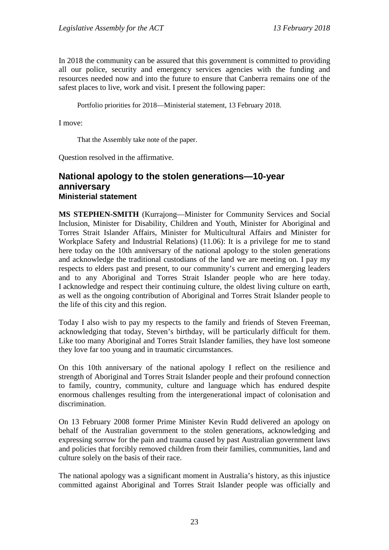In 2018 the community can be assured that this government is committed to providing all our police, security and emergency services agencies with the funding and resources needed now and into the future to ensure that Canberra remains one of the safest places to live, work and visit. I present the following paper:

Portfolio priorities for 2018—Ministerial statement, 13 February 2018.

I move:

That the Assembly take note of the paper.

Question resolved in the affirmative.

#### <span id="page-25-0"></span>**National apology to the stolen generations—10-year anniversary Ministerial statement**

<span id="page-25-1"></span>**MS STEPHEN-SMITH** (Kurrajong—Minister for Community Services and Social Inclusion, Minister for Disability, Children and Youth, Minister for Aboriginal and Torres Strait Islander Affairs, Minister for Multicultural Affairs and Minister for Workplace Safety and Industrial Relations) (11.06): It is a privilege for me to stand here today on the 10th anniversary of the national apology to the stolen generations and acknowledge the traditional custodians of the land we are meeting on. I pay my respects to elders past and present, to our community's current and emerging leaders and to any Aboriginal and Torres Strait Islander people who are here today. I acknowledge and respect their continuing culture, the oldest living culture on earth, as well as the ongoing contribution of Aboriginal and Torres Strait Islander people to the life of this city and this region.

Today I also wish to pay my respects to the family and friends of Steven Freeman, acknowledging that today, Steven's birthday, will be particularly difficult for them. Like too many Aboriginal and Torres Strait Islander families, they have lost someone they love far too young and in traumatic circumstances.

On this 10th anniversary of the national apology I reflect on the resilience and strength of Aboriginal and Torres Strait Islander people and their profound connection to family, country, community, culture and language which has endured despite enormous challenges resulting from the intergenerational impact of colonisation and discrimination.

On 13 February 2008 former Prime Minister Kevin Rudd delivered an apology on behalf of the Australian government to the stolen generations, acknowledging and expressing sorrow for the pain and trauma caused by past Australian government laws and policies that forcibly removed children from their families, communities, land and culture solely on the basis of their race.

The national apology was a significant moment in Australia's history, as this injustice committed against Aboriginal and Torres Strait Islander people was officially and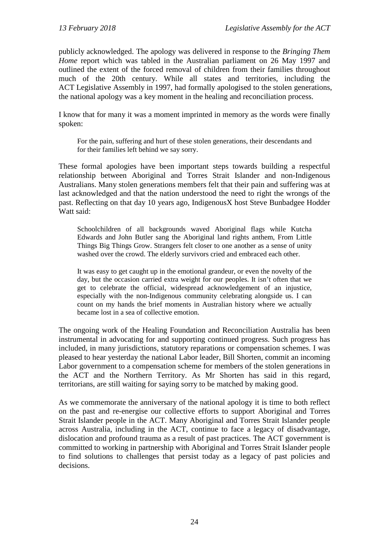publicly acknowledged. The apology was delivered in response to the *Bringing Them Home* report which was tabled in the Australian parliament on 26 May 1997 and outlined the extent of the forced removal of children from their families throughout much of the 20th century. While all states and territories, including the ACT Legislative Assembly in 1997, had formally apologised to the stolen generations, the national apology was a key moment in the healing and reconciliation process.

I know that for many it was a moment imprinted in memory as the words were finally spoken:

For the pain, suffering and hurt of these stolen generations, their descendants and for their families left behind we say sorry.

These formal apologies have been important steps towards building a respectful relationship between Aboriginal and Torres Strait Islander and non-Indigenous Australians. Many stolen generations members felt that their pain and suffering was at last acknowledged and that the nation understood the need to right the wrongs of the past. Reflecting on that day 10 years ago, IndigenousX host Steve Bunbadgee Hodder Watt said:

Schoolchildren of all backgrounds waved Aboriginal flags while Kutcha Edwards and John Butler sang the Aboriginal land rights anthem, From Little Things Big Things Grow. Strangers felt closer to one another as a sense of unity washed over the crowd. The elderly survivors cried and embraced each other.

It was easy to get caught up in the emotional grandeur, or even the novelty of the day, but the occasion carried extra weight for our peoples. It isn't often that we get to celebrate the official, widespread acknowledgement of an injustice, especially with the non-Indigenous community celebrating alongside us. I can count on my hands the brief moments in Australian history where we actually became lost in a sea of collective emotion.

The ongoing work of the Healing Foundation and Reconciliation Australia has been instrumental in advocating for and supporting continued progress. Such progress has included, in many jurisdictions, statutory reparations or compensation schemes. I was pleased to hear yesterday the national Labor leader, Bill Shorten, commit an incoming Labor government to a compensation scheme for members of the stolen generations in the ACT and the Northern Territory. As Mr Shorten has said in this regard, territorians, are still waiting for saying sorry to be matched by making good.

As we commemorate the anniversary of the national apology it is time to both reflect on the past and re-energise our collective efforts to support Aboriginal and Torres Strait Islander people in the ACT. Many Aboriginal and Torres Strait Islander people across Australia, including in the ACT, continue to face a legacy of disadvantage, dislocation and profound trauma as a result of past practices. The ACT government is committed to working in partnership with Aboriginal and Torres Strait Islander people to find solutions to challenges that persist today as a legacy of past policies and decisions.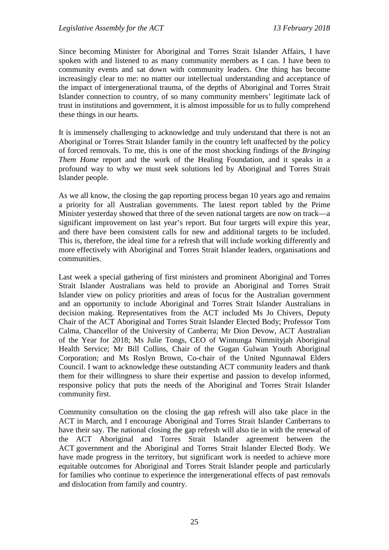Since becoming Minister for Aboriginal and Torres Strait Islander Affairs, I have spoken with and listened to as many community members as I can. I have been to community events and sat down with community leaders. One thing has become increasingly clear to me: no matter our intellectual understanding and acceptance of the impact of intergenerational trauma, of the depths of Aboriginal and Torres Strait Islander connection to country, of so many community members' legitimate lack of trust in institutions and government, it is almost impossible for us to fully comprehend these things in our hearts.

It is immensely challenging to acknowledge and truly understand that there is not an Aboriginal or Torres Strait Islander family in the country left unaffected by the policy of forced removals. To me, this is one of the most shocking findings of the *Bringing Them Home* report and the work of the Healing Foundation, and it speaks in a profound way to why we must seek solutions led by Aboriginal and Torres Strait Islander people.

As we all know, the closing the gap reporting process began 10 years ago and remains a priority for all Australian governments. The latest report tabled by the Prime Minister yesterday showed that three of the seven national targets are now on track—a significant improvement on last year's report. But four targets will expire this year, and there have been consistent calls for new and additional targets to be included. This is, therefore, the ideal time for a refresh that will include working differently and more effectively with Aboriginal and Torres Strait Islander leaders, organisations and communities.

Last week a special gathering of first ministers and prominent Aboriginal and Torres Strait Islander Australians was held to provide an Aboriginal and Torres Strait Islander view on policy priorities and areas of focus for the Australian government and an opportunity to include Aboriginal and Torres Strait Islander Australians in decision making. Representatives from the ACT included Ms Jo Chivers, Deputy Chair of the ACT Aboriginal and Torres Strait Islander Elected Body; Professor Tom Calma, Chancellor of the University of Canberra; Mr Dion Devow, ACT Australian of the Year for 2018; Ms Julie Tongs, CEO of Winnunga Nimmityjah Aboriginal Health Service; Mr Bill Collins, Chair of the Gugan Gulwan Youth Aboriginal Corporation; and Ms Roslyn Brown, Co-chair of the United Ngunnawal Elders Council. I want to acknowledge these outstanding ACT community leaders and thank them for their willingness to share their expertise and passion to develop informed, responsive policy that puts the needs of the Aboriginal and Torres Strait Islander community first.

Community consultation on the closing the gap refresh will also take place in the ACT in March, and I encourage Aboriginal and Torres Strait Islander Canberrans to have their say. The national closing the gap refresh will also tie in with the renewal of the ACT Aboriginal and Torres Strait Islander agreement between the ACT government and the Aboriginal and Torres Strait Islander Elected Body. We have made progress in the territory, but significant work is needed to achieve more equitable outcomes for Aboriginal and Torres Strait Islander people and particularly for families who continue to experience the intergenerational effects of past removals and dislocation from family and country.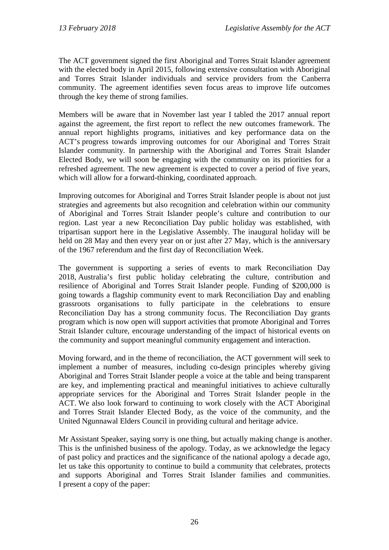The ACT government signed the first Aboriginal and Torres Strait Islander agreement with the elected body in April 2015, following extensive consultation with Aboriginal and Torres Strait Islander individuals and service providers from the Canberra community. The agreement identifies seven focus areas to improve life outcomes through the key theme of strong families.

Members will be aware that in November last year I tabled the 2017 annual report against the agreement, the first report to reflect the new outcomes framework. The annual report highlights programs, initiatives and key performance data on the ACT's progress towards improving outcomes for our Aboriginal and Torres Strait Islander community. In partnership with the Aboriginal and Torres Strait Islander Elected Body, we will soon be engaging with the community on its priorities for a refreshed agreement. The new agreement is expected to cover a period of five years, which will allow for a forward-thinking, coordinated approach.

Improving outcomes for Aboriginal and Torres Strait Islander people is about not just strategies and agreements but also recognition and celebration within our community of Aboriginal and Torres Strait Islander people's culture and contribution to our region. Last year a new Reconciliation Day public holiday was established, with tripartisan support here in the Legislative Assembly. The inaugural holiday will be held on 28 May and then every year on or just after 27 May, which is the anniversary of the 1967 referendum and the first day of Reconciliation Week.

The government is supporting a series of events to mark Reconciliation Day 2018, Australia's first public holiday celebrating the culture, contribution and resilience of Aboriginal and Torres Strait Islander people. Funding of \$200,000 is going towards a flagship community event to mark Reconciliation Day and enabling grassroots organisations to fully participate in the celebrations to ensure Reconciliation Day has a strong community focus. The Reconciliation Day grants program which is now open will support activities that promote Aboriginal and Torres Strait Islander culture, encourage understanding of the impact of historical events on the community and support meaningful community engagement and interaction.

Moving forward, and in the theme of reconciliation, the ACT government will seek to implement a number of measures, including co-design principles whereby giving Aboriginal and Torres Strait Islander people a voice at the table and being transparent are key, and implementing practical and meaningful initiatives to achieve culturally appropriate services for the Aboriginal and Torres Strait Islander people in the ACT. We also look forward to continuing to work closely with the ACT Aboriginal and Torres Strait Islander Elected Body, as the voice of the community, and the United Ngunnawal Elders Council in providing cultural and heritage advice.

Mr Assistant Speaker, saying sorry is one thing, but actually making change is another. This is the unfinished business of the apology. Today, as we acknowledge the legacy of past policy and practices and the significance of the national apology a decade ago, let us take this opportunity to continue to build a community that celebrates, protects and supports Aboriginal and Torres Strait Islander families and communities. I present a copy of the paper: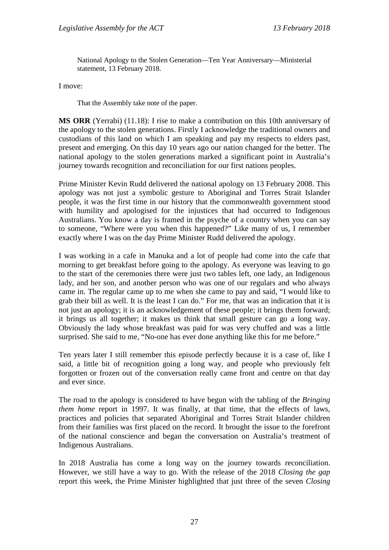National Apology to the Stolen Generation—Ten Year Anniversary—Ministerial statement, 13 February 2018.

I move:

That the Assembly take note of the paper.

**MS ORR** (Yerrabi) (11.18): I rise to make a contribution on this 10th anniversary of the apology to the stolen generations. Firstly I acknowledge the traditional owners and custodians of this land on which I am speaking and pay my respects to elders past, present and emerging. On this day 10 years ago our nation changed for the better. The national apology to the stolen generations marked a significant point in Australia's journey towards recognition and reconciliation for our first nations peoples.

Prime Minister Kevin Rudd delivered the national apology on 13 February 2008. This apology was not just a symbolic gesture to Aboriginal and Torres Strait Islander people, it was the first time in our history that the commonwealth government stood with humility and apologised for the injustices that had occurred to Indigenous Australians. You know a day is framed in the psyche of a country when you can say to someone, "Where were you when this happened?" Like many of us, I remember exactly where I was on the day Prime Minister Rudd delivered the apology.

I was working in a cafe in Manuka and a lot of people had come into the cafe that morning to get breakfast before going to the apology. As everyone was leaving to go to the start of the ceremonies there were just two tables left, one lady, an Indigenous lady, and her son, and another person who was one of our regulars and who always came in. The regular came up to me when she came to pay and said, "I would like to grab their bill as well. It is the least I can do." For me, that was an indication that it is not just an apology; it is an acknowledgement of these people; it brings them forward; it brings us all together; it makes us think that small gesture can go a long way. Obviously the lady whose breakfast was paid for was very chuffed and was a little surprised. She said to me, "No-one has ever done anything like this for me before."

Ten years later I still remember this episode perfectly because it is a case of, like I said, a little bit of recognition going a long way, and people who previously felt forgotten or frozen out of the conversation really came front and centre on that day and ever since.

The road to the apology is considered to have begun with the tabling of the *Bringing them home* report in 1997. It was finally, at that time, that the effects of laws, practices and policies that separated Aboriginal and Torres Strait Islander children from their families was first placed on the record. It brought the issue to the forefront of the national conscience and began the conversation on Australia's treatment of Indigenous Australians.

In 2018 Australia has come a long way on the journey towards reconciliation. However, we still have a way to go. With the release of the 2018 *Closing the gap* report this week, the Prime Minister highlighted that just three of the seven *Closing*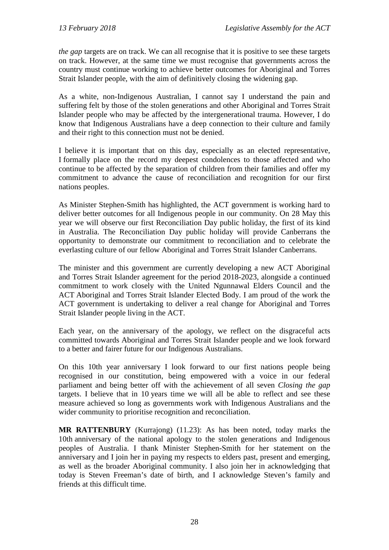*the gap* targets are on track. We can all recognise that it is positive to see these targets on track. However, at the same time we must recognise that governments across the country must continue working to achieve better outcomes for Aboriginal and Torres Strait Islander people, with the aim of definitively closing the widening gap.

As a white, non-Indigenous Australian, I cannot say I understand the pain and suffering felt by those of the stolen generations and other Aboriginal and Torres Strait Islander people who may be affected by the intergenerational trauma. However, I do know that Indigenous Australians have a deep connection to their culture and family and their right to this connection must not be denied.

I believe it is important that on this day, especially as an elected representative, I formally place on the record my deepest condolences to those affected and who continue to be affected by the separation of children from their families and offer my commitment to advance the cause of reconciliation and recognition for our first nations peoples.

As Minister Stephen-Smith has highlighted, the ACT government is working hard to deliver better outcomes for all Indigenous people in our community. On 28 May this year we will observe our first Reconciliation Day public holiday, the first of its kind in Australia. The Reconciliation Day public holiday will provide Canberrans the opportunity to demonstrate our commitment to reconciliation and to celebrate the everlasting culture of our fellow Aboriginal and Torres Strait Islander Canberrans.

The minister and this government are currently developing a new ACT Aboriginal and Torres Strait Islander agreement for the period 2018-2023, alongside a continued commitment to work closely with the United Ngunnawal Elders Council and the ACT Aboriginal and Torres Strait Islander Elected Body. I am proud of the work the ACT government is undertaking to deliver a real change for Aboriginal and Torres Strait Islander people living in the ACT.

Each year, on the anniversary of the apology, we reflect on the disgraceful acts committed towards Aboriginal and Torres Strait Islander people and we look forward to a better and fairer future for our Indigenous Australians.

On this 10th year anniversary I look forward to our first nations people being recognised in our constitution, being empowered with a voice in our federal parliament and being better off with the achievement of all seven *Closing the gap* targets. I believe that in 10 years time we will all be able to reflect and see these measure achieved so long as governments work with Indigenous Australians and the wider community to prioritise recognition and reconciliation.

**MR RATTENBURY** (Kurrajong) (11.23): As has been noted, today marks the 10th anniversary of the national apology to the stolen generations and Indigenous peoples of Australia. I thank Minister Stephen-Smith for her statement on the anniversary and I join her in paying my respects to elders past, present and emerging, as well as the broader Aboriginal community. I also join her in acknowledging that today is Steven Freeman's date of birth, and I acknowledge Steven's family and friends at this difficult time.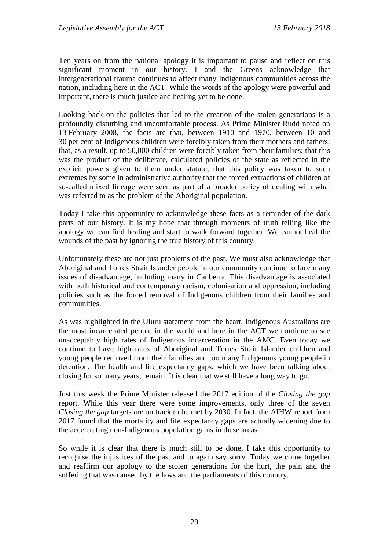Ten years on from the national apology it is important to pause and reflect on this significant moment in our history. I and the Greens acknowledge that intergenerational trauma continues to affect many Indigenous communities across the nation, including here in the ACT. While the words of the apology were powerful and important, there is much justice and healing yet to be done.

Looking back on the policies that led to the creation of the stolen generations is a profoundly disturbing and uncomfortable process. As Prime Minister Rudd noted on 13 February 2008, the facts are that, between 1910 and 1970, between 10 and 30 per cent of Indigenous children were forcibly taken from their mothers and fathers; that, as a result, up to 50,000 children were forcibly taken from their families; that this was the product of the deliberate, calculated policies of the state as reflected in the explicit powers given to them under statute; that this policy was taken to such extremes by some in administrative authority that the forced extractions of children of so-called mixed lineage were seen as part of a broader policy of dealing with what was referred to as the problem of the Aboriginal population.

Today I take this opportunity to acknowledge these facts as a reminder of the dark parts of our history. It is my hope that through moments of truth telling like the apology we can find healing and start to walk forward together. We cannot heal the wounds of the past by ignoring the true history of this country.

Unfortunately these are not just problems of the past. We must also acknowledge that Aboriginal and Torres Strait Islander people in our community continue to face many issues of disadvantage, including many in Canberra. This disadvantage is associated with both historical and contemporary racism, colonisation and oppression, including policies such as the forced removal of Indigenous children from their families and communities.

As was highlighted in the Uluru statement from the heart, Indigenous Australians are the most incarcerated people in the world and here in the ACT we continue to see unacceptably high rates of Indigenous incarceration in the AMC. Even today we continue to have high rates of Aboriginal and Torres Strait Islander children and young people removed from their families and too many Indigenous young people in detention. The health and life expectancy gaps, which we have been talking about closing for so many years, remain. It is clear that we still have a long way to go.

Just this week the Prime Minister released the 2017 edition of the *Closing the gap* report. While this year there were some improvements, only three of the seven *Closing the gap* targets are on track to be met by 2030. In fact, the AIHW report from 2017 found that the mortality and life expectancy gaps are actually widening due to the accelerating non-Indigenous population gains in these areas.

So while it is clear that there is much still to be done, I take this opportunity to recognise the injustices of the past and to again say sorry. Today we come together and reaffirm our apology to the stolen generations for the hurt, the pain and the suffering that was caused by the laws and the parliaments of this country.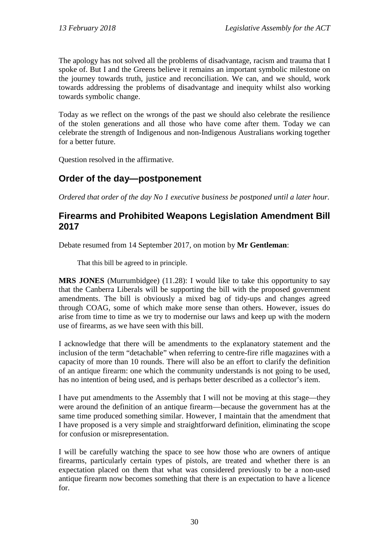The apology has not solved all the problems of disadvantage, racism and trauma that I spoke of. But I and the Greens believe it remains an important symbolic milestone on the journey towards truth, justice and reconciliation. We can, and we should, work towards addressing the problems of disadvantage and inequity whilst also working towards symbolic change.

Today as we reflect on the wrongs of the past we should also celebrate the resilience of the stolen generations and all those who have come after them. Today we can celebrate the strength of Indigenous and non-Indigenous Australians working together for a better future.

Question resolved in the affirmative.

# <span id="page-32-0"></span>**Order of the day—postponement**

*Ordered that order of the day No 1 executive business be postponed until a later hour.*

### <span id="page-32-1"></span>**Firearms and Prohibited Weapons Legislation Amendment Bill 2017**

Debate resumed from 14 September 2017, on motion by **Mr Gentleman**:

That this bill be agreed to in principle.

**MRS JONES** (Murrumbidgee) (11.28): I would like to take this opportunity to say that the Canberra Liberals will be supporting the bill with the proposed government amendments. The bill is obviously a mixed bag of tidy-ups and changes agreed through COAG, some of which make more sense than others. However, issues do arise from time to time as we try to modernise our laws and keep up with the modern use of firearms, as we have seen with this bill.

I acknowledge that there will be amendments to the explanatory statement and the inclusion of the term "detachable" when referring to centre-fire rifle magazines with a capacity of more than 10 rounds. There will also be an effort to clarify the definition of an antique firearm: one which the community understands is not going to be used, has no intention of being used, and is perhaps better described as a collector's item.

I have put amendments to the Assembly that I will not be moving at this stage—they were around the definition of an antique firearm—because the government has at the same time produced something similar. However, I maintain that the amendment that I have proposed is a very simple and straightforward definition, eliminating the scope for confusion or misrepresentation.

I will be carefully watching the space to see how those who are owners of antique firearms, particularly certain types of pistols, are treated and whether there is an expectation placed on them that what was considered previously to be a non-used antique firearm now becomes something that there is an expectation to have a licence for.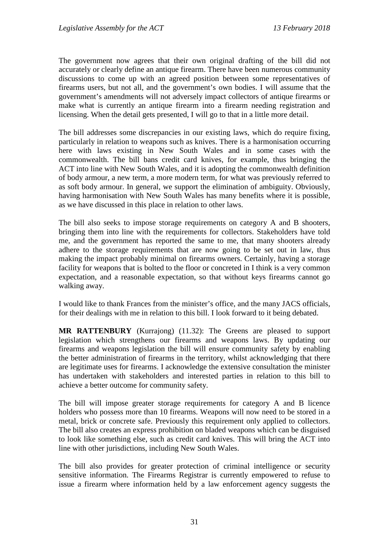The government now agrees that their own original drafting of the bill did not accurately or clearly define an antique firearm. There have been numerous community discussions to come up with an agreed position between some representatives of firearms users, but not all, and the government's own bodies. I will assume that the government's amendments will not adversely impact collectors of antique firearms or make what is currently an antique firearm into a firearm needing registration and licensing. When the detail gets presented, I will go to that in a little more detail.

The bill addresses some discrepancies in our existing laws, which do require fixing, particularly in relation to weapons such as knives. There is a harmonisation occurring here with laws existing in New South Wales and in some cases with the commonwealth. The bill bans credit card knives, for example, thus bringing the ACT into line with New South Wales, and it is adopting the commonwealth definition of body armour, a new term, a more modern term, for what was previously referred to as soft body armour. In general, we support the elimination of ambiguity. Obviously, having harmonisation with New South Wales has many benefits where it is possible, as we have discussed in this place in relation to other laws.

The bill also seeks to impose storage requirements on category A and B shooters, bringing them into line with the requirements for collectors. Stakeholders have told me, and the government has reported the same to me, that many shooters already adhere to the storage requirements that are now going to be set out in law, thus making the impact probably minimal on firearms owners. Certainly, having a storage facility for weapons that is bolted to the floor or concreted in I think is a very common expectation, and a reasonable expectation, so that without keys firearms cannot go walking away.

I would like to thank Frances from the minister's office, and the many JACS officials, for their dealings with me in relation to this bill. I look forward to it being debated.

**MR RATTENBURY** (Kurrajong) (11.32): The Greens are pleased to support legislation which strengthens our firearms and weapons laws. By updating our firearms and weapons legislation the bill will ensure community safety by enabling the better administration of firearms in the territory, whilst acknowledging that there are legitimate uses for firearms. I acknowledge the extensive consultation the minister has undertaken with stakeholders and interested parties in relation to this bill to achieve a better outcome for community safety.

The bill will impose greater storage requirements for category A and B licence holders who possess more than 10 firearms. Weapons will now need to be stored in a metal, brick or concrete safe. Previously this requirement only applied to collectors. The bill also creates an express prohibition on bladed weapons which can be disguised to look like something else, such as credit card knives. This will bring the ACT into line with other jurisdictions, including New South Wales.

The bill also provides for greater protection of criminal intelligence or security sensitive information. The Firearms Registrar is currently empowered to refuse to issue a firearm where information held by a law enforcement agency suggests the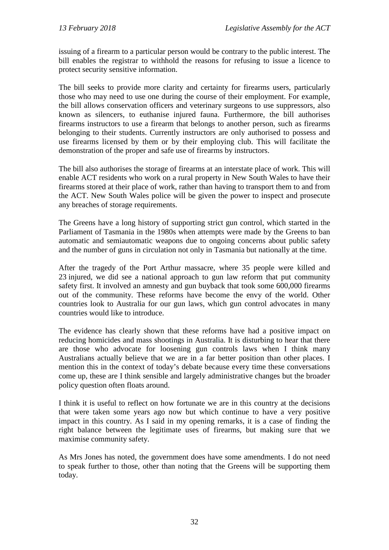issuing of a firearm to a particular person would be contrary to the public interest. The bill enables the registrar to withhold the reasons for refusing to issue a licence to protect security sensitive information.

The bill seeks to provide more clarity and certainty for firearms users, particularly those who may need to use one during the course of their employment. For example, the bill allows conservation officers and veterinary surgeons to use suppressors, also known as silencers, to euthanise injured fauna. Furthermore, the bill authorises firearms instructors to use a firearm that belongs to another person, such as firearms belonging to their students. Currently instructors are only authorised to possess and use firearms licensed by them or by their employing club. This will facilitate the demonstration of the proper and safe use of firearms by instructors.

The bill also authorises the storage of firearms at an interstate place of work. This will enable ACT residents who work on a rural property in New South Wales to have their firearms stored at their place of work, rather than having to transport them to and from the ACT. New South Wales police will be given the power to inspect and prosecute any breaches of storage requirements.

The Greens have a long history of supporting strict gun control, which started in the Parliament of Tasmania in the 1980s when attempts were made by the Greens to ban automatic and semiautomatic weapons due to ongoing concerns about public safety and the number of guns in circulation not only in Tasmania but nationally at the time.

After the tragedy of the Port Arthur massacre, where 35 people were killed and 23 injured, we did see a national approach to gun law reform that put community safety first. It involved an amnesty and gun buyback that took some 600,000 firearms out of the community. These reforms have become the envy of the world. Other countries look to Australia for our gun laws, which gun control advocates in many countries would like to introduce.

The evidence has clearly shown that these reforms have had a positive impact on reducing homicides and mass shootings in Australia. It is disturbing to hear that there are those who advocate for loosening gun controls laws when I think many Australians actually believe that we are in a far better position than other places. I mention this in the context of today's debate because every time these conversations come up, these are I think sensible and largely administrative changes but the broader policy question often floats around.

I think it is useful to reflect on how fortunate we are in this country at the decisions that were taken some years ago now but which continue to have a very positive impact in this country. As I said in my opening remarks, it is a case of finding the right balance between the legitimate uses of firearms, but making sure that we maximise community safety.

As Mrs Jones has noted, the government does have some amendments. I do not need to speak further to those, other than noting that the Greens will be supporting them today.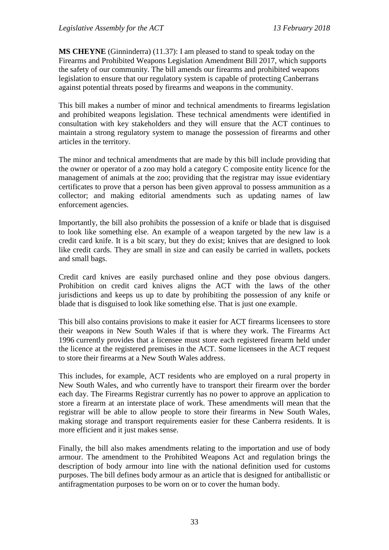**MS CHEYNE** (Ginninderra) (11.37): I am pleased to stand to speak today on the Firearms and Prohibited Weapons Legislation Amendment Bill 2017, which supports the safety of our community. The bill amends our firearms and prohibited weapons legislation to ensure that our regulatory system is capable of protecting Canberrans against potential threats posed by firearms and weapons in the community.

This bill makes a number of minor and technical amendments to firearms legislation and prohibited weapons legislation. These technical amendments were identified in consultation with key stakeholders and they will ensure that the ACT continues to maintain a strong regulatory system to manage the possession of firearms and other articles in the territory.

The minor and technical amendments that are made by this bill include providing that the owner or operator of a zoo may hold a category C composite entity licence for the management of animals at the zoo; providing that the registrar may issue evidentiary certificates to prove that a person has been given approval to possess ammunition as a collector; and making editorial amendments such as updating names of law enforcement agencies.

Importantly, the bill also prohibits the possession of a knife or blade that is disguised to look like something else. An example of a weapon targeted by the new law is a credit card knife. It is a bit scary, but they do exist; knives that are designed to look like credit cards. They are small in size and can easily be carried in wallets, pockets and small bags.

Credit card knives are easily purchased online and they pose obvious dangers. Prohibition on credit card knives aligns the ACT with the laws of the other jurisdictions and keeps us up to date by prohibiting the possession of any knife or blade that is disguised to look like something else. That is just one example.

This bill also contains provisions to make it easier for ACT firearms licensees to store their weapons in New South Wales if that is where they work. The Firearms Act 1996 currently provides that a licensee must store each registered firearm held under the licence at the registered premises in the ACT. Some licensees in the ACT request to store their firearms at a New South Wales address.

This includes, for example, ACT residents who are employed on a rural property in New South Wales, and who currently have to transport their firearm over the border each day. The Firearms Registrar currently has no power to approve an application to store a firearm at an interstate place of work. These amendments will mean that the registrar will be able to allow people to store their firearms in New South Wales, making storage and transport requirements easier for these Canberra residents. It is more efficient and it just makes sense.

Finally, the bill also makes amendments relating to the importation and use of body armour. The amendment to the Prohibited Weapons Act and regulation brings the description of body armour into line with the national definition used for customs purposes. The bill defines body armour as an article that is designed for antiballistic or antifragmentation purposes to be worn on or to cover the human body.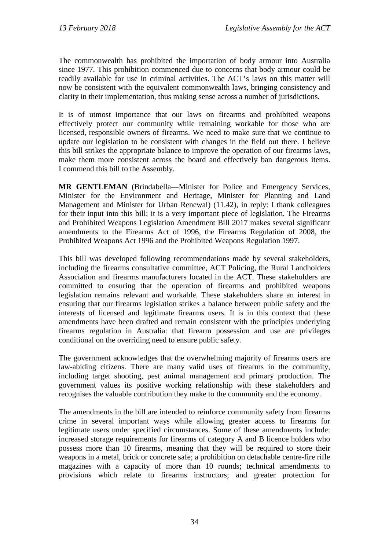The commonwealth has prohibited the importation of body armour into Australia since 1977. This prohibition commenced due to concerns that body armour could be readily available for use in criminal activities. The ACT's laws on this matter will now be consistent with the equivalent commonwealth laws, bringing consistency and clarity in their implementation, thus making sense across a number of jurisdictions.

It is of utmost importance that our laws on firearms and prohibited weapons effectively protect our community while remaining workable for those who are licensed, responsible owners of firearms. We need to make sure that we continue to update our legislation to be consistent with changes in the field out there. I believe this bill strikes the appropriate balance to improve the operation of our firearms laws, make them more consistent across the board and effectively ban dangerous items. I commend this bill to the Assembly.

**MR GENTLEMAN** (Brindabella—Minister for Police and Emergency Services, Minister for the Environment and Heritage, Minister for Planning and Land Management and Minister for Urban Renewal) (11.42), in reply: I thank colleagues for their input into this bill; it is a very important piece of legislation. The Firearms and Prohibited Weapons Legislation Amendment Bill 2017 makes several significant amendments to the Firearms Act of 1996, the Firearms Regulation of 2008, the Prohibited Weapons Act 1996 and the Prohibited Weapons Regulation 1997.

This bill was developed following recommendations made by several stakeholders, including the firearms consultative committee, ACT Policing, the Rural Landholders Association and firearms manufacturers located in the ACT. These stakeholders are committed to ensuring that the operation of firearms and prohibited weapons legislation remains relevant and workable. These stakeholders share an interest in ensuring that our firearms legislation strikes a balance between public safety and the interests of licensed and legitimate firearms users. It is in this context that these amendments have been drafted and remain consistent with the principles underlying firearms regulation in Australia: that firearm possession and use are privileges conditional on the overriding need to ensure public safety.

The government acknowledges that the overwhelming majority of firearms users are law-abiding citizens. There are many valid uses of firearms in the community, including target shooting, pest animal management and primary production. The government values its positive working relationship with these stakeholders and recognises the valuable contribution they make to the community and the economy.

The amendments in the bill are intended to reinforce community safety from firearms crime in several important ways while allowing greater access to firearms for legitimate users under specified circumstances. Some of these amendments include: increased storage requirements for firearms of category A and B licence holders who possess more than 10 firearms, meaning that they will be required to store their weapons in a metal, brick or concrete safe; a prohibition on detachable centre-fire rifle magazines with a capacity of more than 10 rounds; technical amendments to provisions which relate to firearms instructors; and greater protection for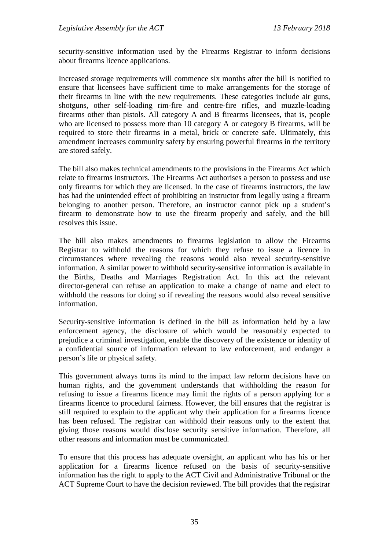security-sensitive information used by the Firearms Registrar to inform decisions about firearms licence applications.

Increased storage requirements will commence six months after the bill is notified to ensure that licensees have sufficient time to make arrangements for the storage of their firearms in line with the new requirements. These categories include air guns, shotguns, other self-loading rim-fire and centre-fire rifles, and muzzle-loading firearms other than pistols. All category A and B firearms licensees, that is, people who are licensed to possess more than 10 category A or category B firearms, will be required to store their firearms in a metal, brick or concrete safe. Ultimately, this amendment increases community safety by ensuring powerful firearms in the territory are stored safely.

The bill also makes technical amendments to the provisions in the Firearms Act which relate to firearms instructors. The Firearms Act authorises a person to possess and use only firearms for which they are licensed. In the case of firearms instructors, the law has had the unintended effect of prohibiting an instructor from legally using a firearm belonging to another person. Therefore, an instructor cannot pick up a student's firearm to demonstrate how to use the firearm properly and safely, and the bill resolves this issue.

The bill also makes amendments to firearms legislation to allow the Firearms Registrar to withhold the reasons for which they refuse to issue a licence in circumstances where revealing the reasons would also reveal security-sensitive information. A similar power to withhold security-sensitive information is available in the Births, Deaths and Marriages Registration Act. In this act the relevant director-general can refuse an application to make a change of name and elect to withhold the reasons for doing so if revealing the reasons would also reveal sensitive information.

Security-sensitive information is defined in the bill as information held by a law enforcement agency, the disclosure of which would be reasonably expected to prejudice a criminal investigation, enable the discovery of the existence or identity of a confidential source of information relevant to law enforcement, and endanger a person's life or physical safety.

This government always turns its mind to the impact law reform decisions have on human rights, and the government understands that withholding the reason for refusing to issue a firearms licence may limit the rights of a person applying for a firearms licence to procedural fairness. However, the bill ensures that the registrar is still required to explain to the applicant why their application for a firearms licence has been refused. The registrar can withhold their reasons only to the extent that giving those reasons would disclose security sensitive information. Therefore, all other reasons and information must be communicated.

To ensure that this process has adequate oversight, an applicant who has his or her application for a firearms licence refused on the basis of security-sensitive information has the right to apply to the ACT Civil and Administrative Tribunal or the ACT Supreme Court to have the decision reviewed. The bill provides that the registrar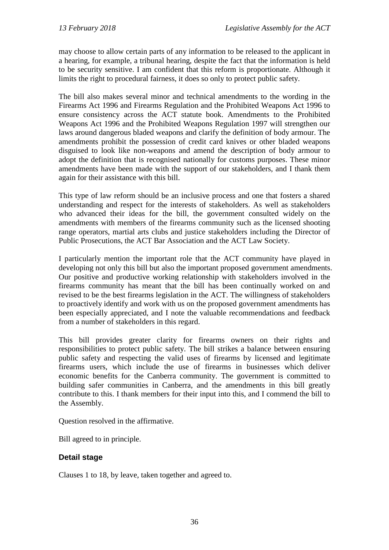may choose to allow certain parts of any information to be released to the applicant in a hearing, for example, a tribunal hearing, despite the fact that the information is held to be security sensitive. I am confident that this reform is proportionate. Although it limits the right to procedural fairness, it does so only to protect public safety.

The bill also makes several minor and technical amendments to the wording in the Firearms Act 1996 and Firearms Regulation and the Prohibited Weapons Act 1996 to ensure consistency across the ACT statute book. Amendments to the Prohibited Weapons Act 1996 and the Prohibited Weapons Regulation 1997 will strengthen our laws around dangerous bladed weapons and clarify the definition of body armour. The amendments prohibit the possession of credit card knives or other bladed weapons disguised to look like non-weapons and amend the description of body armour to adopt the definition that is recognised nationally for customs purposes. These minor amendments have been made with the support of our stakeholders, and I thank them again for their assistance with this bill.

This type of law reform should be an inclusive process and one that fosters a shared understanding and respect for the interests of stakeholders. As well as stakeholders who advanced their ideas for the bill, the government consulted widely on the amendments with members of the firearms community such as the licensed shooting range operators, martial arts clubs and justice stakeholders including the Director of Public Prosecutions, the ACT Bar Association and the ACT Law Society.

I particularly mention the important role that the ACT community have played in developing not only this bill but also the important proposed government amendments. Our positive and productive working relationship with stakeholders involved in the firearms community has meant that the bill has been continually worked on and revised to be the best firearms legislation in the ACT. The willingness of stakeholders to proactively identify and work with us on the proposed government amendments has been especially appreciated, and I note the valuable recommendations and feedback from a number of stakeholders in this regard.

This bill provides greater clarity for firearms owners on their rights and responsibilities to protect public safety. The bill strikes a balance between ensuring public safety and respecting the valid uses of firearms by licensed and legitimate firearms users, which include the use of firearms in businesses which deliver economic benefits for the Canberra community. The government is committed to building safer communities in Canberra, and the amendments in this bill greatly contribute to this. I thank members for their input into this, and I commend the bill to the Assembly.

Question resolved in the affirmative.

Bill agreed to in principle.

## **Detail stage**

Clauses 1 to 18, by leave, taken together and agreed to.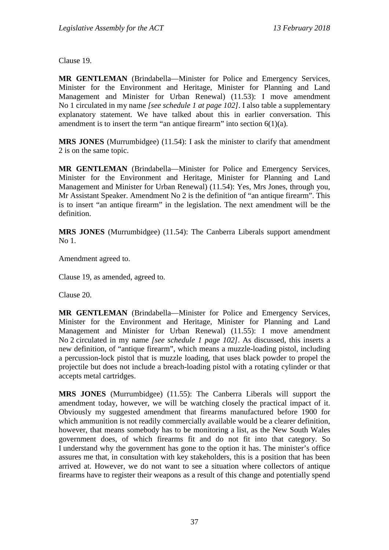Clause 19.

**MR GENTLEMAN** (Brindabella—Minister for Police and Emergency Services, Minister for the Environment and Heritage, Minister for Planning and Land Management and Minister for Urban Renewal) (11.53): I move amendment No 1 circulated in my name *[see schedule 1 at page 102]*. I also table a supplementary explanatory statement. We have talked about this in earlier conversation. This amendment is to insert the term "an antique firearm" into section  $6(1)(a)$ .

**MRS JONES** (Murrumbidgee) (11.54): I ask the minister to clarify that amendment 2 is on the same topic.

**MR GENTLEMAN** (Brindabella—Minister for Police and Emergency Services, Minister for the Environment and Heritage, Minister for Planning and Land Management and Minister for Urban Renewal) (11.54): Yes, Mrs Jones, through you, Mr Assistant Speaker. Amendment No 2 is the definition of "an antique firearm". This is to insert "an antique firearm" in the legislation. The next amendment will be the definition.

**MRS JONES** (Murrumbidgee) (11.54): The Canberra Liberals support amendment No 1.

Amendment agreed to.

Clause 19, as amended, agreed to.

Clause 20.

**MR GENTLEMAN** (Brindabella—Minister for Police and Emergency Services, Minister for the Environment and Heritage, Minister for Planning and Land Management and Minister for Urban Renewal) (11.55): I move amendment No 2 circulated in my name *[see schedule 1 page 102]*. As discussed, this inserts a new definition, of "antique firearm", which means a muzzle-loading pistol, including a percussion-lock pistol that is muzzle loading, that uses black powder to propel the projectile but does not include a breach-loading pistol with a rotating cylinder or that accepts metal cartridges.

**MRS JONES** (Murrumbidgee) (11.55): The Canberra Liberals will support the amendment today, however, we will be watching closely the practical impact of it. Obviously my suggested amendment that firearms manufactured before 1900 for which ammunition is not readily commercially available would be a clearer definition, however, that means somebody has to be monitoring a list, as the New South Wales government does, of which firearms fit and do not fit into that category. So I understand why the government has gone to the option it has. The minister's office assures me that, in consultation with key stakeholders, this is a position that has been arrived at. However, we do not want to see a situation where collectors of antique firearms have to register their weapons as a result of this change and potentially spend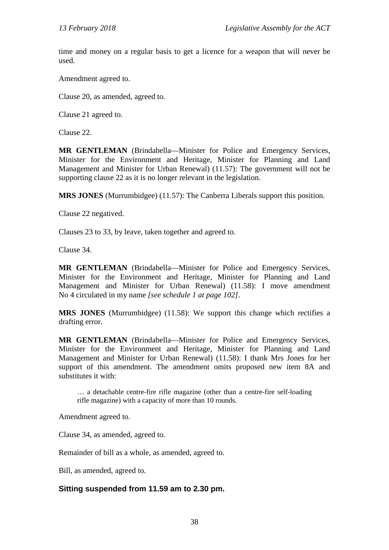time and money on a regular basis to get a licence for a weapon that will never be used.

Amendment agreed to.

Clause 20, as amended, agreed to.

Clause 21 agreed to.

Clause 22.

**MR GENTLEMAN** (Brindabella—Minister for Police and Emergency Services, Minister for the Environment and Heritage, Minister for Planning and Land Management and Minister for Urban Renewal) (11.57): The government will not be supporting clause 22 as it is no longer relevant in the legislation.

**MRS JONES** (Murrumbidgee) (11.57): The Canberra Liberals support this position.

Clause 22 negatived.

Clauses 23 to 33, by leave, taken together and agreed to.

Clause 34.

**MR GENTLEMAN** (Brindabella—Minister for Police and Emergency Services, Minister for the Environment and Heritage, Minister for Planning and Land Management and Minister for Urban Renewal) (11.58): I move amendment No 4 circulated in my name *[see schedule 1 at page 102]*.

**MRS JONES** (Murrumbidgee) (11.58): We support this change which rectifies a drafting error.

**MR GENTLEMAN** (Brindabella—Minister for Police and Emergency Services, Minister for the Environment and Heritage, Minister for Planning and Land Management and Minister for Urban Renewal) (11.58): I thank Mrs Jones for her support of this amendment. The amendment omits proposed new item 8A and substitutes it with:

… a detachable centre-fire rifle magazine (other than a centre-fire self-loading rifle magazine) with a capacity of more than 10 rounds.

Amendment agreed to.

Clause 34, as amended, agreed to.

Remainder of bill as a whole, as amended, agreed to.

Bill, as amended, agreed to.

#### **Sitting suspended from 11.59 am to 2.30 pm.**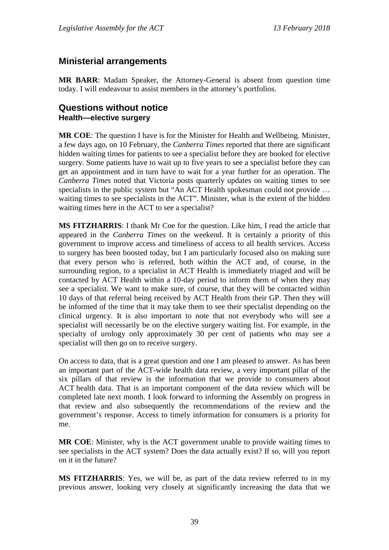## **Ministerial arrangements**

**MR BARR**: Madam Speaker, the Attorney-General is absent from question time today. I will endeavour to assist members in the attorney's portfolios.

## **Questions without notice Health—elective surgery**

**MR COE**: The question I have is for the Minister for Health and Wellbeing. Minister, a few days ago, on 10 February, the *Canberra Times* reported that there are significant hidden waiting times for patients to see a specialist before they are booked for elective surgery. Some patients have to wait up to five years to see a specialist before they can get an appointment and in turn have to wait for a year further for an operation. The *Canberra Times* noted that Victoria posts quarterly updates on waiting times to see specialists in the public system but "An ACT Health spokesman could not provide ... waiting times to see specialists in the ACT". Minister, what is the extent of the hidden waiting times here in the ACT to see a specialist?

**MS FITZHARRIS**: I thank Mr Coe for the question. Like him, I read the article that appeared in the *Canberra Times* on the weekend. It is certainly a priority of this government to improve access and timeliness of access to all health services. Access to surgery has been boosted today, but I am particularly focused also on making sure that every person who is referred, both within the ACT and, of course, in the surrounding region, to a specialist in ACT Health is immediately triaged and will be contacted by ACT Health within a 10-day period to inform them of when they may see a specialist. We want to make sure, of course, that they will be contacted within 10 days of that referral being received by ACT Health from their GP. Then they will be informed of the time that it may take them to see their specialist depending on the clinical urgency. It is also important to note that not everybody who will see a specialist will necessarily be on the elective surgery waiting list. For example, in the specialty of urology only approximately 30 per cent of patients who may see a specialist will then go on to receive surgery.

On access to data, that is a great question and one I am pleased to answer. As has been an important part of the ACT-wide health data review, a very important pillar of the six pillars of that review is the information that we provide to consumers about ACT health data. That is an important component of the data review which will be completed late next month. I look forward to informing the Assembly on progress in that review and also subsequently the recommendations of the review and the government's response. Access to timely information for consumers is a priority for me.

**MR COE**: Minister, why is the ACT government unable to provide waiting times to see specialists in the ACT system? Does the data actually exist? If so, will you report on it in the future?

**MS FITZHARRIS**: Yes, we will be, as part of the data review referred to in my previous answer, looking very closely at significantly increasing the data that we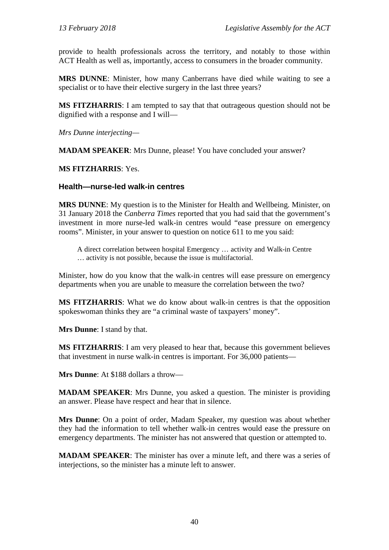provide to health professionals across the territory, and notably to those within ACT Health as well as, importantly, access to consumers in the broader community.

**MRS DUNNE**: Minister, how many Canberrans have died while waiting to see a specialist or to have their elective surgery in the last three years?

**MS FITZHARRIS**: I am tempted to say that that outrageous question should not be dignified with a response and I will—

*Mrs Dunne interjecting—*

**MADAM SPEAKER**: Mrs Dunne, please! You have concluded your answer?

**MS FITZHARRIS**: Yes.

#### **Health—nurse-led walk-in centres**

**MRS DUNNE**: My question is to the Minister for Health and Wellbeing. Minister, on 31 January 2018 the *Canberra Times* reported that you had said that the government's investment in more nurse-led walk-in centres would "ease pressure on emergency rooms". Minister, in your answer to question on notice 611 to me you said:

A direct correlation between hospital Emergency … activity and Walk-in Centre … activity is not possible, because the issue is multifactorial.

Minister, how do you know that the walk-in centres will ease pressure on emergency departments when you are unable to measure the correlation between the two?

**MS FITZHARRIS**: What we do know about walk-in centres is that the opposition spokeswoman thinks they are "a criminal waste of taxpayers' money".

**Mrs Dunne**: I stand by that.

**MS FITZHARRIS**: I am very pleased to hear that, because this government believes that investment in nurse walk-in centres is important. For 36,000 patients—

**Mrs Dunne**: At \$188 dollars a throw—

**MADAM SPEAKER**: Mrs Dunne, you asked a question. The minister is providing an answer. Please have respect and hear that in silence.

**Mrs Dunne**: On a point of order, Madam Speaker, my question was about whether they had the information to tell whether walk-in centres would ease the pressure on emergency departments. The minister has not answered that question or attempted to.

**MADAM SPEAKER:** The minister has over a minute left, and there was a series of interjections, so the minister has a minute left to answer.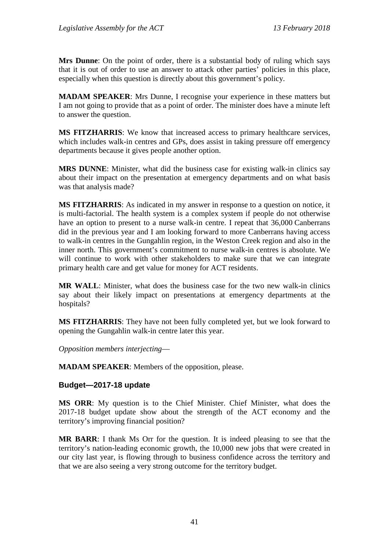**Mrs Dunne**: On the point of order, there is a substantial body of ruling which says that it is out of order to use an answer to attack other parties' policies in this place, especially when this question is directly about this government's policy.

**MADAM SPEAKER**: Mrs Dunne, I recognise your experience in these matters but I am not going to provide that as a point of order. The minister does have a minute left to answer the question.

**MS FITZHARRIS**: We know that increased access to primary healthcare services, which includes walk-in centres and GPs, does assist in taking pressure off emergency departments because it gives people another option.

**MRS DUNNE**: Minister, what did the business case for existing walk-in clinics say about their impact on the presentation at emergency departments and on what basis was that analysis made?

**MS FITZHARRIS**: As indicated in my answer in response to a question on notice, it is multi-factorial. The health system is a complex system if people do not otherwise have an option to present to a nurse walk-in centre. I repeat that 36,000 Canberrans did in the previous year and I am looking forward to more Canberrans having access to walk-in centres in the Gungahlin region, in the Weston Creek region and also in the inner north. This government's commitment to nurse walk-in centres is absolute. We will continue to work with other stakeholders to make sure that we can integrate primary health care and get value for money for ACT residents.

**MR WALL**: Minister, what does the business case for the two new walk-in clinics say about their likely impact on presentations at emergency departments at the hospitals?

**MS FITZHARRIS**: They have not been fully completed yet, but we look forward to opening the Gungahlin walk-in centre later this year.

*Opposition members interjecting*—

**MADAM SPEAKER**: Members of the opposition, please.

#### **Budget—2017-18 update**

**MS ORR**: My question is to the Chief Minister. Chief Minister, what does the 2017-18 budget update show about the strength of the ACT economy and the territory's improving financial position?

**MR BARR**: I thank Ms Orr for the question. It is indeed pleasing to see that the territory's nation-leading economic growth, the 10,000 new jobs that were created in our city last year, is flowing through to business confidence across the territory and that we are also seeing a very strong outcome for the territory budget.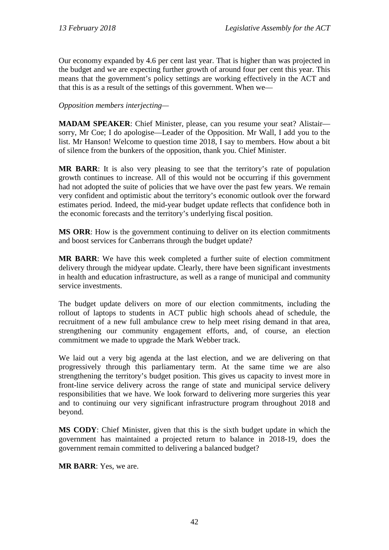Our economy expanded by 4.6 per cent last year. That is higher than was projected in the budget and we are expecting further growth of around four per cent this year. This means that the government's policy settings are working effectively in the ACT and that this is as a result of the settings of this government. When we—

#### *Opposition members interjecting—*

**MADAM SPEAKER**: Chief Minister, please, can you resume your seat? Alistair sorry, Mr Coe; I do apologise—Leader of the Opposition. Mr Wall, I add you to the list. Mr Hanson! Welcome to question time 2018, I say to members. How about a bit of silence from the bunkers of the opposition, thank you. Chief Minister.

**MR BARR**: It is also very pleasing to see that the territory's rate of population growth continues to increase. All of this would not be occurring if this government had not adopted the suite of policies that we have over the past few years. We remain very confident and optimistic about the territory's economic outlook over the forward estimates period. Indeed, the mid-year budget update reflects that confidence both in the economic forecasts and the territory's underlying fiscal position.

**MS ORR**: How is the government continuing to deliver on its election commitments and boost services for Canberrans through the budget update?

**MR BARR**: We have this week completed a further suite of election commitment delivery through the midyear update. Clearly, there have been significant investments in health and education infrastructure, as well as a range of municipal and community service investments.

The budget update delivers on more of our election commitments, including the rollout of laptops to students in ACT public high schools ahead of schedule, the recruitment of a new full ambulance crew to help meet rising demand in that area, strengthening our community engagement efforts, and, of course, an election commitment we made to upgrade the Mark Webber track.

We laid out a very big agenda at the last election, and we are delivering on that progressively through this parliamentary term. At the same time we are also strengthening the territory's budget position. This gives us capacity to invest more in front-line service delivery across the range of state and municipal service delivery responsibilities that we have. We look forward to delivering more surgeries this year and to continuing our very significant infrastructure program throughout 2018 and beyond.

**MS CODY**: Chief Minister, given that this is the sixth budget update in which the government has maintained a projected return to balance in 2018-19, does the government remain committed to delivering a balanced budget?

**MR BARR**: Yes, we are.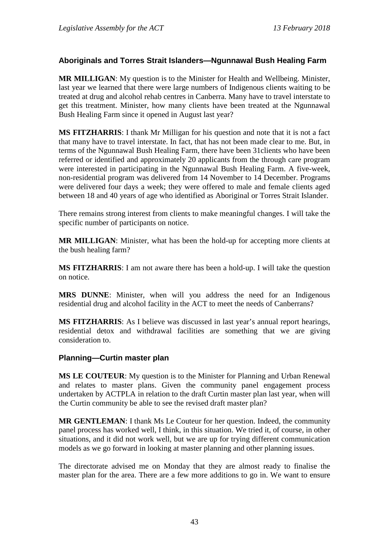## **Aboriginals and Torres Strait Islanders—Ngunnawal Bush Healing Farm**

**MR MILLIGAN**: My question is to the Minister for Health and Wellbeing. Minister, last year we learned that there were large numbers of Indigenous clients waiting to be treated at drug and alcohol rehab centres in Canberra. Many have to travel interstate to get this treatment. Minister, how many clients have been treated at the Ngunnawal Bush Healing Farm since it opened in August last year?

**MS FITZHARRIS**: I thank Mr Milligan for his question and note that it is not a fact that many have to travel interstate. In fact, that has not been made clear to me. But, in terms of the Ngunnawal Bush Healing Farm, there have been 31clients who have been referred or identified and approximately 20 applicants from the through care program were interested in participating in the Ngunnawal Bush Healing Farm. A five-week, non-residential program was delivered from 14 November to 14 December. Programs were delivered four days a week; they were offered to male and female clients aged between 18 and 40 years of age who identified as Aboriginal or Torres Strait Islander.

There remains strong interest from clients to make meaningful changes. I will take the specific number of participants on notice.

**MR MILLIGAN**: Minister, what has been the hold-up for accepting more clients at the bush healing farm?

**MS FITZHARRIS**: I am not aware there has been a hold-up. I will take the question on notice.

**MRS DUNNE**: Minister, when will you address the need for an Indigenous residential drug and alcohol facility in the ACT to meet the needs of Canberrans?

**MS FITZHARRIS**: As I believe was discussed in last year's annual report hearings, residential detox and withdrawal facilities are something that we are giving consideration to.

#### **Planning—Curtin master plan**

**MS LE COUTEUR**: My question is to the Minister for Planning and Urban Renewal and relates to master plans. Given the community panel engagement process undertaken by ACTPLA in relation to the draft Curtin master plan last year, when will the Curtin community be able to see the revised draft master plan?

**MR GENTLEMAN**: I thank Ms Le Couteur for her question. Indeed, the community panel process has worked well, I think, in this situation. We tried it, of course, in other situations, and it did not work well, but we are up for trying different communication models as we go forward in looking at master planning and other planning issues.

The directorate advised me on Monday that they are almost ready to finalise the master plan for the area. There are a few more additions to go in. We want to ensure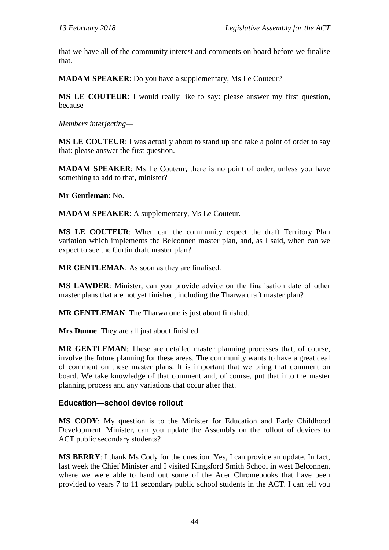that we have all of the community interest and comments on board before we finalise that.

**MADAM SPEAKER**: Do you have a supplementary, Ms Le Couteur?

**MS LE COUTEUR**: I would really like to say: please answer my first question, because—

*Members interjecting—*

**MS LE COUTEUR**: I was actually about to stand up and take a point of order to say that: please answer the first question.

**MADAM SPEAKER**: Ms Le Couteur, there is no point of order, unless you have something to add to that, minister?

**Mr Gentleman**: No.

**MADAM SPEAKER**: A supplementary, Ms Le Couteur.

**MS LE COUTEUR**: When can the community expect the draft Territory Plan variation which implements the Belconnen master plan, and, as I said, when can we expect to see the Curtin draft master plan?

**MR GENTLEMAN**: As soon as they are finalised.

**MS LAWDER**: Minister, can you provide advice on the finalisation date of other master plans that are not yet finished, including the Tharwa draft master plan?

**MR GENTLEMAN**: The Tharwa one is just about finished.

**Mrs Dunne**: They are all just about finished.

**MR GENTLEMAN**: These are detailed master planning processes that, of course, involve the future planning for these areas. The community wants to have a great deal of comment on these master plans. It is important that we bring that comment on board. We take knowledge of that comment and, of course, put that into the master planning process and any variations that occur after that.

#### **Education—school device rollout**

**MS CODY**: My question is to the Minister for Education and Early Childhood Development. Minister, can you update the Assembly on the rollout of devices to ACT public secondary students?

**MS BERRY**: I thank Ms Cody for the question. Yes, I can provide an update. In fact, last week the Chief Minister and I visited Kingsford Smith School in west Belconnen, where we were able to hand out some of the Acer Chromebooks that have been provided to years 7 to 11 secondary public school students in the ACT. I can tell you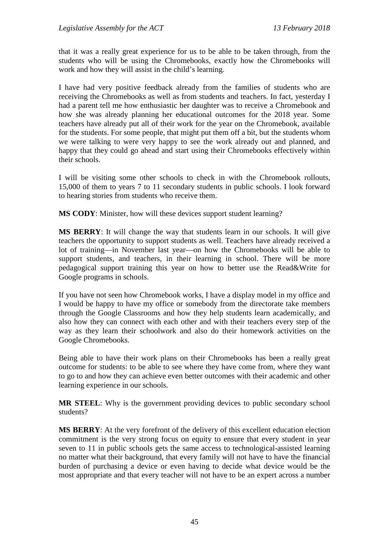that it was a really great experience for us to be able to be taken through, from the students who will be using the Chromebooks, exactly how the Chromebooks will work and how they will assist in the child's learning.

I have had very positive feedback already from the families of students who are receiving the Chromebooks as well as from students and teachers. In fact, yesterday I had a parent tell me how enthusiastic her daughter was to receive a Chromebook and how she was already planning her educational outcomes for the 2018 year. Some teachers have already put all of their work for the year on the Chromebook, available for the students. For some people, that might put them off a bit, but the students whom we were talking to were very happy to see the work already out and planned, and happy that they could go ahead and start using their Chromebooks effectively within their schools.

I will be visiting some other schools to check in with the Chromebook rollouts, 15,000 of them to years 7 to 11 secondary students in public schools. I look forward to hearing stories from students who receive them.

**MS CODY**: Minister, how will these devices support student learning?

**MS BERRY**: It will change the way that students learn in our schools. It will give teachers the opportunity to support students as well. Teachers have already received a lot of training—in November last year—on how the Chromebooks will be able to support students, and teachers, in their learning in school. There will be more pedagogical support training this year on how to better use the Read&Write for Google programs in schools.

If you have not seen how Chromebook works, I have a display model in my office and I would be happy to have my office or somebody from the directorate take members through the Google Classrooms and how they help students learn academically, and also how they can connect with each other and with their teachers every step of the way as they learn their schoolwork and also do their homework activities on the Google Chromebooks.

Being able to have their work plans on their Chromebooks has been a really great outcome for students: to be able to see where they have come from, where they want to go to and how they can achieve even better outcomes with their academic and other learning experience in our schools.

**MR STEEL:** Why is the government providing devices to public secondary school students?

**MS BERRY**: At the very forefront of the delivery of this excellent education election commitment is the very strong focus on equity to ensure that every student in year seven to 11 in public schools gets the same access to technological-assisted learning no matter what their background, that every family will not have to have the financial burden of purchasing a device or even having to decide what device would be the most appropriate and that every teacher will not have to be an expert across a number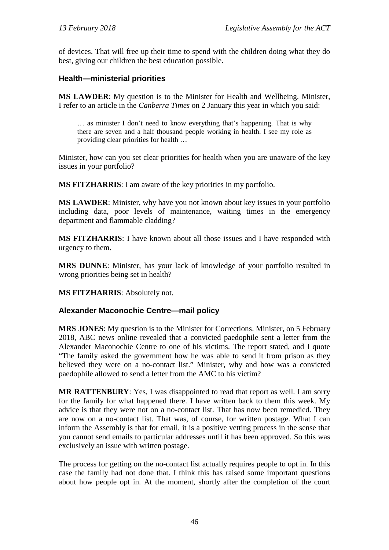of devices. That will free up their time to spend with the children doing what they do best, giving our children the best education possible.

## **Health—ministerial priorities**

**MS LAWDER**: My question is to the Minister for Health and Wellbeing. Minister, I refer to an article in the *Canberra Times* on 2 January this year in which you said:

… as minister I don't need to know everything that's happening. That is why there are seven and a half thousand people working in health. I see my role as providing clear priorities for health …

Minister, how can you set clear priorities for health when you are unaware of the key issues in your portfolio?

**MS FITZHARRIS**: I am aware of the key priorities in my portfolio.

**MS LAWDER**: Minister, why have you not known about key issues in your portfolio including data, poor levels of maintenance, waiting times in the emergency department and flammable cladding?

**MS FITZHARRIS**: I have known about all those issues and I have responded with urgency to them.

**MRS DUNNE**: Minister, has your lack of knowledge of your portfolio resulted in wrong priorities being set in health?

**MS FITZHARRIS**: Absolutely not.

#### **Alexander Maconochie Centre—mail policy**

**MRS JONES**: My question is to the Minister for Corrections. Minister, on 5 February 2018, ABC news online revealed that a convicted paedophile sent a letter from the Alexander Maconochie Centre to one of his victims. The report stated, and I quote "The family asked the government how he was able to send it from prison as they believed they were on a no-contact list." Minister, why and how was a convicted paedophile allowed to send a letter from the AMC to his victim?

**MR RATTENBURY**: Yes, I was disappointed to read that report as well. I am sorry for the family for what happened there. I have written back to them this week. My advice is that they were not on a no-contact list. That has now been remedied. They are now on a no-contact list. That was, of course, for written postage. What I can inform the Assembly is that for email, it is a positive vetting process in the sense that you cannot send emails to particular addresses until it has been approved. So this was exclusively an issue with written postage.

The process for getting on the no-contact list actually requires people to opt in. In this case the family had not done that. I think this has raised some important questions about how people opt in. At the moment, shortly after the completion of the court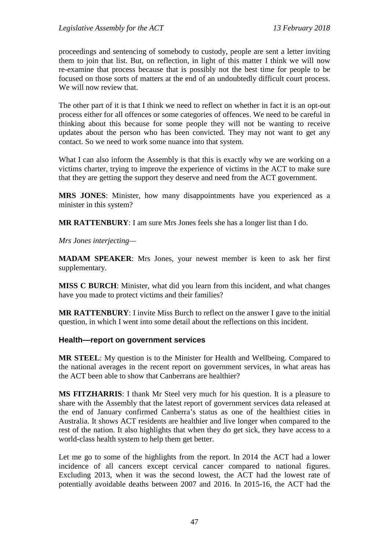proceedings and sentencing of somebody to custody, people are sent a letter inviting them to join that list. But, on reflection, in light of this matter I think we will now re-examine that process because that is possibly not the best time for people to be focused on those sorts of matters at the end of an undoubtedly difficult court process. We will now review that.

The other part of it is that I think we need to reflect on whether in fact it is an opt-out process either for all offences or some categories of offences. We need to be careful in thinking about this because for some people they will not be wanting to receive updates about the person who has been convicted. They may not want to get any contact. So we need to work some nuance into that system.

What I can also inform the Assembly is that this is exactly why we are working on a victims charter, trying to improve the experience of victims in the ACT to make sure that they are getting the support they deserve and need from the ACT government.

**MRS JONES**: Minister, how many disappointments have you experienced as a minister in this system?

**MR RATTENBURY**: I am sure Mrs Jones feels she has a longer list than I do.

*Mrs Jones interjecting—*

**MADAM SPEAKER**: Mrs Jones, your newest member is keen to ask her first supplementary.

**MISS C BURCH**: Minister, what did you learn from this incident, and what changes have you made to protect victims and their families?

**MR RATTENBURY**: I invite Miss Burch to reflect on the answer I gave to the initial question, in which I went into some detail about the reflections on this incident.

#### **Health—report on government services**

**MR STEEL**: My question is to the Minister for Health and Wellbeing. Compared to the national averages in the recent report on government services, in what areas has the ACT been able to show that Canberrans are healthier?

**MS FITZHARRIS**: I thank Mr Steel very much for his question. It is a pleasure to share with the Assembly that the latest report of government services data released at the end of January confirmed Canberra's status as one of the healthiest cities in Australia. It shows ACT residents are healthier and live longer when compared to the rest of the nation. It also highlights that when they do get sick, they have access to a world-class health system to help them get better.

Let me go to some of the highlights from the report. In 2014 the ACT had a lower incidence of all cancers except cervical cancer compared to national figures. Excluding 2013, when it was the second lowest, the ACT had the lowest rate of potentially avoidable deaths between 2007 and 2016. In 2015-16, the ACT had the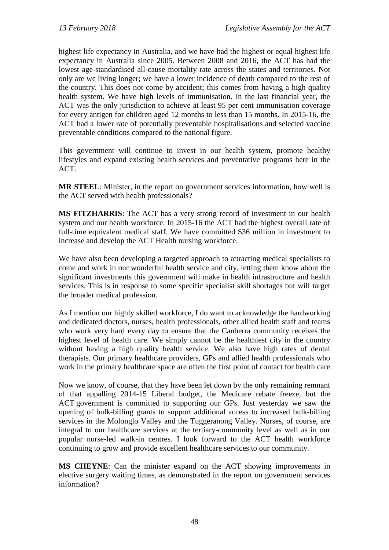highest life expectancy in Australia, and we have had the highest or equal highest life expectancy in Australia since 2005. Between 2008 and 2016, the ACT has had the lowest age-standardised all-cause mortality rate across the states and territories. Not only are we living longer; we have a lower incidence of death compared to the rest of the country. This does not come by accident; this comes from having a high quality health system. We have high levels of immunisation. In the last financial year, the ACT was the only jurisdiction to achieve at least 95 per cent immunisation coverage for every antigen for children aged 12 months to less than 15 months. In 2015-16, the ACT had a lower rate of potentially preventable hospitalisations and selected vaccine preventable conditions compared to the national figure.

This government will continue to invest in our health system, promote healthy lifestyles and expand existing health services and preventative programs here in the ACT.

**MR STEEL**: Minister, in the report on government services information, how well is the ACT served with health professionals?

**MS FITZHARRIS**: The ACT has a very strong record of investment in our health system and our health workforce. In 2015-16 the ACT had the highest overall rate of full-time equivalent medical staff. We have committed \$36 million in investment to increase and develop the ACT Health nursing workforce.

We have also been developing a targeted approach to attracting medical specialists to come and work in our wonderful health service and city, letting them know about the significant investments this government will make in health infrastructure and health services. This is in response to some specific specialist skill shortages but will target the broader medical profession.

As I mention our highly skilled workforce, I do want to acknowledge the hardworking and dedicated doctors, nurses, health professionals, other allied health staff and teams who work very hard every day to ensure that the Canberra community receives the highest level of health care. We simply cannot be the healthiest city in the country without having a high quality health service. We also have high rates of dental therapists. Our primary healthcare providers, GPs and allied health professionals who work in the primary healthcare space are often the first point of contact for health care.

Now we know, of course, that they have been let down by the only remaining remnant of that appalling 2014-15 Liberal budget, the Medicare rebate freeze, but the ACT government is committed to supporting our GPs. Just yesterday we saw the opening of bulk-billing grants to support additional access to increased bulk-billing services in the Molonglo Valley and the Tuggeranong Valley. Nurses, of course, are integral to our healthcare services at the tertiary-community level as well as in our popular nurse-led walk-in centres. I look forward to the ACT health workforce continuing to grow and provide excellent healthcare services to our community.

**MS CHEYNE**: Can the minister expand on the ACT showing improvements in elective surgery waiting times, as demonstrated in the report on government services information?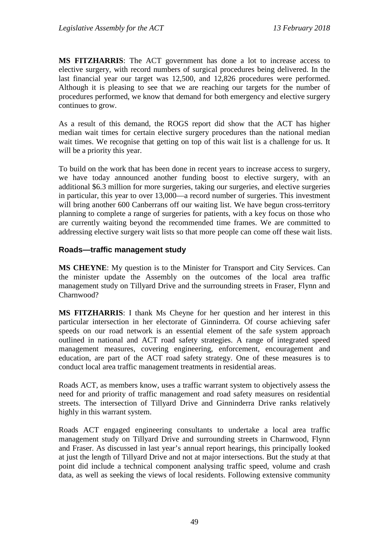**MS FITZHARRIS**: The ACT government has done a lot to increase access to elective surgery, with record numbers of surgical procedures being delivered. In the last financial year our target was 12,500, and 12,826 procedures were performed. Although it is pleasing to see that we are reaching our targets for the number of procedures performed, we know that demand for both emergency and elective surgery continues to grow.

As a result of this demand, the ROGS report did show that the ACT has higher median wait times for certain elective surgery procedures than the national median wait times. We recognise that getting on top of this wait list is a challenge for us. It will be a priority this year.

To build on the work that has been done in recent years to increase access to surgery, we have today announced another funding boost to elective surgery, with an additional \$6.3 million for more surgeries, taking our surgeries, and elective surgeries in particular, this year to over 13,000—a record number of surgeries. This investment will bring another 600 Canberrans off our waiting list. We have begun cross-territory planning to complete a range of surgeries for patients, with a key focus on those who are currently waiting beyond the recommended time frames. We are committed to addressing elective surgery wait lists so that more people can come off these wait lists.

#### **Roads—traffic management study**

**MS CHEYNE**: My question is to the Minister for Transport and City Services. Can the minister update the Assembly on the outcomes of the local area traffic management study on Tillyard Drive and the surrounding streets in Fraser, Flynn and Charnwood?

**MS FITZHARRIS**: I thank Ms Cheyne for her question and her interest in this particular intersection in her electorate of Ginninderra. Of course achieving safer speeds on our road network is an essential element of the safe system approach outlined in national and ACT road safety strategies. A range of integrated speed management measures, covering engineering, enforcement, encouragement and education, are part of the ACT road safety strategy. One of these measures is to conduct local area traffic management treatments in residential areas.

Roads ACT, as members know, uses a traffic warrant system to objectively assess the need for and priority of traffic management and road safety measures on residential streets. The intersection of Tillyard Drive and Ginninderra Drive ranks relatively highly in this warrant system.

Roads ACT engaged engineering consultants to undertake a local area traffic management study on Tillyard Drive and surrounding streets in Charnwood, Flynn and Fraser. As discussed in last year's annual report hearings, this principally looked at just the length of Tillyard Drive and not at major intersections. But the study at that point did include a technical component analysing traffic speed, volume and crash data, as well as seeking the views of local residents. Following extensive community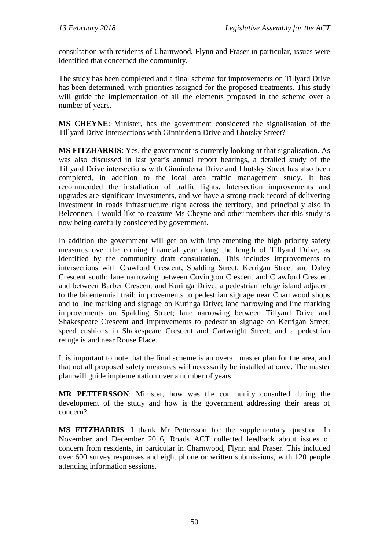consultation with residents of Charnwood, Flynn and Fraser in particular, issues were identified that concerned the community.

The study has been completed and a final scheme for improvements on Tillyard Drive has been determined, with priorities assigned for the proposed treatments. This study will guide the implementation of all the elements proposed in the scheme over a number of years.

**MS CHEYNE**: Minister, has the government considered the signalisation of the Tillyard Drive intersections with Ginninderra Drive and Lhotsky Street?

**MS FITZHARRIS**: Yes, the government is currently looking at that signalisation. As was also discussed in last year's annual report hearings, a detailed study of the Tillyard Drive intersections with Ginninderra Drive and Lhotsky Street has also been completed, in addition to the local area traffic management study. It has recommended the installation of traffic lights. Intersection improvements and upgrades are significant investments, and we have a strong track record of delivering investment in roads infrastructure right across the territory, and principally also in Belconnen. I would like to reassure Ms Cheyne and other members that this study is now being carefully considered by government.

In addition the government will get on with implementing the high priority safety measures over the coming financial year along the length of Tillyard Drive, as identified by the community draft consultation. This includes improvements to intersections with Crawford Crescent, Spalding Street, Kerrigan Street and Daley Crescent south; lane narrowing between Covington Crescent and Crawford Crescent and between Barber Crescent and Kuringa Drive; a pedestrian refuge island adjacent to the bicentennial trail; improvements to pedestrian signage near Charnwood shops and to line marking and signage on Kuringa Drive; lane narrowing and line marking improvements on Spalding Street; lane narrowing between Tillyard Drive and Shakespeare Crescent and improvements to pedestrian signage on Kerrigan Street; speed cushions in Shakespeare Crescent and Cartwright Street; and a pedestrian refuge island near Rouse Place.

It is important to note that the final scheme is an overall master plan for the area, and that not all proposed safety measures will necessarily be installed at once. The master plan will guide implementation over a number of years.

**MR PETTERSSON**: Minister, how was the community consulted during the development of the study and how is the government addressing their areas of concern?

**MS FITZHARRIS**: I thank Mr Pettersson for the supplementary question. In November and December 2016, Roads ACT collected feedback about issues of concern from residents, in particular in Charnwood, Flynn and Fraser. This included over 600 survey responses and eight phone or written submissions, with 120 people attending information sessions.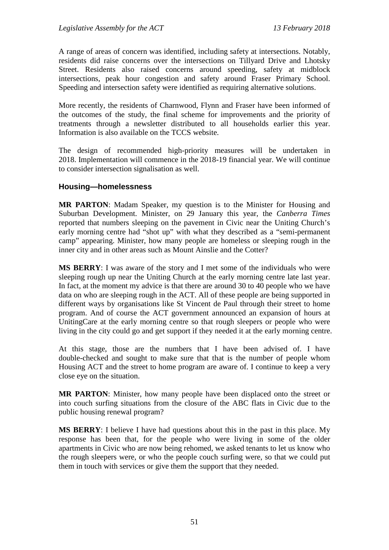A range of areas of concern was identified, including safety at intersections. Notably, residents did raise concerns over the intersections on Tillyard Drive and Lhotsky Street. Residents also raised concerns around speeding, safety at midblock intersections, peak hour congestion and safety around Fraser Primary School. Speeding and intersection safety were identified as requiring alternative solutions.

More recently, the residents of Charnwood, Flynn and Fraser have been informed of the outcomes of the study, the final scheme for improvements and the priority of treatments through a newsletter distributed to all households earlier this year. Information is also available on the TCCS website.

The design of recommended high-priority measures will be undertaken in 2018. Implementation will commence in the 2018-19 financial year. We will continue to consider intersection signalisation as well.

#### **Housing—homelessness**

**MR PARTON**: Madam Speaker, my question is to the Minister for Housing and Suburban Development. Minister, on 29 January this year, the *Canberra Times* reported that numbers sleeping on the pavement in Civic near the Uniting Church's early morning centre had "shot up" with what they described as a "semi-permanent camp" appearing. Minister, how many people are homeless or sleeping rough in the inner city and in other areas such as Mount Ainslie and the Cotter?

**MS BERRY**: I was aware of the story and I met some of the individuals who were sleeping rough up near the Uniting Church at the early morning centre late last year. In fact, at the moment my advice is that there are around 30 to 40 people who we have data on who are sleeping rough in the ACT. All of these people are being supported in different ways by organisations like St Vincent de Paul through their street to home program. And of course the ACT government announced an expansion of hours at UnitingCare at the early morning centre so that rough sleepers or people who were living in the city could go and get support if they needed it at the early morning centre.

At this stage, those are the numbers that I have been advised of. I have double-checked and sought to make sure that that is the number of people whom Housing ACT and the street to home program are aware of. I continue to keep a very close eye on the situation.

**MR PARTON**: Minister, how many people have been displaced onto the street or into couch surfing situations from the closure of the ABC flats in Civic due to the public housing renewal program?

**MS BERRY**: I believe I have had questions about this in the past in this place. My response has been that, for the people who were living in some of the older apartments in Civic who are now being rehomed, we asked tenants to let us know who the rough sleepers were, or who the people couch surfing were, so that we could put them in touch with services or give them the support that they needed.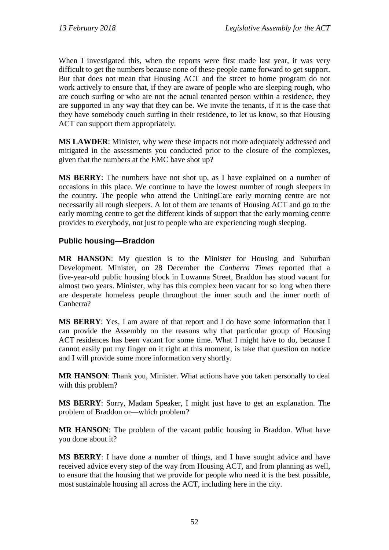When I investigated this, when the reports were first made last year, it was very difficult to get the numbers because none of these people came forward to get support. But that does not mean that Housing ACT and the street to home program do not work actively to ensure that, if they are aware of people who are sleeping rough, who are couch surfing or who are not the actual tenanted person within a residence, they are supported in any way that they can be. We invite the tenants, if it is the case that they have somebody couch surfing in their residence, to let us know, so that Housing ACT can support them appropriately.

**MS LAWDER**: Minister, why were these impacts not more adequately addressed and mitigated in the assessments you conducted prior to the closure of the complexes, given that the numbers at the EMC have shot up?

**MS BERRY**: The numbers have not shot up, as I have explained on a number of occasions in this place. We continue to have the lowest number of rough sleepers in the country. The people who attend the UnitingCare early morning centre are not necessarily all rough sleepers. A lot of them are tenants of Housing ACT and go to the early morning centre to get the different kinds of support that the early morning centre provides to everybody, not just to people who are experiencing rough sleeping.

## **Public housing—Braddon**

**MR HANSON**: My question is to the Minister for Housing and Suburban Development. Minister, on 28 December the *Canberra Times* reported that a five-year-old public housing block in Lowanna Street, Braddon has stood vacant for almost two years. Minister, why has this complex been vacant for so long when there are desperate homeless people throughout the inner south and the inner north of Canberra?

**MS BERRY**: Yes, I am aware of that report and I do have some information that I can provide the Assembly on the reasons why that particular group of Housing ACT residences has been vacant for some time. What I might have to do, because I cannot easily put my finger on it right at this moment, is take that question on notice and I will provide some more information very shortly.

**MR HANSON**: Thank you, Minister. What actions have you taken personally to deal with this problem?

**MS BERRY**: Sorry, Madam Speaker, I might just have to get an explanation. The problem of Braddon or—which problem?

**MR HANSON**: The problem of the vacant public housing in Braddon. What have you done about it?

**MS BERRY**: I have done a number of things, and I have sought advice and have received advice every step of the way from Housing ACT, and from planning as well, to ensure that the housing that we provide for people who need it is the best possible, most sustainable housing all across the ACT, including here in the city.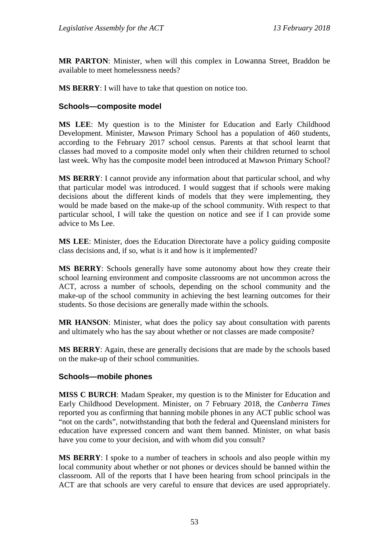**MR PARTON**: Minister, when will this complex in Lowanna Street, Braddon be available to meet homelessness needs?

**MS BERRY**: I will have to take that question on notice too.

## **Schools—composite model**

**MS LEE**: My question is to the Minister for Education and Early Childhood Development. Minister, Mawson Primary School has a population of 460 students, according to the February 2017 school census. Parents at that school learnt that classes had moved to a composite model only when their children returned to school last week. Why has the composite model been introduced at Mawson Primary School?

**MS BERRY**: I cannot provide any information about that particular school, and why that particular model was introduced. I would suggest that if schools were making decisions about the different kinds of models that they were implementing, they would be made based on the make-up of the school community. With respect to that particular school, I will take the question on notice and see if I can provide some advice to Ms Lee.

**MS LEE**: Minister, does the Education Directorate have a policy guiding composite class decisions and, if so, what is it and how is it implemented?

**MS BERRY**: Schools generally have some autonomy about how they create their school learning environment and composite classrooms are not uncommon across the ACT, across a number of schools, depending on the school community and the make-up of the school community in achieving the best learning outcomes for their students. So those decisions are generally made within the schools.

**MR HANSON**: Minister, what does the policy say about consultation with parents and ultimately who has the say about whether or not classes are made composite?

**MS BERRY**: Again, these are generally decisions that are made by the schools based on the make-up of their school communities.

#### **Schools—mobile phones**

**MISS C BURCH**: Madam Speaker, my question is to the Minister for Education and Early Childhood Development. Minister, on 7 February 2018, the *Canberra Times* reported you as confirming that banning mobile phones in any ACT public school was "not on the cards", notwithstanding that both the federal and Queensland ministers for education have expressed concern and want them banned. Minister, on what basis have you come to your decision, and with whom did you consult?

**MS BERRY**: I spoke to a number of teachers in schools and also people within my local community about whether or not phones or devices should be banned within the classroom. All of the reports that I have been hearing from school principals in the ACT are that schools are very careful to ensure that devices are used appropriately.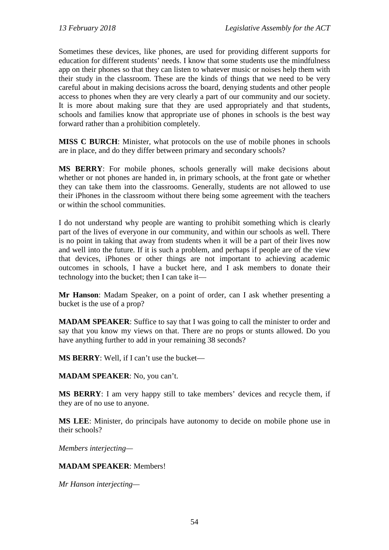Sometimes these devices, like phones, are used for providing different supports for education for different students' needs. I know that some students use the mindfulness app on their phones so that they can listen to whatever music or noises help them with their study in the classroom. These are the kinds of things that we need to be very careful about in making decisions across the board, denying students and other people access to phones when they are very clearly a part of our community and our society. It is more about making sure that they are used appropriately and that students, schools and families know that appropriate use of phones in schools is the best way forward rather than a prohibition completely.

**MISS C BURCH**: Minister, what protocols on the use of mobile phones in schools are in place, and do they differ between primary and secondary schools?

**MS BERRY**: For mobile phones, schools generally will make decisions about whether or not phones are handed in, in primary schools, at the front gate or whether they can take them into the classrooms. Generally, students are not allowed to use their iPhones in the classroom without there being some agreement with the teachers or within the school communities.

I do not understand why people are wanting to prohibit something which is clearly part of the lives of everyone in our community, and within our schools as well. There is no point in taking that away from students when it will be a part of their lives now and well into the future. If it is such a problem, and perhaps if people are of the view that devices, iPhones or other things are not important to achieving academic outcomes in schools, I have a bucket here, and I ask members to donate their technology into the bucket; then I can take it—

**Mr Hanson**: Madam Speaker, on a point of order, can I ask whether presenting a bucket is the use of a prop?

**MADAM SPEAKER:** Suffice to say that I was going to call the minister to order and say that you know my views on that. There are no props or stunts allowed. Do you have anything further to add in your remaining 38 seconds?

**MS BERRY**: Well, if I can't use the bucket—

**MADAM SPEAKER**: No, you can't.

**MS BERRY**: I am very happy still to take members' devices and recycle them, if they are of no use to anyone.

**MS LEE**: Minister, do principals have autonomy to decide on mobile phone use in their schools?

*Members interjecting—*

#### **MADAM SPEAKER**: Members!

*Mr Hanson interjecting—*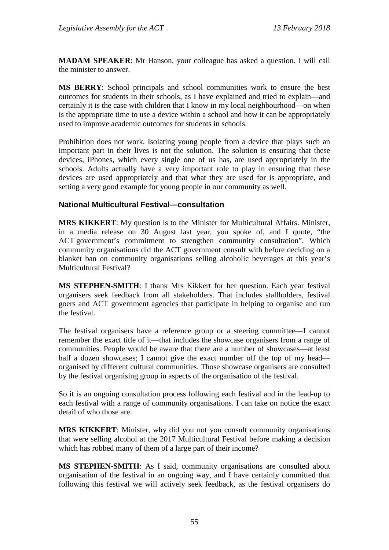**MADAM SPEAKER**: Mr Hanson, your colleague has asked a question. I will call the minister to answer.

**MS BERRY**: School principals and school communities work to ensure the best outcomes for students in their schools, as I have explained and tried to explain—and certainly it is the case with children that I know in my local neighbourhood—on when is the appropriate time to use a device within a school and how it can be appropriately used to improve academic outcomes for students in schools.

Prohibition does not work. Isolating young people from a device that plays such an important part in their lives is not the solution. The solution is ensuring that these devices, iPhones, which every single one of us has, are used appropriately in the schools. Adults actually have a very important role to play in ensuring that these devices are used appropriately and that what they are used for is appropriate, and setting a very good example for young people in our community as well.

#### **National Multicultural Festival—consultation**

**MRS KIKKERT**: My question is to the Minister for Multicultural Affairs. Minister, in a media release on 30 August last year, you spoke of, and I quote, "the ACT government's commitment to strengthen community consultation". Which community organisations did the ACT government consult with before deciding on a blanket ban on community organisations selling alcoholic beverages at this year's Multicultural Festival?

**MS STEPHEN-SMITH**: I thank Mrs Kikkert for her question. Each year festival organisers seek feedback from all stakeholders. That includes stallholders, festival goers and ACT government agencies that participate in helping to organise and run the festival.

The festival organisers have a reference group or a steering committee—I cannot remember the exact title of it—that includes the showcase organisers from a range of communities. People would be aware that there are a number of showcases—at least half a dozen showcases; I cannot give the exact number off the top of my head organised by different cultural communities. Those showcase organisers are consulted by the festival organising group in aspects of the organisation of the festival.

So it is an ongoing consultation process following each festival and in the lead-up to each festival with a range of community organisations. I can take on notice the exact detail of who those are.

**MRS KIKKERT**: Minister, why did you not you consult community organisations that were selling alcohol at the 2017 Multicultural Festival before making a decision which has robbed many of them of a large part of their income?

**MS STEPHEN-SMITH**: As I said, community organisations are consulted about organisation of the festival in an ongoing way, and I have certainly committed that following this festival we will actively seek feedback, as the festival organisers do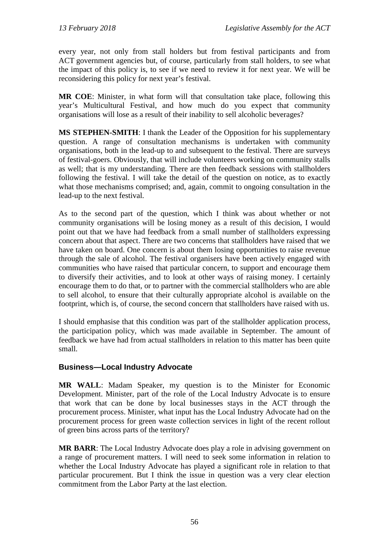every year, not only from stall holders but from festival participants and from ACT government agencies but, of course, particularly from stall holders, to see what the impact of this policy is, to see if we need to review it for next year. We will be reconsidering this policy for next year's festival.

**MR COE**: Minister, in what form will that consultation take place, following this year's Multicultural Festival, and how much do you expect that community organisations will lose as a result of their inability to sell alcoholic beverages?

**MS STEPHEN-SMITH**: I thank the Leader of the Opposition for his supplementary question. A range of consultation mechanisms is undertaken with community organisations, both in the lead-up to and subsequent to the festival. There are surveys of festival-goers. Obviously, that will include volunteers working on community stalls as well; that is my understanding. There are then feedback sessions with stallholders following the festival. I will take the detail of the question on notice, as to exactly what those mechanisms comprised; and, again, commit to ongoing consultation in the lead-up to the next festival.

As to the second part of the question, which I think was about whether or not community organisations will be losing money as a result of this decision, I would point out that we have had feedback from a small number of stallholders expressing concern about that aspect. There are two concerns that stallholders have raised that we have taken on board. One concern is about them losing opportunities to raise revenue through the sale of alcohol. The festival organisers have been actively engaged with communities who have raised that particular concern, to support and encourage them to diversify their activities, and to look at other ways of raising money. I certainly encourage them to do that, or to partner with the commercial stallholders who are able to sell alcohol, to ensure that their culturally appropriate alcohol is available on the footprint, which is, of course, the second concern that stallholders have raised with us.

I should emphasise that this condition was part of the stallholder application process, the participation policy, which was made available in September. The amount of feedback we have had from actual stallholders in relation to this matter has been quite small.

## **Business—Local Industry Advocate**

**MR WALL**: Madam Speaker, my question is to the Minister for Economic Development. Minister, part of the role of the Local Industry Advocate is to ensure that work that can be done by local businesses stays in the ACT through the procurement process. Minister, what input has the Local Industry Advocate had on the procurement process for green waste collection services in light of the recent rollout of green bins across parts of the territory?

**MR BARR**: The Local Industry Advocate does play a role in advising government on a range of procurement matters. I will need to seek some information in relation to whether the Local Industry Advocate has played a significant role in relation to that particular procurement. But I think the issue in question was a very clear election commitment from the Labor Party at the last election.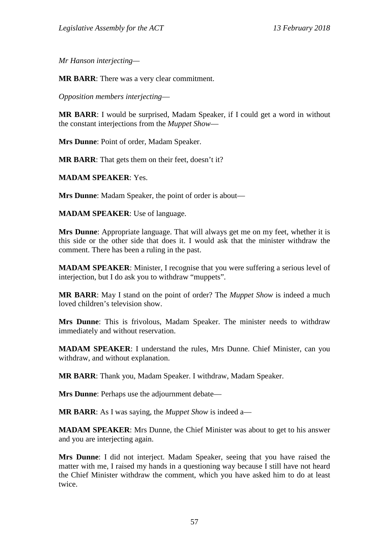*Mr Hanson interjecting—*

**MR BARR**: There was a very clear commitment.

*Opposition members interjecting*—

**MR BARR**: I would be surprised, Madam Speaker, if I could get a word in without the constant interjections from the *Muppet Show*—

**Mrs Dunne**: Point of order, Madam Speaker.

**MR BARR**: That gets them on their feet, doesn't it?

**MADAM SPEAKER**: Yes.

**Mrs Dunne**: Madam Speaker, the point of order is about—

**MADAM SPEAKER**: Use of language.

**Mrs Dunne**: Appropriate language. That will always get me on my feet, whether it is this side or the other side that does it. I would ask that the minister withdraw the comment. There has been a ruling in the past.

**MADAM SPEAKER**: Minister, I recognise that you were suffering a serious level of interjection, but I do ask you to withdraw "muppets".

**MR BARR**: May I stand on the point of order? The *Muppet Show* is indeed a much loved children's television show.

**Mrs Dunne**: This is frivolous, Madam Speaker. The minister needs to withdraw immediately and without reservation.

**MADAM SPEAKER**: I understand the rules, Mrs Dunne. Chief Minister, can you withdraw, and without explanation.

**MR BARR**: Thank you, Madam Speaker. I withdraw, Madam Speaker.

**Mrs Dunne**: Perhaps use the adjournment debate—

**MR BARR**: As I was saying, the *Muppet Show* is indeed a—

**MADAM SPEAKER**: Mrs Dunne, the Chief Minister was about to get to his answer and you are interjecting again.

**Mrs Dunne**: I did not interject. Madam Speaker, seeing that you have raised the matter with me, I raised my hands in a questioning way because I still have not heard the Chief Minister withdraw the comment, which you have asked him to do at least twice.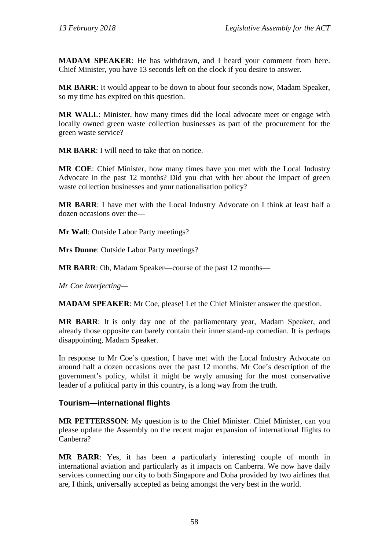**MADAM SPEAKER**: He has withdrawn, and I heard your comment from here. Chief Minister, you have 13 seconds left on the clock if you desire to answer.

**MR BARR**: It would appear to be down to about four seconds now, Madam Speaker, so my time has expired on this question.

**MR WALL**: Minister, how many times did the local advocate meet or engage with locally owned green waste collection businesses as part of the procurement for the green waste service?

**MR BARR**: I will need to take that on notice.

**MR COE**: Chief Minister, how many times have you met with the Local Industry Advocate in the past 12 months? Did you chat with her about the impact of green waste collection businesses and your nationalisation policy?

**MR BARR**: I have met with the Local Industry Advocate on I think at least half a dozen occasions over the—

**Mr Wall**: Outside Labor Party meetings?

**Mrs Dunne**: Outside Labor Party meetings?

**MR BARR**: Oh, Madam Speaker—course of the past 12 months—

*Mr Coe interjecting—*

**MADAM SPEAKER**: Mr Coe, please! Let the Chief Minister answer the question.

**MR BARR**: It is only day one of the parliamentary year, Madam Speaker, and already those opposite can barely contain their inner stand-up comedian. It is perhaps disappointing, Madam Speaker.

In response to Mr Coe's question, I have met with the Local Industry Advocate on around half a dozen occasions over the past 12 months. Mr Coe's description of the government's policy, whilst it might be wryly amusing for the most conservative leader of a political party in this country, is a long way from the truth.

#### **Tourism—international flights**

**MR PETTERSSON**: My question is to the Chief Minister. Chief Minister, can you please update the Assembly on the recent major expansion of international flights to Canberra?

**MR BARR**: Yes, it has been a particularly interesting couple of month in international aviation and particularly as it impacts on Canberra. We now have daily services connecting our city to both Singapore and Doha provided by two airlines that are, I think, universally accepted as being amongst the very best in the world.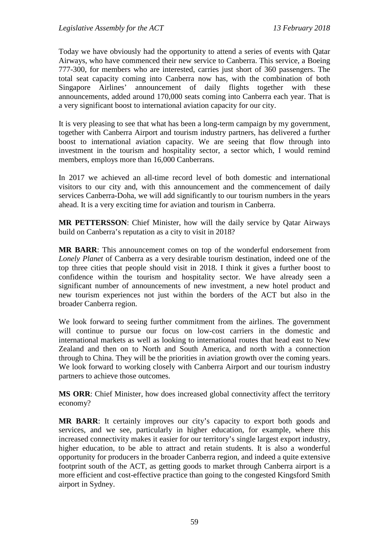Today we have obviously had the opportunity to attend a series of events with Qatar Airways, who have commenced their new service to Canberra. This service, a Boeing 777-300, for members who are interested, carries just short of 360 passengers. The total seat capacity coming into Canberra now has, with the combination of both Singapore Airlines' announcement of daily flights together with these announcements, added around 170,000 seats coming into Canberra each year. That is a very significant boost to international aviation capacity for our city.

It is very pleasing to see that what has been a long-term campaign by my government, together with Canberra Airport and tourism industry partners, has delivered a further boost to international aviation capacity. We are seeing that flow through into investment in the tourism and hospitality sector, a sector which, I would remind members, employs more than 16,000 Canberrans.

In 2017 we achieved an all-time record level of both domestic and international visitors to our city and, with this announcement and the commencement of daily services Canberra-Doha, we will add significantly to our tourism numbers in the years ahead. It is a very exciting time for aviation and tourism in Canberra.

**MR PETTERSSON**: Chief Minister, how will the daily service by Qatar Airways build on Canberra's reputation as a city to visit in 2018?

**MR BARR**: This announcement comes on top of the wonderful endorsement from *Lonely Planet* of Canberra as a very desirable tourism destination, indeed one of the top three cities that people should visit in 2018. I think it gives a further boost to confidence within the tourism and hospitality sector. We have already seen a significant number of announcements of new investment, a new hotel product and new tourism experiences not just within the borders of the ACT but also in the broader Canberra region.

We look forward to seeing further commitment from the airlines. The government will continue to pursue our focus on low-cost carriers in the domestic and international markets as well as looking to international routes that head east to New Zealand and then on to North and South America, and north with a connection through to China. They will be the priorities in aviation growth over the coming years. We look forward to working closely with Canberra Airport and our tourism industry partners to achieve those outcomes.

**MS ORR**: Chief Minister, how does increased global connectivity affect the territory economy?

**MR BARR**: It certainly improves our city's capacity to export both goods and services, and we see, particularly in higher education, for example, where this increased connectivity makes it easier for our territory's single largest export industry, higher education, to be able to attract and retain students. It is also a wonderful opportunity for producers in the broader Canberra region, and indeed a quite extensive footprint south of the ACT, as getting goods to market through Canberra airport is a more efficient and cost-effective practice than going to the congested Kingsford Smith airport in Sydney.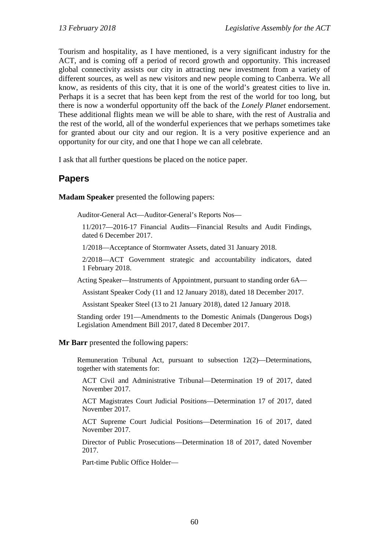Tourism and hospitality, as I have mentioned, is a very significant industry for the ACT, and is coming off a period of record growth and opportunity. This increased global connectivity assists our city in attracting new investment from a variety of different sources, as well as new visitors and new people coming to Canberra. We all know, as residents of this city, that it is one of the world's greatest cities to live in. Perhaps it is a secret that has been kept from the rest of the world for too long, but there is now a wonderful opportunity off the back of the *Lonely Planet* endorsement. These additional flights mean we will be able to share, with the rest of Australia and the rest of the world, all of the wonderful experiences that we perhaps sometimes take for granted about our city and our region. It is a very positive experience and an opportunity for our city, and one that I hope we can all celebrate.

I ask that all further questions be placed on the notice paper.

## **Papers**

**Madam Speaker** presented the following papers:

Auditor-General Act—Auditor-General's Reports Nos—

11/2017—2016-17 Financial Audits—Financial Results and Audit Findings, dated 6 December 2017.

1/2018—Acceptance of Stormwater Assets, dated 31 January 2018.

2/2018—ACT Government strategic and accountability indicators, dated 1 February 2018.

Acting Speaker—Instruments of Appointment, pursuant to standing order 6A—

Assistant Speaker Cody (11 and 12 January 2018), dated 18 December 2017.

Assistant Speaker Steel (13 to 21 January 2018), dated 12 January 2018.

Standing order 191—Amendments to the Domestic Animals (Dangerous Dogs) Legislation Amendment Bill 2017, dated 8 December 2017.

**Mr Barr** presented the following papers:

Remuneration Tribunal Act, pursuant to subsection 12(2)—Determinations, together with statements for:

ACT Civil and Administrative Tribunal—Determination 19 of 2017, dated November 2017.

ACT Magistrates Court Judicial Positions—Determination 17 of 2017, dated November 2017.

ACT Supreme Court Judicial Positions—Determination 16 of 2017, dated November 2017.

Director of Public Prosecutions—Determination 18 of 2017, dated November 2017.

Part-time Public Office Holder—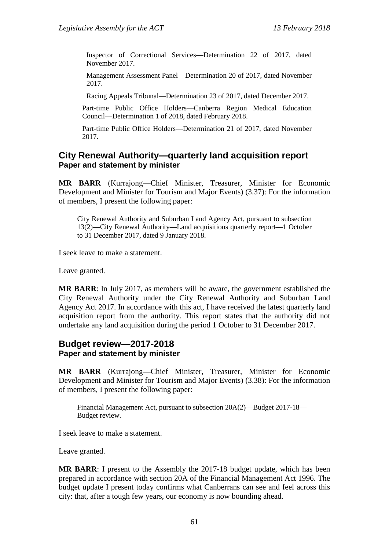Inspector of Correctional Services—Determination 22 of 2017, dated November 2017.

Management Assessment Panel—Determination 20 of 2017, dated November 2017.

Racing Appeals Tribunal—Determination 23 of 2017, dated December 2017.

Part-time Public Office Holders—Canberra Region Medical Education Council—Determination 1 of 2018, dated February 2018.

Part-time Public Office Holders—Determination 21 of 2017, dated November 2017.

#### **City Renewal Authority—quarterly land acquisition report Paper and statement by minister**

**MR BARR** (Kurrajong—Chief Minister, Treasurer, Minister for Economic Development and Minister for Tourism and Major Events) (3.37): For the information of members, I present the following paper:

City Renewal Authority and Suburban Land Agency Act, pursuant to subsection 13(2)—City Renewal Authority—Land acquisitions quarterly report—1 October to 31 December 2017, dated 9 January 2018.

I seek leave to make a statement.

Leave granted.

**MR BARR**: In July 2017, as members will be aware, the government established the City Renewal Authority under the City Renewal Authority and Suburban Land Agency Act 2017. In accordance with this act, I have received the latest quarterly land acquisition report from the authority. This report states that the authority did not undertake any land acquisition during the period 1 October to 31 December 2017.

# **Budget review—2017-2018**

## **Paper and statement by minister**

**MR BARR** (Kurrajong—Chief Minister, Treasurer, Minister for Economic Development and Minister for Tourism and Major Events) (3.38): For the information of members, I present the following paper:

Financial Management Act, pursuant to subsection 20A(2)—Budget 2017-18— Budget review.

I seek leave to make a statement.

Leave granted.

**MR BARR**: I present to the Assembly the 2017-18 budget update, which has been prepared in accordance with section 20A of the Financial Management Act 1996. The budget update I present today confirms what Canberrans can see and feel across this city: that, after a tough few years, our economy is now bounding ahead.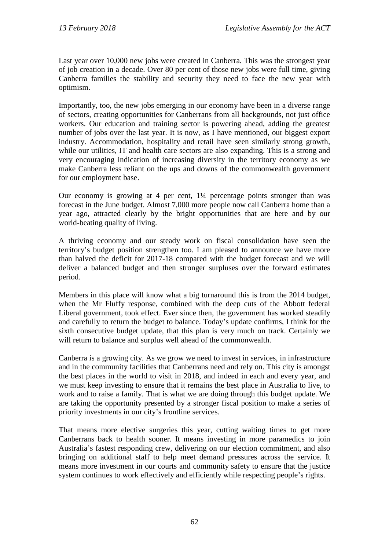Last year over 10,000 new jobs were created in Canberra. This was the strongest year of job creation in a decade. Over 80 per cent of those new jobs were full time, giving Canberra families the stability and security they need to face the new year with optimism.

Importantly, too, the new jobs emerging in our economy have been in a diverse range of sectors, creating opportunities for Canberrans from all backgrounds, not just office workers. Our education and training sector is powering ahead, adding the greatest number of jobs over the last year. It is now, as I have mentioned, our biggest export industry. Accommodation, hospitality and retail have seen similarly strong growth, while our utilities, IT and health care sectors are also expanding. This is a strong and very encouraging indication of increasing diversity in the territory economy as we make Canberra less reliant on the ups and downs of the commonwealth government for our employment base.

Our economy is growing at 4 per cent, 1¼ percentage points stronger than was forecast in the June budget. Almost 7,000 more people now call Canberra home than a year ago, attracted clearly by the bright opportunities that are here and by our world-beating quality of living.

A thriving economy and our steady work on fiscal consolidation have seen the territory's budget position strengthen too. I am pleased to announce we have more than halved the deficit for 2017-18 compared with the budget forecast and we will deliver a balanced budget and then stronger surpluses over the forward estimates period.

Members in this place will know what a big turnaround this is from the 2014 budget, when the Mr Fluffy response, combined with the deep cuts of the Abbott federal Liberal government, took effect. Ever since then, the government has worked steadily and carefully to return the budget to balance. Today's update confirms, I think for the sixth consecutive budget update, that this plan is very much on track. Certainly we will return to balance and surplus well ahead of the commonwealth.

Canberra is a growing city. As we grow we need to invest in services, in infrastructure and in the community facilities that Canberrans need and rely on. This city is amongst the best places in the world to visit in 2018, and indeed in each and every year, and we must keep investing to ensure that it remains the best place in Australia to live, to work and to raise a family. That is what we are doing through this budget update. We are taking the opportunity presented by a stronger fiscal position to make a series of priority investments in our city's frontline services.

That means more elective surgeries this year, cutting waiting times to get more Canberrans back to health sooner. It means investing in more paramedics to join Australia's fastest responding crew, delivering on our election commitment, and also bringing on additional staff to help meet demand pressures across the service. It means more investment in our courts and community safety to ensure that the justice system continues to work effectively and efficiently while respecting people's rights.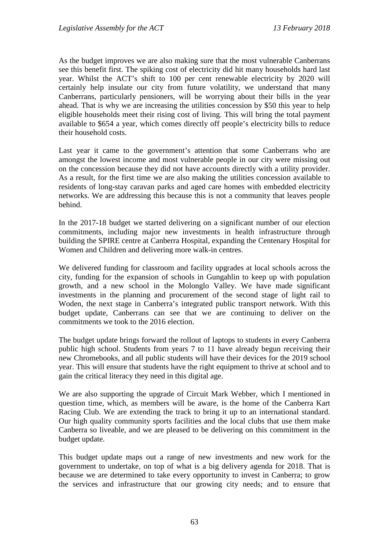As the budget improves we are also making sure that the most vulnerable Canberrans see this benefit first. The spiking cost of electricity did hit many households hard last year. Whilst the ACT's shift to 100 per cent renewable electricity by 2020 will certainly help insulate our city from future volatility, we understand that many Canberrans, particularly pensioners, will be worrying about their bills in the year ahead. That is why we are increasing the utilities concession by \$50 this year to help eligible households meet their rising cost of living. This will bring the total payment available to \$654 a year, which comes directly off people's electricity bills to reduce their household costs.

Last year it came to the government's attention that some Canberrans who are amongst the lowest income and most vulnerable people in our city were missing out on the concession because they did not have accounts directly with a utility provider. As a result, for the first time we are also making the utilities concession available to residents of long-stay caravan parks and aged care homes with embedded electricity networks. We are addressing this because this is not a community that leaves people behind.

In the 2017-18 budget we started delivering on a significant number of our election commitments, including major new investments in health infrastructure through building the SPIRE centre at Canberra Hospital, expanding the Centenary Hospital for Women and Children and delivering more walk-in centres.

We delivered funding for classroom and facility upgrades at local schools across the city, funding for the expansion of schools in Gungahlin to keep up with population growth, and a new school in the Molonglo Valley. We have made significant investments in the planning and procurement of the second stage of light rail to Woden, the next stage in Canberra's integrated public transport network. With this budget update, Canberrans can see that we are continuing to deliver on the commitments we took to the 2016 election.

The budget update brings forward the rollout of laptops to students in every Canberra public high school. Students from years 7 to 11 have already begun receiving their new Chromebooks, and all public students will have their devices for the 2019 school year. This will ensure that students have the right equipment to thrive at school and to gain the critical literacy they need in this digital age.

We are also supporting the upgrade of Circuit Mark Webber, which I mentioned in question time, which, as members will be aware, is the home of the Canberra Kart Racing Club. We are extending the track to bring it up to an international standard. Our high quality community sports facilities and the local clubs that use them make Canberra so liveable, and we are pleased to be delivering on this commitment in the budget update.

This budget update maps out a range of new investments and new work for the government to undertake, on top of what is a big delivery agenda for 2018. That is because we are determined to take every opportunity to invest in Canberra; to grow the services and infrastructure that our growing city needs; and to ensure that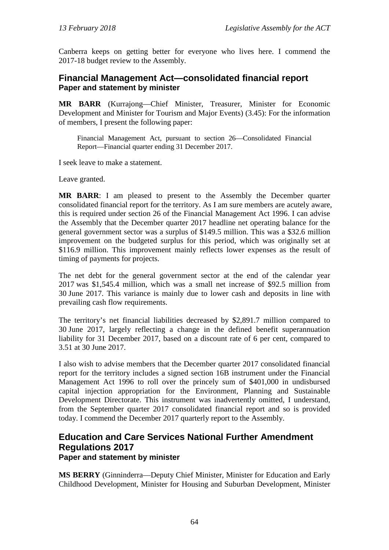Canberra keeps on getting better for everyone who lives here. I commend the 2017-18 budget review to the Assembly.

## **Financial Management Act—consolidated financial report Paper and statement by minister**

**MR BARR** (Kurrajong—Chief Minister, Treasurer, Minister for Economic Development and Minister for Tourism and Major Events) (3.45): For the information of members, I present the following paper:

Financial Management Act, pursuant to section 26—Consolidated Financial Report—Financial quarter ending 31 December 2017.

I seek leave to make a statement.

Leave granted.

**MR BARR**: I am pleased to present to the Assembly the December quarter consolidated financial report for the territory. As I am sure members are acutely aware, this is required under section 26 of the Financial Management Act 1996. I can advise the Assembly that the December quarter 2017 headline net operating balance for the general government sector was a surplus of \$149.5 million. This was a \$32.6 million improvement on the budgeted surplus for this period, which was originally set at \$116.9 million. This improvement mainly reflects lower expenses as the result of timing of payments for projects.

The net debt for the general government sector at the end of the calendar year 2017 was \$1,545.4 million, which was a small net increase of \$92.5 million from 30 June 2017. This variance is mainly due to lower cash and deposits in line with prevailing cash flow requirements.

The territory's net financial liabilities decreased by \$2,891.7 million compared to 30 June 2017, largely reflecting a change in the defined benefit superannuation liability for 31 December 2017, based on a discount rate of 6 per cent, compared to 3.51 at 30 June 2017.

I also wish to advise members that the December quarter 2017 consolidated financial report for the territory includes a signed section 16B instrument under the Financial Management Act 1996 to roll over the princely sum of \$401,000 in undisbursed capital injection appropriation for the Environment, Planning and Sustainable Development Directorate. This instrument was inadvertently omitted, I understand, from the September quarter 2017 consolidated financial report and so is provided today. I commend the December 2017 quarterly report to the Assembly.

## **Education and Care Services National Further Amendment Regulations 2017 Paper and statement by minister**

**MS BERRY** (Ginninderra—Deputy Chief Minister, Minister for Education and Early Childhood Development, Minister for Housing and Suburban Development, Minister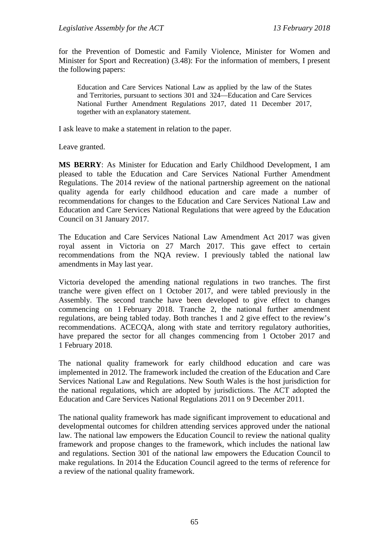for the Prevention of Domestic and Family Violence, Minister for Women and Minister for Sport and Recreation) (3.48): For the information of members, I present the following papers:

Education and Care Services National Law as applied by the law of the States and Territories, pursuant to sections 301 and 324—Education and Care Services National Further Amendment Regulations 2017, dated 11 December 2017, together with an explanatory statement.

I ask leave to make a statement in relation to the paper.

Leave granted.

**MS BERRY**: As Minister for Education and Early Childhood Development, I am pleased to table the Education and Care Services National Further Amendment Regulations. The 2014 review of the national partnership agreement on the national quality agenda for early childhood education and care made a number of recommendations for changes to the Education and Care Services National Law and Education and Care Services National Regulations that were agreed by the Education Council on 31 January 2017.

The Education and Care Services National Law Amendment Act 2017 was given royal assent in Victoria on 27 March 2017. This gave effect to certain recommendations from the NQA review. I previously tabled the national law amendments in May last year.

Victoria developed the amending national regulations in two tranches. The first tranche were given effect on 1 October 2017, and were tabled previously in the Assembly. The second tranche have been developed to give effect to changes commencing on 1 February 2018. Tranche 2, the national further amendment regulations, are being tabled today. Both tranches 1 and 2 give effect to the review's recommendations. ACECQA, along with state and territory regulatory authorities, have prepared the sector for all changes commencing from 1 October 2017 and 1 February 2018.

The national quality framework for early childhood education and care was implemented in 2012. The framework included the creation of the Education and Care Services National Law and Regulations. New South Wales is the host jurisdiction for the national regulations, which are adopted by jurisdictions. The ACT adopted the Education and Care Services National Regulations 2011 on 9 December 2011.

The national quality framework has made significant improvement to educational and developmental outcomes for children attending services approved under the national law. The national law empowers the Education Council to review the national quality framework and propose changes to the framework, which includes the national law and regulations. Section 301 of the national law empowers the Education Council to make regulations. In 2014 the Education Council agreed to the terms of reference for a review of the national quality framework.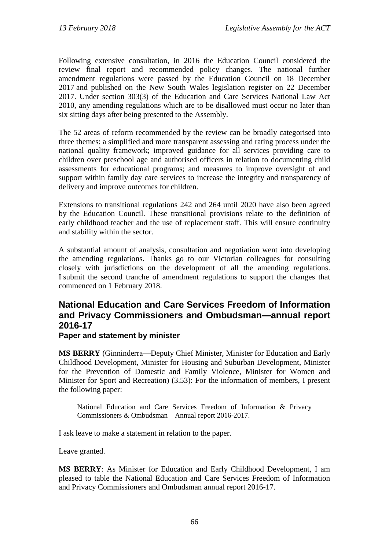Following extensive consultation, in 2016 the Education Council considered the review final report and recommended policy changes. The national further amendment regulations were passed by the Education Council on 18 December 2017 and published on the New South Wales legislation register on 22 December 2017. Under section 303(3) of the Education and Care Services National Law Act 2010, any amending regulations which are to be disallowed must occur no later than six sitting days after being presented to the Assembly.

The 52 areas of reform recommended by the review can be broadly categorised into three themes: a simplified and more transparent assessing and rating process under the national quality framework; improved guidance for all services providing care to children over preschool age and authorised officers in relation to documenting child assessments for educational programs; and measures to improve oversight of and support within family day care services to increase the integrity and transparency of delivery and improve outcomes for children.

Extensions to transitional regulations 242 and 264 until 2020 have also been agreed by the Education Council. These transitional provisions relate to the definition of early childhood teacher and the use of replacement staff. This will ensure continuity and stability within the sector.

A substantial amount of analysis, consultation and negotiation went into developing the amending regulations. Thanks go to our Victorian colleagues for consulting closely with jurisdictions on the development of all the amending regulations. I submit the second tranche of amendment regulations to support the changes that commenced on 1 February 2018.

## **National Education and Care Services Freedom of Information and Privacy Commissioners and Ombudsman—annual report 2016-17**

#### **Paper and statement by minister**

**MS BERRY** (Ginninderra—Deputy Chief Minister, Minister for Education and Early Childhood Development, Minister for Housing and Suburban Development, Minister for the Prevention of Domestic and Family Violence, Minister for Women and Minister for Sport and Recreation) (3.53): For the information of members, I present the following paper:

National Education and Care Services Freedom of Information & Privacy Commissioners & Ombudsman—Annual report 2016-2017.

I ask leave to make a statement in relation to the paper.

Leave granted.

**MS BERRY**: As Minister for Education and Early Childhood Development, I am pleased to table the National Education and Care Services Freedom of Information and Privacy Commissioners and Ombudsman annual report 2016-17.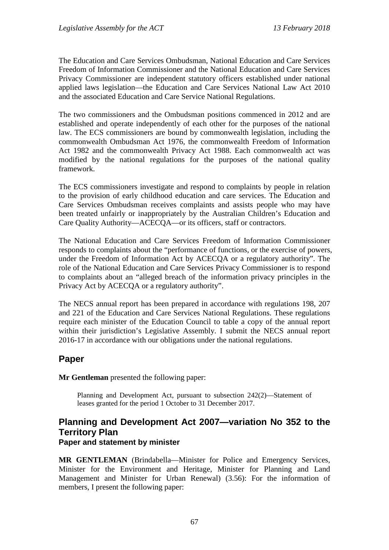The Education and Care Services Ombudsman, National Education and Care Services Freedom of Information Commissioner and the National Education and Care Services Privacy Commissioner are independent statutory officers established under national applied laws legislation—the Education and Care Services National Law Act 2010 and the associated Education and Care Service National Regulations.

The two commissioners and the Ombudsman positions commenced in 2012 and are established and operate independently of each other for the purposes of the national law. The ECS commissioners are bound by commonwealth legislation, including the commonwealth Ombudsman Act 1976, the commonwealth Freedom of Information Act 1982 and the commonwealth Privacy Act 1988. Each commonwealth act was modified by the national regulations for the purposes of the national quality framework.

The ECS commissioners investigate and respond to complaints by people in relation to the provision of early childhood education and care services. The Education and Care Services Ombudsman receives complaints and assists people who may have been treated unfairly or inappropriately by the Australian Children's Education and Care Quality Authority—ACECQA—or its officers, staff or contractors.

The National Education and Care Services Freedom of Information Commissioner responds to complaints about the "performance of functions, or the exercise of powers, under the Freedom of Information Act by ACECQA or a regulatory authority". The role of the National Education and Care Services Privacy Commissioner is to respond to complaints about an "alleged breach of the information privacy principles in the Privacy Act by ACECQA or a regulatory authority".

The NECS annual report has been prepared in accordance with regulations 198, 207 and 221 of the Education and Care Services National Regulations. These regulations require each minister of the Education Council to table a copy of the annual report within their jurisdiction's Legislative Assembly. I submit the NECS annual report 2016-17 in accordance with our obligations under the national regulations.

## **Paper**

**Mr Gentleman** presented the following paper:

Planning and Development Act, pursuant to subsection 242(2)—Statement of leases granted for the period 1 October to 31 December 2017.

## **Planning and Development Act 2007—variation No 352 to the Territory Plan Paper and statement by minister**

**MR GENTLEMAN** (Brindabella—Minister for Police and Emergency Services, Minister for the Environment and Heritage, Minister for Planning and Land Management and Minister for Urban Renewal) (3.56): For the information of members, I present the following paper: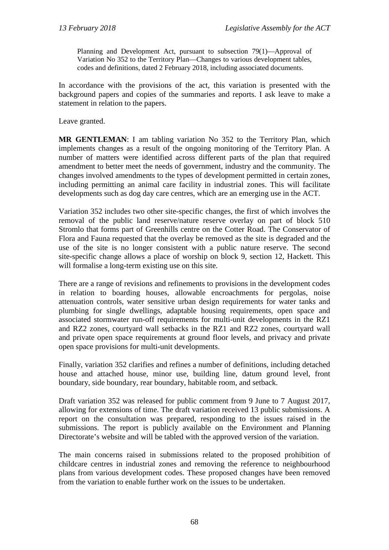Planning and Development Act, pursuant to subsection 79(1)—Approval of Variation No 352 to the Territory Plan—Changes to various development tables, codes and definitions, dated 2 February 2018, including associated documents.

In accordance with the provisions of the act, this variation is presented with the background papers and copies of the summaries and reports. I ask leave to make a statement in relation to the papers.

Leave granted.

**MR GENTLEMAN**: I am tabling variation No 352 to the Territory Plan, which implements changes as a result of the ongoing monitoring of the Territory Plan. A number of matters were identified across different parts of the plan that required amendment to better meet the needs of government, industry and the community. The changes involved amendments to the types of development permitted in certain zones, including permitting an animal care facility in industrial zones. This will facilitate developments such as dog day care centres, which are an emerging use in the ACT.

Variation 352 includes two other site-specific changes, the first of which involves the removal of the public land reserve/nature reserve overlay on part of block 510 Stromlo that forms part of Greenhills centre on the Cotter Road. The Conservator of Flora and Fauna requested that the overlay be removed as the site is degraded and the use of the site is no longer consistent with a public nature reserve. The second site-specific change allows a place of worship on block 9, section 12, Hackett. This will formalise a long-term existing use on this site.

There are a range of revisions and refinements to provisions in the development codes in relation to boarding houses, allowable encroachments for pergolas, noise attenuation controls, water sensitive urban design requirements for water tanks and plumbing for single dwellings, adaptable housing requirements, open space and associated stormwater run-off requirements for multi-unit developments in the RZ1 and RZ2 zones, courtyard wall setbacks in the RZ1 and RZ2 zones, courtyard wall and private open space requirements at ground floor levels, and privacy and private open space provisions for multi-unit developments.

Finally, variation 352 clarifies and refines a number of definitions, including detached house and attached house, minor use, building line, datum ground level, front boundary, side boundary, rear boundary, habitable room, and setback.

Draft variation 352 was released for public comment from 9 June to 7 August 2017, allowing for extensions of time. The draft variation received 13 public submissions. A report on the consultation was prepared, responding to the issues raised in the submissions. The report is publicly available on the Environment and Planning Directorate's website and will be tabled with the approved version of the variation.

The main concerns raised in submissions related to the proposed prohibition of childcare centres in industrial zones and removing the reference to neighbourhood plans from various development codes. These proposed changes have been removed from the variation to enable further work on the issues to be undertaken.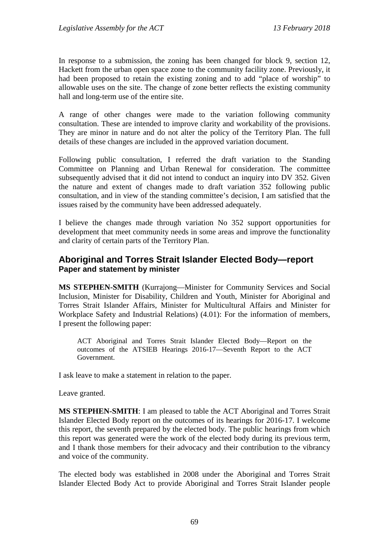In response to a submission, the zoning has been changed for block 9, section 12, Hackett from the urban open space zone to the community facility zone. Previously, it had been proposed to retain the existing zoning and to add "place of worship" to allowable uses on the site. The change of zone better reflects the existing community hall and long-term use of the entire site.

A range of other changes were made to the variation following community consultation. These are intended to improve clarity and workability of the provisions. They are minor in nature and do not alter the policy of the Territory Plan. The full details of these changes are included in the approved variation document.

Following public consultation, I referred the draft variation to the Standing Committee on Planning and Urban Renewal for consideration. The committee subsequently advised that it did not intend to conduct an inquiry into DV 352. Given the nature and extent of changes made to draft variation 352 following public consultation, and in view of the standing committee's decision, I am satisfied that the issues raised by the community have been addressed adequately.

I believe the changes made through variation No 352 support opportunities for development that meet community needs in some areas and improve the functionality and clarity of certain parts of the Territory Plan.

## **Aboriginal and Torres Strait Islander Elected Body—report Paper and statement by minister**

**MS STEPHEN-SMITH** (Kurrajong—Minister for Community Services and Social Inclusion, Minister for Disability, Children and Youth, Minister for Aboriginal and Torres Strait Islander Affairs, Minister for Multicultural Affairs and Minister for Workplace Safety and Industrial Relations) (4.01): For the information of members, I present the following paper:

ACT Aboriginal and Torres Strait Islander Elected Body—Report on the outcomes of the ATSIEB Hearings 2016-17—Seventh Report to the ACT Government.

I ask leave to make a statement in relation to the paper.

Leave granted.

**MS STEPHEN-SMITH**: I am pleased to table the ACT Aboriginal and Torres Strait Islander Elected Body report on the outcomes of its hearings for 2016-17. I welcome this report, the seventh prepared by the elected body. The public hearings from which this report was generated were the work of the elected body during its previous term, and I thank those members for their advocacy and their contribution to the vibrancy and voice of the community.

The elected body was established in 2008 under the Aboriginal and Torres Strait Islander Elected Body Act to provide Aboriginal and Torres Strait Islander people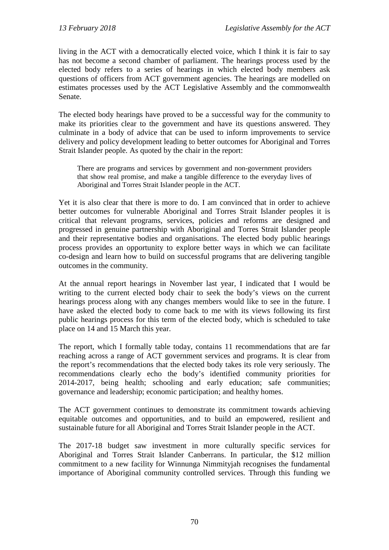living in the ACT with a democratically elected voice, which I think it is fair to say has not become a second chamber of parliament. The hearings process used by the elected body refers to a series of hearings in which elected body members ask questions of officers from ACT government agencies. The hearings are modelled on estimates processes used by the ACT Legislative Assembly and the commonwealth Senate.

The elected body hearings have proved to be a successful way for the community to make its priorities clear to the government and have its questions answered. They culminate in a body of advice that can be used to inform improvements to service delivery and policy development leading to better outcomes for Aboriginal and Torres Strait Islander people. As quoted by the chair in the report:

There are programs and services by government and non-government providers that show real promise, and make a tangible difference to the everyday lives of Aboriginal and Torres Strait Islander people in the ACT.

Yet it is also clear that there is more to do. I am convinced that in order to achieve better outcomes for vulnerable Aboriginal and Torres Strait Islander peoples it is critical that relevant programs, services, policies and reforms are designed and progressed in genuine partnership with Aboriginal and Torres Strait Islander people and their representative bodies and organisations. The elected body public hearings process provides an opportunity to explore better ways in which we can facilitate co-design and learn how to build on successful programs that are delivering tangible outcomes in the community.

At the annual report hearings in November last year, I indicated that I would be writing to the current elected body chair to seek the body's views on the current hearings process along with any changes members would like to see in the future. I have asked the elected body to come back to me with its views following its first public hearings process for this term of the elected body, which is scheduled to take place on 14 and 15 March this year.

The report, which I formally table today, contains 11 recommendations that are far reaching across a range of ACT government services and programs. It is clear from the report's recommendations that the elected body takes its role very seriously. The recommendations clearly echo the body's identified community priorities for 2014-2017, being health; schooling and early education; safe communities; governance and leadership; economic participation; and healthy homes.

The ACT government continues to demonstrate its commitment towards achieving equitable outcomes and opportunities, and to build an empowered, resilient and sustainable future for all Aboriginal and Torres Strait Islander people in the ACT.

The 2017-18 budget saw investment in more culturally specific services for Aboriginal and Torres Strait Islander Canberrans. In particular, the \$12 million commitment to a new facility for Winnunga Nimmityjah recognises the fundamental importance of Aboriginal community controlled services. Through this funding we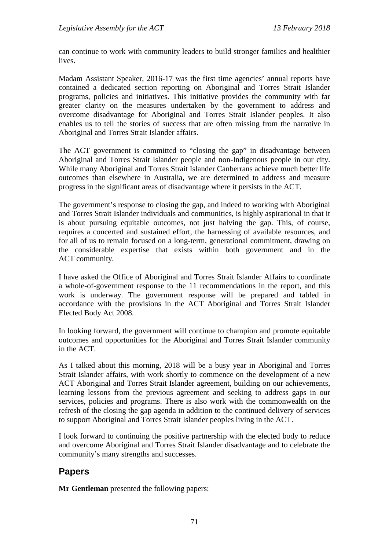can continue to work with community leaders to build stronger families and healthier lives.

Madam Assistant Speaker, 2016-17 was the first time agencies' annual reports have contained a dedicated section reporting on Aboriginal and Torres Strait Islander programs, policies and initiatives. This initiative provides the community with far greater clarity on the measures undertaken by the government to address and overcome disadvantage for Aboriginal and Torres Strait Islander peoples. It also enables us to tell the stories of success that are often missing from the narrative in Aboriginal and Torres Strait Islander affairs.

The ACT government is committed to "closing the gap" in disadvantage between Aboriginal and Torres Strait Islander people and non-Indigenous people in our city. While many Aboriginal and Torres Strait Islander Canberrans achieve much better life outcomes than elsewhere in Australia, we are determined to address and measure progress in the significant areas of disadvantage where it persists in the ACT.

The government's response to closing the gap, and indeed to working with Aboriginal and Torres Strait Islander individuals and communities, is highly aspirational in that it is about pursuing equitable outcomes, not just halving the gap. This, of course, requires a concerted and sustained effort, the harnessing of available resources, and for all of us to remain focused on a long-term, generational commitment, drawing on the considerable expertise that exists within both government and in the ACT community.

I have asked the Office of Aboriginal and Torres Strait Islander Affairs to coordinate a whole-of-government response to the 11 recommendations in the report, and this work is underway. The government response will be prepared and tabled in accordance with the provisions in the ACT Aboriginal and Torres Strait Islander Elected Body Act 2008.

In looking forward, the government will continue to champion and promote equitable outcomes and opportunities for the Aboriginal and Torres Strait Islander community in the ACT.

As I talked about this morning, 2018 will be a busy year in Aboriginal and Torres Strait Islander affairs, with work shortly to commence on the development of a new ACT Aboriginal and Torres Strait Islander agreement, building on our achievements, learning lessons from the previous agreement and seeking to address gaps in our services, policies and programs. There is also work with the commonwealth on the refresh of the closing the gap agenda in addition to the continued delivery of services to support Aboriginal and Torres Strait Islander peoples living in the ACT.

I look forward to continuing the positive partnership with the elected body to reduce and overcome Aboriginal and Torres Strait Islander disadvantage and to celebrate the community's many strengths and successes.

# **Papers**

**Mr Gentleman** presented the following papers: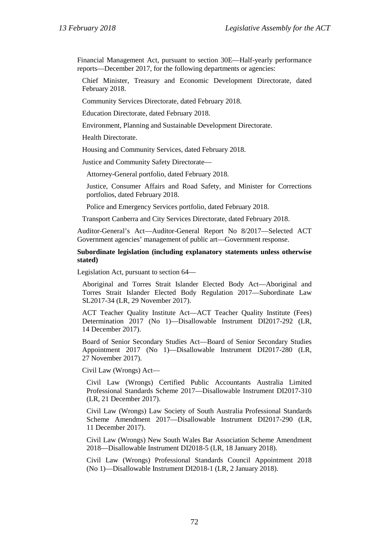Financial Management Act, pursuant to section 30E—Half-yearly performance reports—December 2017, for the following departments or agencies:

Chief Minister, Treasury and Economic Development Directorate, dated February 2018.

Community Services Directorate, dated February 2018.

Education Directorate, dated February 2018.

Environment, Planning and Sustainable Development Directorate.

Health Directorate.

Housing and Community Services, dated February 2018.

Justice and Community Safety Directorate—

Attorney-General portfolio, dated February 2018.

Justice, Consumer Affairs and Road Safety, and Minister for Corrections portfolios, dated February 2018.

Police and Emergency Services portfolio, dated February 2018.

Transport Canberra and City Services Directorate, dated February 2018.

Auditor-General's Act—Auditor-General Report No 8/2017—Selected ACT Government agencies' management of public art—Government response.

#### **Subordinate legislation (including explanatory statements unless otherwise stated)**

Legislation Act, pursuant to section 64—

Aboriginal and Torres Strait Islander Elected Body Act—Aboriginal and Torres Strait Islander Elected Body Regulation 2017—Subordinate Law SL2017-34 (LR, 29 November 2017).

ACT Teacher Quality Institute Act—ACT Teacher Quality Institute (Fees) Determination 2017 (No 1)—Disallowable Instrument DI2017-292 (LR, 14 December 2017).

Board of Senior Secondary Studies Act—Board of Senior Secondary Studies Appointment 2017 (No 1)—Disallowable Instrument DI2017-280 (LR, 27 November 2017).

Civil Law (Wrongs) Act—

Civil Law (Wrongs) Certified Public Accountants Australia Limited Professional Standards Scheme 2017—Disallowable Instrument DI2017-310 (LR, 21 December 2017).

Civil Law (Wrongs) Law Society of South Australia Professional Standards Scheme Amendment 2017—Disallowable Instrument DI2017-290 (LR, 11 December 2017).

Civil Law (Wrongs) New South Wales Bar Association Scheme Amendment 2018—Disallowable Instrument DI2018-5 (LR, 18 January 2018).

Civil Law (Wrongs) Professional Standards Council Appointment 2018 (No 1)—Disallowable Instrument DI2018-1 (LR, 2 January 2018).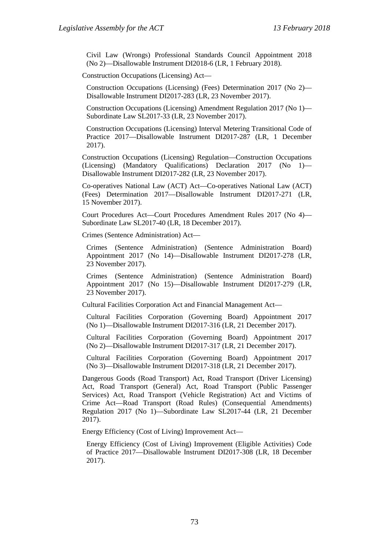Civil Law (Wrongs) Professional Standards Council Appointment 2018 (No 2)—Disallowable Instrument DI2018-6 (LR, 1 February 2018).

Construction Occupations (Licensing) Act—

Construction Occupations (Licensing) (Fees) Determination 2017 (No 2)— Disallowable Instrument DI2017-283 (LR, 23 November 2017).

Construction Occupations (Licensing) Amendment Regulation 2017 (No 1)— Subordinate Law SL2017-33 (LR, 23 November 2017).

Construction Occupations (Licensing) Interval Metering Transitional Code of Practice 2017—Disallowable Instrument DI2017-287 (LR, 1 December 2017).

Construction Occupations (Licensing) Regulation—Construction Occupations (Licensing) (Mandatory Qualifications) Declaration 2017 (No 1)— Disallowable Instrument DI2017-282 (LR, 23 November 2017).

Co-operatives National Law (ACT) Act—Co-operatives National Law (ACT) (Fees) Determination 2017—Disallowable Instrument DI2017-271 (LR, 15 November 2017).

Court Procedures Act—Court Procedures Amendment Rules 2017 (No 4)— Subordinate Law SL2017-40 (LR, 18 December 2017).

Crimes (Sentence Administration) Act—

Crimes (Sentence Administration) (Sentence Administration Board) Appointment 2017 (No 14)—Disallowable Instrument DI2017-278 (LR, 23 November 2017).

Crimes (Sentence Administration) (Sentence Administration Board) Appointment 2017 (No 15)—Disallowable Instrument DI2017-279 (LR, 23 November 2017).

Cultural Facilities Corporation Act and Financial Management Act—

Cultural Facilities Corporation (Governing Board) Appointment 2017 (No 1)—Disallowable Instrument DI2017-316 (LR, 21 December 2017).

Cultural Facilities Corporation (Governing Board) Appointment 2017 (No 2)—Disallowable Instrument DI2017-317 (LR, 21 December 2017).

Cultural Facilities Corporation (Governing Board) Appointment 2017 (No 3)—Disallowable Instrument DI2017-318 (LR, 21 December 2017).

Dangerous Goods (Road Transport) Act, Road Transport (Driver Licensing) Act, Road Transport (General) Act, Road Transport (Public Passenger Services) Act, Road Transport (Vehicle Registration) Act and Victims of Crime Act—Road Transport (Road Rules) (Consequential Amendments) Regulation 2017 (No 1)—Subordinate Law SL2017-44 (LR, 21 December 2017).

Energy Efficiency (Cost of Living) Improvement Act—

Energy Efficiency (Cost of Living) Improvement (Eligible Activities) Code of Practice 2017—Disallowable Instrument DI2017-308 (LR, 18 December 2017).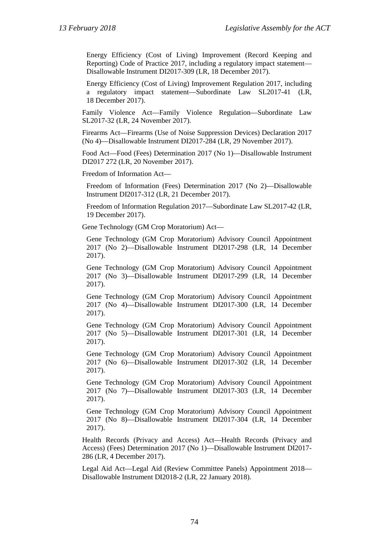Energy Efficiency (Cost of Living) Improvement (Record Keeping and Reporting) Code of Practice 2017, including a regulatory impact statement— Disallowable Instrument DI2017-309 (LR, 18 December 2017).

Energy Efficiency (Cost of Living) Improvement Regulation 2017, including a regulatory impact statement—Subordinate Law SL2017-41 (LR, 18 December 2017).

Family Violence Act—Family Violence Regulation—Subordinate Law SL2017-32 (LR, 24 November 2017).

Firearms Act—Firearms (Use of Noise Suppression Devices) Declaration 2017 (No 4)—Disallowable Instrument DI2017-284 (LR, 29 November 2017).

Food Act—Food (Fees) Determination 2017 (No 1)—Disallowable Instrument DI2017 272 (LR, 20 November 2017).

Freedom of Information Act—

Freedom of Information (Fees) Determination 2017 (No 2)—Disallowable Instrument DI2017-312 (LR, 21 December 2017).

Freedom of Information Regulation 2017—Subordinate Law SL2017-42 (LR, 19 December 2017).

Gene Technology (GM Crop Moratorium) Act—

Gene Technology (GM Crop Moratorium) Advisory Council Appointment 2017 (No 2)—Disallowable Instrument DI2017-298 (LR, 14 December 2017).

Gene Technology (GM Crop Moratorium) Advisory Council Appointment 2017 (No 3)—Disallowable Instrument DI2017-299 (LR, 14 December 2017).

Gene Technology (GM Crop Moratorium) Advisory Council Appointment 2017 (No 4)—Disallowable Instrument DI2017-300 (LR, 14 December 2017).

Gene Technology (GM Crop Moratorium) Advisory Council Appointment 2017 (No 5)—Disallowable Instrument DI2017-301 (LR, 14 December 2017).

Gene Technology (GM Crop Moratorium) Advisory Council Appointment 2017 (No 6)—Disallowable Instrument DI2017-302 (LR, 14 December 2017).

Gene Technology (GM Crop Moratorium) Advisory Council Appointment 2017 (No 7)—Disallowable Instrument DI2017-303 (LR, 14 December 2017).

Gene Technology (GM Crop Moratorium) Advisory Council Appointment 2017 (No 8)—Disallowable Instrument DI2017-304 (LR, 14 December 2017).

Health Records (Privacy and Access) Act—Health Records (Privacy and Access) (Fees) Determination 2017 (No 1)—Disallowable Instrument DI2017- 286 (LR, 4 December 2017).

Legal Aid Act—Legal Aid (Review Committee Panels) Appointment 2018— Disallowable Instrument DI2018-2 (LR, 22 January 2018).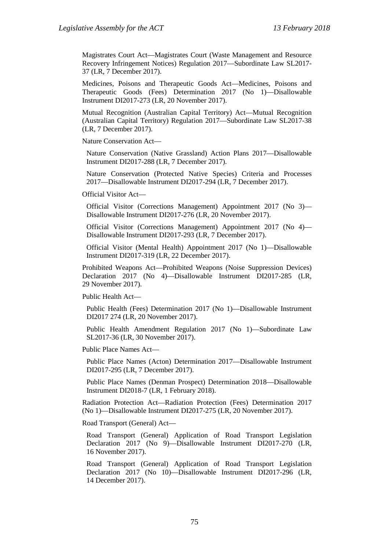Magistrates Court Act—Magistrates Court (Waste Management and Resource Recovery Infringement Notices) Regulation 2017—Subordinate Law SL2017- 37 (LR, 7 December 2017).

Medicines, Poisons and Therapeutic Goods Act—Medicines, Poisons and Therapeutic Goods (Fees) Determination 2017 (No 1)—Disallowable Instrument DI2017-273 (LR, 20 November 2017).

Mutual Recognition (Australian Capital Territory) Act—Mutual Recognition (Australian Capital Territory) Regulation 2017—Subordinate Law SL2017-38 (LR, 7 December 2017).

Nature Conservation Act—

Nature Conservation (Native Grassland) Action Plans 2017—Disallowable Instrument DI2017-288 (LR, 7 December 2017).

Nature Conservation (Protected Native Species) Criteria and Processes 2017—Disallowable Instrument DI2017-294 (LR, 7 December 2017).

Official Visitor Act—

Official Visitor (Corrections Management) Appointment 2017 (No 3)— Disallowable Instrument DI2017-276 (LR, 20 November 2017).

Official Visitor (Corrections Management) Appointment 2017 (No 4)— Disallowable Instrument DI2017-293 (LR, 7 December 2017).

Official Visitor (Mental Health) Appointment 2017 (No 1)—Disallowable Instrument DI2017-319 (LR, 22 December 2017).

Prohibited Weapons Act—Prohibited Weapons (Noise Suppression Devices) Declaration 2017 (No 4)—Disallowable Instrument DI2017-285 (LR, 29 November 2017).

Public Health Act—

Public Health (Fees) Determination 2017 (No 1)—Disallowable Instrument DI2017 274 (LR, 20 November 2017).

Public Health Amendment Regulation 2017 (No 1)—Subordinate Law SL2017-36 (LR, 30 November 2017).

Public Place Names Act—

Public Place Names (Acton) Determination 2017—Disallowable Instrument DI2017-295 (LR, 7 December 2017).

Public Place Names (Denman Prospect) Determination 2018—Disallowable Instrument DI2018-7 (LR, 1 February 2018).

Radiation Protection Act—Radiation Protection (Fees) Determination 2017 (No 1)—Disallowable Instrument DI2017-275 (LR, 20 November 2017).

Road Transport (General) Act—

Road Transport (General) Application of Road Transport Legislation Declaration 2017 (No 9)—Disallowable Instrument DI2017-270 (LR, 16 November 2017).

Road Transport (General) Application of Road Transport Legislation Declaration 2017 (No 10)—Disallowable Instrument DI2017-296 (LR, 14 December 2017).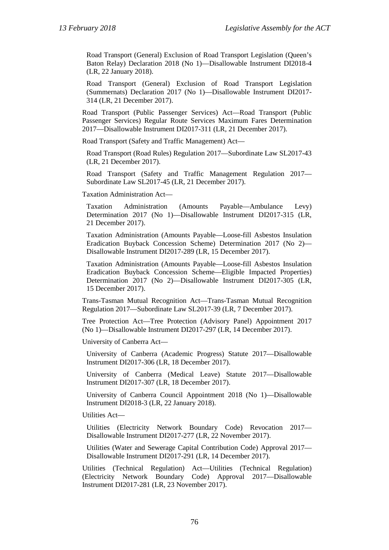Road Transport (General) Exclusion of Road Transport Legislation (Queen's Baton Relay) Declaration 2018 (No 1)—Disallowable Instrument DI2018-4 (LR, 22 January 2018).

Road Transport (General) Exclusion of Road Transport Legislation (Summernats) Declaration 2017 (No 1)—Disallowable Instrument DI2017- 314 (LR, 21 December 2017).

Road Transport (Public Passenger Services) Act—Road Transport (Public Passenger Services) Regular Route Services Maximum Fares Determination 2017—Disallowable Instrument DI2017-311 (LR, 21 December 2017).

Road Transport (Safety and Traffic Management) Act—

Road Transport (Road Rules) Regulation 2017—Subordinate Law SL2017-43 (LR, 21 December 2017).

Road Transport (Safety and Traffic Management Regulation 2017— Subordinate Law SL2017-45 (LR, 21 December 2017).

Taxation Administration Act—

Taxation Administration (Amounts Payable—Ambulance Levy) Determination 2017 (No 1)—Disallowable Instrument DI2017-315 (LR, 21 December 2017).

Taxation Administration (Amounts Payable—Loose-fill Asbestos Insulation Eradication Buyback Concession Scheme) Determination 2017 (No 2)— Disallowable Instrument DI2017-289 (LR, 15 December 2017).

Taxation Administration (Amounts Payable—Loose-fill Asbestos Insulation Eradication Buyback Concession Scheme—Eligible Impacted Properties) Determination 2017 (No 2)—Disallowable Instrument DI2017-305 (LR, 15 December 2017).

Trans-Tasman Mutual Recognition Act—Trans-Tasman Mutual Recognition Regulation 2017—Subordinate Law SL2017-39 (LR, 7 December 2017).

Tree Protection Act—Tree Protection (Advisory Panel) Appointment 2017 (No 1)—Disallowable Instrument DI2017-297 (LR, 14 December 2017).

University of Canberra Act—

University of Canberra (Academic Progress) Statute 2017—Disallowable Instrument DI2017-306 (LR, 18 December 2017).

University of Canberra (Medical Leave) Statute 2017—Disallowable Instrument DI2017-307 (LR, 18 December 2017).

University of Canberra Council Appointment 2018 (No 1)—Disallowable Instrument DI2018-3 (LR, 22 January 2018).

Utilities Act—

Utilities (Electricity Network Boundary Code) Revocation 2017— Disallowable Instrument DI2017-277 (LR, 22 November 2017).

Utilities (Water and Sewerage Capital Contribution Code) Approval 2017— Disallowable Instrument DI2017-291 (LR, 14 December 2017).

Utilities (Technical Regulation) Act—Utilities (Technical Regulation) (Electricity Network Boundary Code) Approval 2017—Disallowable Instrument DI2017-281 (LR, 23 November 2017).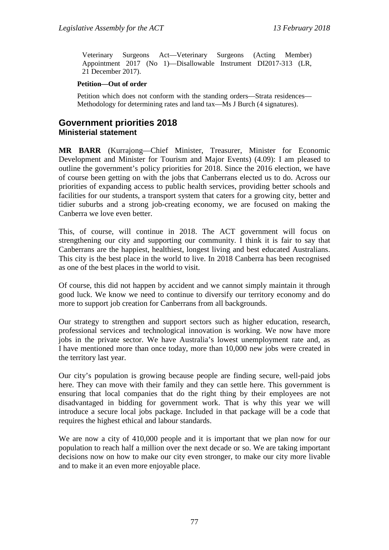Veterinary Surgeons Act—Veterinary Surgeons (Acting Member) Appointment 2017 (No 1)—Disallowable Instrument DI2017-313 (LR, 21 December 2017).

#### **Petition—Out of order**

Petition which does not conform with the standing orders—Strata residences— Methodology for determining rates and land tax—Ms J Burch (4 signatures).

# **Government priorities 2018 Ministerial statement**

**MR BARR** (Kurrajong—Chief Minister, Treasurer, Minister for Economic Development and Minister for Tourism and Major Events) (4.09): I am pleased to outline the government's policy priorities for 2018. Since the 2016 election, we have of course been getting on with the jobs that Canberrans elected us to do. Across our priorities of expanding access to public health services, providing better schools and facilities for our students, a transport system that caters for a growing city, better and tidier suburbs and a strong job-creating economy, we are focused on making the Canberra we love even better.

This, of course, will continue in 2018. The ACT government will focus on strengthening our city and supporting our community. I think it is fair to say that Canberrans are the happiest, healthiest, longest living and best educated Australians. This city is the best place in the world to live. In 2018 Canberra has been recognised as one of the best places in the world to visit.

Of course, this did not happen by accident and we cannot simply maintain it through good luck. We know we need to continue to diversify our territory economy and do more to support job creation for Canberrans from all backgrounds.

Our strategy to strengthen and support sectors such as higher education, research, professional services and technological innovation is working. We now have more jobs in the private sector. We have Australia's lowest unemployment rate and, as I have mentioned more than once today, more than 10,000 new jobs were created in the territory last year.

Our city's population is growing because people are finding secure, well-paid jobs here. They can move with their family and they can settle here. This government is ensuring that local companies that do the right thing by their employees are not disadvantaged in bidding for government work. That is why this year we will introduce a secure local jobs package. Included in that package will be a code that requires the highest ethical and labour standards.

We are now a city of 410,000 people and it is important that we plan now for our population to reach half a million over the next decade or so. We are taking important decisions now on how to make our city even stronger, to make our city more livable and to make it an even more enjoyable place.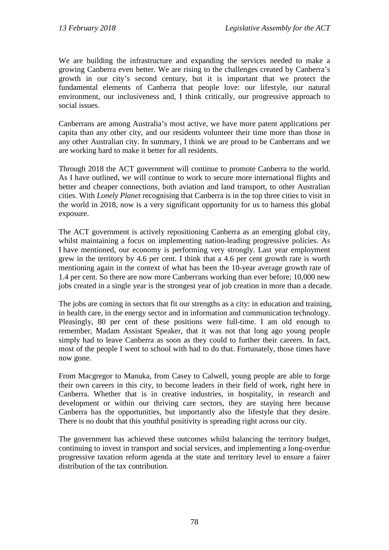We are building the infrastructure and expanding the services needed to make a growing Canberra even better. We are rising to the challenges created by Canberra's growth in our city's second century, but it is important that we protect the fundamental elements of Canberra that people love: our lifestyle, our natural environment, our inclusiveness and, I think critically, our progressive approach to social issues.

Canberrans are among Australia's most active, we have more patent applications per capita than any other city, and our residents volunteer their time more than those in any other Australian city. In summary, I think we are proud to be Canberrans and we are working hard to make it better for all residents.

Through 2018 the ACT government will continue to promote Canberra to the world. As I have outlined, we will continue to work to secure more international flights and better and cheaper connections, both aviation and land transport, to other Australian cities. With *Lonely Planet* recognising that Canberra is in the top three cities to visit in the world in 2018, now is a very significant opportunity for us to harness this global exposure.

The ACT government is actively repositioning Canberra as an emerging global city, whilst maintaining a focus on implementing nation-leading progressive policies. As I have mentioned, our economy is performing very strongly. Last year employment grew in the territory by 4.6 per cent. I think that a 4.6 per cent growth rate is worth mentioning again in the context of what has been the 10-year average growth rate of 1.4 per cent. So there are now more Canberrans working than ever before; 10,000 new jobs created in a single year is the strongest year of job creation in more than a decade.

The jobs are coming in sectors that fit our strengths as a city: in education and training, in health care, in the energy sector and in information and communication technology. Pleasingly, 80 per cent of these positions were full-time. I am old enough to remember, Madam Assistant Speaker, that it was not that long ago young people simply had to leave Canberra as soon as they could to further their careers. In fact, most of the people I went to school with had to do that. Fortunately, those times have now gone.

From Macgregor to Manuka, from Casey to Calwell, young people are able to forge their own careers in this city, to become leaders in their field of work, right here in Canberra. Whether that is in creative industries, in hospitality, in research and development or within our thriving care sectors, they are staying here because Canberra has the opportunities, but importantly also the lifestyle that they desire. There is no doubt that this youthful positivity is spreading right across our city.

The government has achieved these outcomes whilst balancing the territory budget, continuing to invest in transport and social services, and implementing a long-overdue progressive taxation reform agenda at the state and territory level to ensure a fairer distribution of the tax contribution.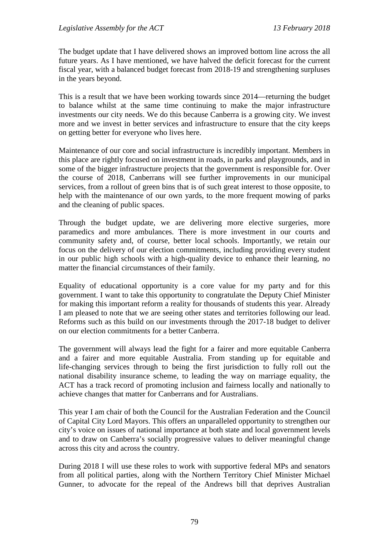The budget update that I have delivered shows an improved bottom line across the all future years. As I have mentioned, we have halved the deficit forecast for the current fiscal year, with a balanced budget forecast from 2018-19 and strengthening surpluses in the years beyond.

This is a result that we have been working towards since 2014—returning the budget to balance whilst at the same time continuing to make the major infrastructure investments our city needs. We do this because Canberra is a growing city. We invest more and we invest in better services and infrastructure to ensure that the city keeps on getting better for everyone who lives here.

Maintenance of our core and social infrastructure is incredibly important. Members in this place are rightly focused on investment in roads, in parks and playgrounds, and in some of the bigger infrastructure projects that the government is responsible for. Over the course of 2018, Canberrans will see further improvements in our municipal services, from a rollout of green bins that is of such great interest to those opposite, to help with the maintenance of our own yards, to the more frequent mowing of parks and the cleaning of public spaces.

Through the budget update, we are delivering more elective surgeries, more paramedics and more ambulances. There is more investment in our courts and community safety and, of course, better local schools. Importantly, we retain our focus on the delivery of our election commitments, including providing every student in our public high schools with a high-quality device to enhance their learning, no matter the financial circumstances of their family.

Equality of educational opportunity is a core value for my party and for this government. I want to take this opportunity to congratulate the Deputy Chief Minister for making this important reform a reality for thousands of students this year. Already I am pleased to note that we are seeing other states and territories following our lead. Reforms such as this build on our investments through the 2017-18 budget to deliver on our election commitments for a better Canberra.

The government will always lead the fight for a fairer and more equitable Canberra and a fairer and more equitable Australia. From standing up for equitable and life-changing services through to being the first jurisdiction to fully roll out the national disability insurance scheme, to leading the way on marriage equality, the ACT has a track record of promoting inclusion and fairness locally and nationally to achieve changes that matter for Canberrans and for Australians.

This year I am chair of both the Council for the Australian Federation and the Council of Capital City Lord Mayors. This offers an unparalleled opportunity to strengthen our city's voice on issues of national importance at both state and local government levels and to draw on Canberra's socially progressive values to deliver meaningful change across this city and across the country.

During 2018 I will use these roles to work with supportive federal MPs and senators from all political parties, along with the Northern Territory Chief Minister Michael Gunner, to advocate for the repeal of the Andrews bill that deprives Australian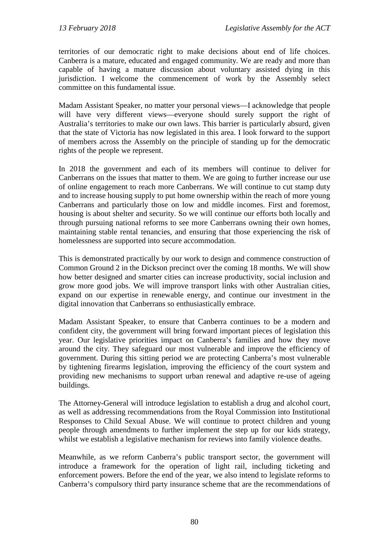territories of our democratic right to make decisions about end of life choices. Canberra is a mature, educated and engaged community. We are ready and more than capable of having a mature discussion about voluntary assisted dying in this jurisdiction. I welcome the commencement of work by the Assembly select committee on this fundamental issue.

Madam Assistant Speaker, no matter your personal views—I acknowledge that people will have very different views—everyone should surely support the right of Australia's territories to make our own laws. This barrier is particularly absurd, given that the state of Victoria has now legislated in this area. I look forward to the support of members across the Assembly on the principle of standing up for the democratic rights of the people we represent.

In 2018 the government and each of its members will continue to deliver for Canberrans on the issues that matter to them. We are going to further increase our use of online engagement to reach more Canberrans. We will continue to cut stamp duty and to increase housing supply to put home ownership within the reach of more young Canberrans and particularly those on low and middle incomes. First and foremost, housing is about shelter and security. So we will continue our efforts both locally and through pursuing national reforms to see more Canberrans owning their own homes, maintaining stable rental tenancies, and ensuring that those experiencing the risk of homelessness are supported into secure accommodation.

This is demonstrated practically by our work to design and commence construction of Common Ground 2 in the Dickson precinct over the coming 18 months. We will show how better designed and smarter cities can increase productivity, social inclusion and grow more good jobs. We will improve transport links with other Australian cities, expand on our expertise in renewable energy, and continue our investment in the digital innovation that Canberrans so enthusiastically embrace.

Madam Assistant Speaker, to ensure that Canberra continues to be a modern and confident city, the government will bring forward important pieces of legislation this year. Our legislative priorities impact on Canberra's families and how they move around the city. They safeguard our most vulnerable and improve the efficiency of government. During this sitting period we are protecting Canberra's most vulnerable by tightening firearms legislation, improving the efficiency of the court system and providing new mechanisms to support urban renewal and adaptive re-use of ageing buildings.

The Attorney-General will introduce legislation to establish a drug and alcohol court, as well as addressing recommendations from the Royal Commission into Institutional Responses to Child Sexual Abuse. We will continue to protect children and young people through amendments to further implement the step up for our kids strategy, whilst we establish a legislative mechanism for reviews into family violence deaths.

Meanwhile, as we reform Canberra's public transport sector, the government will introduce a framework for the operation of light rail, including ticketing and enforcement powers. Before the end of the year, we also intend to legislate reforms to Canberra's compulsory third party insurance scheme that are the recommendations of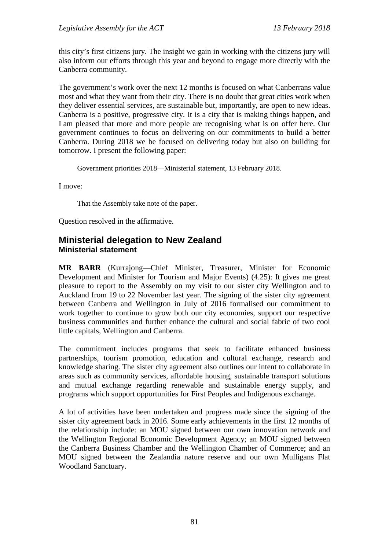this city's first citizens jury. The insight we gain in working with the citizens jury will also inform our efforts through this year and beyond to engage more directly with the Canberra community.

The government's work over the next 12 months is focused on what Canberrans value most and what they want from their city. There is no doubt that great cities work when they deliver essential services, are sustainable but, importantly, are open to new ideas. Canberra is a positive, progressive city. It is a city that is making things happen, and I am pleased that more and more people are recognising what is on offer here. Our government continues to focus on delivering on our commitments to build a better Canberra. During 2018 we be focused on delivering today but also on building for tomorrow. I present the following paper:

Government priorities 2018—Ministerial statement, 13 February 2018.

I move:

That the Assembly take note of the paper.

Question resolved in the affirmative.

# **Ministerial delegation to New Zealand Ministerial statement**

**MR BARR** (Kurrajong—Chief Minister, Treasurer, Minister for Economic Development and Minister for Tourism and Major Events) (4.25): It gives me great pleasure to report to the Assembly on my visit to our sister city Wellington and to Auckland from 19 to 22 November last year. The signing of the sister city agreement between Canberra and Wellington in July of 2016 formalised our commitment to work together to continue to grow both our city economies, support our respective business communities and further enhance the cultural and social fabric of two cool little capitals, Wellington and Canberra.

The commitment includes programs that seek to facilitate enhanced business partnerships, tourism promotion, education and cultural exchange, research and knowledge sharing. The sister city agreement also outlines our intent to collaborate in areas such as community services, affordable housing, sustainable transport solutions and mutual exchange regarding renewable and sustainable energy supply, and programs which support opportunities for First Peoples and Indigenous exchange.

A lot of activities have been undertaken and progress made since the signing of the sister city agreement back in 2016. Some early achievements in the first 12 months of the relationship include: an MOU signed between our own innovation network and the Wellington Regional Economic Development Agency; an MOU signed between the Canberra Business Chamber and the Wellington Chamber of Commerce; and an MOU signed between the Zealandia nature reserve and our own Mulligans Flat Woodland Sanctuary.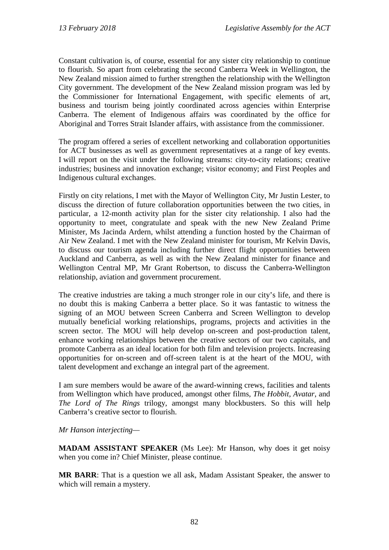Constant cultivation is, of course, essential for any sister city relationship to continue to flourish. So apart from celebrating the second Canberra Week in Wellington, the New Zealand mission aimed to further strengthen the relationship with the Wellington City government. The development of the New Zealand mission program was led by the Commissioner for International Engagement, with specific elements of art, business and tourism being jointly coordinated across agencies within Enterprise Canberra. The element of Indigenous affairs was coordinated by the office for Aboriginal and Torres Strait Islander affairs, with assistance from the commissioner.

The program offered a series of excellent networking and collaboration opportunities for ACT businesses as well as government representatives at a range of key events. I will report on the visit under the following streams: city-to-city relations; creative industries; business and innovation exchange; visitor economy; and First Peoples and Indigenous cultural exchanges.

Firstly on city relations, I met with the Mayor of Wellington City, Mr Justin Lester, to discuss the direction of future collaboration opportunities between the two cities, in particular, a 12-month activity plan for the sister city relationship. I also had the opportunity to meet, congratulate and speak with the new New Zealand Prime Minister, Ms Jacinda Ardern, whilst attending a function hosted by the Chairman of Air New Zealand. I met with the New Zealand minister for tourism, Mr Kelvin Davis, to discuss our tourism agenda including further direct flight opportunities between Auckland and Canberra, as well as with the New Zealand minister for finance and Wellington Central MP, Mr Grant Robertson, to discuss the Canberra-Wellington relationship, aviation and government procurement.

The creative industries are taking a much stronger role in our city's life, and there is no doubt this is making Canberra a better place. So it was fantastic to witness the signing of an MOU between Screen Canberra and Screen Wellington to develop mutually beneficial working relationships, programs, projects and activities in the screen sector. The MOU will help develop on-screen and post-production talent, enhance working relationships between the creative sectors of our two capitals, and promote Canberra as an ideal location for both film and television projects. Increasing opportunities for on-screen and off-screen talent is at the heart of the MOU, with talent development and exchange an integral part of the agreement.

I am sure members would be aware of the award-winning crews, facilities and talents from Wellington which have produced, amongst other films, *The Hobbit*, *Avatar*, and *The Lord of The Rings* trilogy, amongst many blockbusters. So this will help Canberra's creative sector to flourish.

#### *Mr Hanson interjecting—*

**MADAM ASSISTANT SPEAKER** (Ms Lee): Mr Hanson, why does it get noisy when you come in? Chief Minister, please continue.

**MR BARR**: That is a question we all ask, Madam Assistant Speaker, the answer to which will remain a mystery.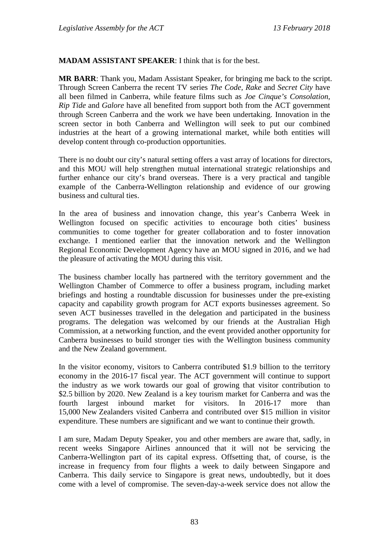#### **MADAM ASSISTANT SPEAKER**: I think that is for the best.

**MR BARR**: Thank you, Madam Assistant Speaker, for bringing me back to the script. Through Screen Canberra the recent TV series *The Code, Rake* and *Secret City* have all been filmed in Canberra, while feature films such as *Joe Cinque's Consolation, Rip Tide* and *Galore* have all benefited from support both from the ACT government through Screen Canberra and the work we have been undertaking. Innovation in the screen sector in both Canberra and Wellington will seek to put our combined industries at the heart of a growing international market, while both entities will develop content through co-production opportunities.

There is no doubt our city's natural setting offers a vast array of locations for directors, and this MOU will help strengthen mutual international strategic relationships and further enhance our city's brand overseas. There is a very practical and tangible example of the Canberra-Wellington relationship and evidence of our growing business and cultural ties.

In the area of business and innovation change, this year's Canberra Week in Wellington focused on specific activities to encourage both cities' business communities to come together for greater collaboration and to foster innovation exchange. I mentioned earlier that the innovation network and the Wellington Regional Economic Development Agency have an MOU signed in 2016, and we had the pleasure of activating the MOU during this visit.

The business chamber locally has partnered with the territory government and the Wellington Chamber of Commerce to offer a business program, including market briefings and hosting a roundtable discussion for businesses under the pre-existing capacity and capability growth program for ACT exports businesses agreement. So seven ACT businesses travelled in the delegation and participated in the business programs. The delegation was welcomed by our friends at the Australian High Commission, at a networking function, and the event provided another opportunity for Canberra businesses to build stronger ties with the Wellington business community and the New Zealand government.

In the visitor economy, visitors to Canberra contributed \$1.9 billion to the territory economy in the 2016-17 fiscal year. The ACT government will continue to support the industry as we work towards our goal of growing that visitor contribution to \$2.5 billion by 2020. New Zealand is a key tourism market for Canberra and was the fourth largest inbound market for visitors. In 2016-17 more than 15,000 New Zealanders visited Canberra and contributed over \$15 million in visitor expenditure. These numbers are significant and we want to continue their growth.

I am sure, Madam Deputy Speaker, you and other members are aware that, sadly, in recent weeks Singapore Airlines announced that it will not be servicing the Canberra-Wellington part of its capital express. Offsetting that, of course, is the increase in frequency from four flights a week to daily between Singapore and Canberra. This daily service to Singapore is great news, undoubtedly, but it does come with a level of compromise. The seven-day-a-week service does not allow the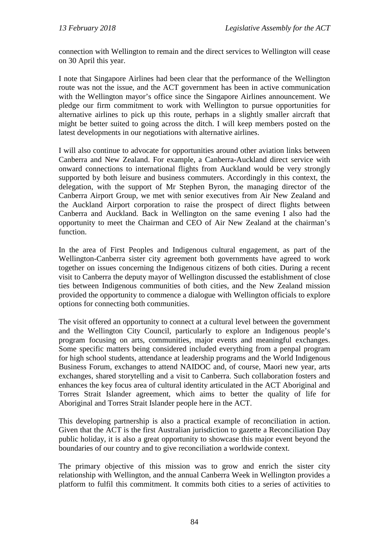connection with Wellington to remain and the direct services to Wellington will cease on 30 April this year.

I note that Singapore Airlines had been clear that the performance of the Wellington route was not the issue, and the ACT government has been in active communication with the Wellington mayor's office since the Singapore Airlines announcement. We pledge our firm commitment to work with Wellington to pursue opportunities for alternative airlines to pick up this route, perhaps in a slightly smaller aircraft that might be better suited to going across the ditch. I will keep members posted on the latest developments in our negotiations with alternative airlines.

I will also continue to advocate for opportunities around other aviation links between Canberra and New Zealand. For example, a Canberra-Auckland direct service with onward connections to international flights from Auckland would be very strongly supported by both leisure and business commuters. Accordingly in this context, the delegation, with the support of Mr Stephen Byron, the managing director of the Canberra Airport Group, we met with senior executives from Air New Zealand and the Auckland Airport corporation to raise the prospect of direct flights between Canberra and Auckland. Back in Wellington on the same evening I also had the opportunity to meet the Chairman and CEO of Air New Zealand at the chairman's function.

In the area of First Peoples and Indigenous cultural engagement, as part of the Wellington-Canberra sister city agreement both governments have agreed to work together on issues concerning the Indigenous citizens of both cities. During a recent visit to Canberra the deputy mayor of Wellington discussed the establishment of close ties between Indigenous communities of both cities, and the New Zealand mission provided the opportunity to commence a dialogue with Wellington officials to explore options for connecting both communities.

The visit offered an opportunity to connect at a cultural level between the government and the Wellington City Council, particularly to explore an Indigenous people's program focusing on arts, communities, major events and meaningful exchanges. Some specific matters being considered included everything from a penpal program for high school students, attendance at leadership programs and the World Indigenous Business Forum, exchanges to attend NAIDOC and, of course, Maori new year, arts exchanges, shared storytelling and a visit to Canberra. Such collaboration fosters and enhances the key focus area of cultural identity articulated in the ACT Aboriginal and Torres Strait Islander agreement, which aims to better the quality of life for Aboriginal and Torres Strait Islander people here in the ACT.

This developing partnership is also a practical example of reconciliation in action. Given that the ACT is the first Australian jurisdiction to gazette a Reconciliation Day public holiday, it is also a great opportunity to showcase this major event beyond the boundaries of our country and to give reconciliation a worldwide context.

The primary objective of this mission was to grow and enrich the sister city relationship with Wellington, and the annual Canberra Week in Wellington provides a platform to fulfil this commitment. It commits both cities to a series of activities to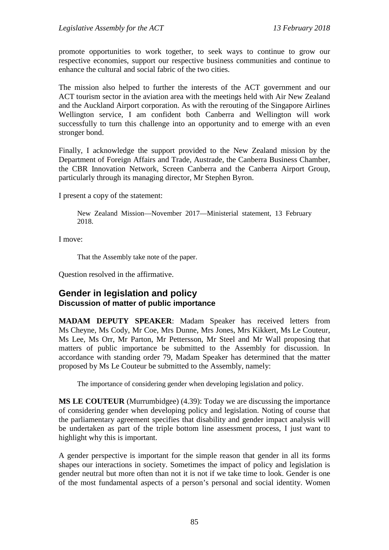promote opportunities to work together, to seek ways to continue to grow our respective economies, support our respective business communities and continue to enhance the cultural and social fabric of the two cities.

The mission also helped to further the interests of the ACT government and our ACT tourism sector in the aviation area with the meetings held with Air New Zealand and the Auckland Airport corporation. As with the rerouting of the Singapore Airlines Wellington service, I am confident both Canberra and Wellington will work successfully to turn this challenge into an opportunity and to emerge with an even stronger bond.

Finally, I acknowledge the support provided to the New Zealand mission by the Department of Foreign Affairs and Trade, Austrade, the Canberra Business Chamber, the CBR Innovation Network, Screen Canberra and the Canberra Airport Group, particularly through its managing director, Mr Stephen Byron.

I present a copy of the statement:

New Zealand Mission—November 2017—Ministerial statement, 13 February 2018.

I move:

That the Assembly take note of the paper.

Question resolved in the affirmative.

## **Gender in legislation and policy Discussion of matter of public importance**

**MADAM DEPUTY SPEAKER**: Madam Speaker has received letters from Ms Cheyne, Ms Cody, Mr Coe, Mrs Dunne, Mrs Jones, Mrs Kikkert, Ms Le Couteur, Ms Lee, Ms Orr, Mr Parton, Mr Pettersson, Mr Steel and Mr Wall proposing that matters of public importance be submitted to the Assembly for discussion. In accordance with standing order 79, Madam Speaker has determined that the matter proposed by Ms Le Couteur be submitted to the Assembly, namely:

The importance of considering gender when developing legislation and policy.

**MS LE COUTEUR** (Murrumbidgee) (4.39): Today we are discussing the importance of considering gender when developing policy and legislation. Noting of course that the parliamentary agreement specifies that disability and gender impact analysis will be undertaken as part of the triple bottom line assessment process, I just want to highlight why this is important.

A gender perspective is important for the simple reason that gender in all its forms shapes our interactions in society. Sometimes the impact of policy and legislation is gender neutral but more often than not it is not if we take time to look. Gender is one of the most fundamental aspects of a person's personal and social identity. Women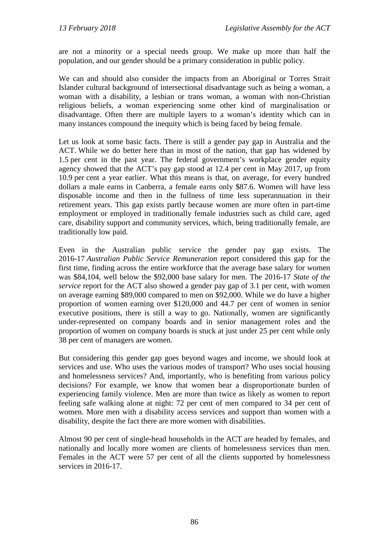are not a minority or a special needs group. We make up more than half the population, and our gender should be a primary consideration in public policy.

We can and should also consider the impacts from an Aboriginal or Torres Strait Islander cultural background of intersectional disadvantage such as being a woman, a woman with a disability, a lesbian or trans woman, a woman with non-Christian religious beliefs, a woman experiencing some other kind of marginalisation or disadvantage. Often there are multiple layers to a woman's identity which can in many instances compound the inequity which is being faced by being female.

Let us look at some basic facts. There is still a gender pay gap in Australia and the ACT. While we do better here than in most of the nation, that gap has widened by 1.5 per cent in the past year. The federal government's workplace gender equity agency showed that the ACT's pay gap stood at 12.4 per cent in May 2017, up from 10.9 per cent a year earlier. What this means is that, on average, for every hundred dollars a male earns in Canberra, a female earns only \$87.6. Women will have less disposable income and then in the fullness of time less superannuation in their retirement years. This gap exists partly because women are more often in part-time employment or employed in traditionally female industries such as child care, aged care, disability support and community services, which, being traditionally female, are traditionally low paid.

Even in the Australian public service the gender pay gap exists. The 2016-17 *Australian Public Service Remuneration* report considered this gap for the first time, finding across the entire workforce that the average base salary for women was \$84,104, well below the \$92,000 base salary for men. The 2016-17 *State of the service* report for the ACT also showed a gender pay gap of 3.1 per cent, with women on average earning \$89,000 compared to men on \$92,000. While we do have a higher proportion of women earning over \$120,000 and 44.7 per cent of women in senior executive positions, there is still a way to go. Nationally, women are significantly under-represented on company boards and in senior management roles and the proportion of women on company boards is stuck at just under 25 per cent while only 38 per cent of managers are women.

But considering this gender gap goes beyond wages and income, we should look at services and use. Who uses the various modes of transport? Who uses social housing and homelessness services? And, importantly, who is benefiting from various policy decisions? For example, we know that women bear a disproportionate burden of experiencing family violence. Men are more than twice as likely as women to report feeling safe walking alone at night: 72 per cent of men compared to 34 per cent of women. More men with a disability access services and support than women with a disability, despite the fact there are more women with disabilities.

Almost 90 per cent of single-head households in the ACT are headed by females, and nationally and locally more women are clients of homelessness services than men. Females in the ACT were 57 per cent of all the clients supported by homelessness services in 2016-17.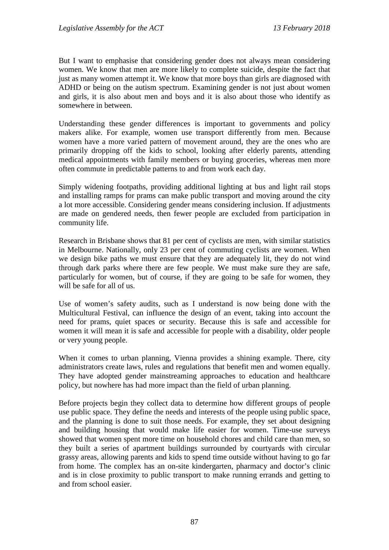But I want to emphasise that considering gender does not always mean considering women. We know that men are more likely to complete suicide, despite the fact that just as many women attempt it. We know that more boys than girls are diagnosed with ADHD or being on the autism spectrum. Examining gender is not just about women and girls, it is also about men and boys and it is also about those who identify as somewhere in between.

Understanding these gender differences is important to governments and policy makers alike. For example, women use transport differently from men. Because women have a more varied pattern of movement around, they are the ones who are primarily dropping off the kids to school, looking after elderly parents, attending medical appointments with family members or buying groceries, whereas men more often commute in predictable patterns to and from work each day.

Simply widening footpaths, providing additional lighting at bus and light rail stops and installing ramps for prams can make public transport and moving around the city a lot more accessible. Considering gender means considering inclusion. If adjustments are made on gendered needs, then fewer people are excluded from participation in community life.

Research in Brisbane shows that 81 per cent of cyclists are men, with similar statistics in Melbourne. Nationally, only 23 per cent of commuting cyclists are women. When we design bike paths we must ensure that they are adequately lit, they do not wind through dark parks where there are few people. We must make sure they are safe, particularly for women, but of course, if they are going to be safe for women, they will be safe for all of us.

Use of women's safety audits, such as I understand is now being done with the Multicultural Festival, can influence the design of an event, taking into account the need for prams, quiet spaces or security. Because this is safe and accessible for women it will mean it is safe and accessible for people with a disability, older people or very young people.

When it comes to urban planning, Vienna provides a shining example. There, city administrators create laws, rules and regulations that benefit men and women equally. They have adopted gender mainstreaming approaches to education and healthcare policy, but nowhere has had more impact than the field of urban planning.

Before projects begin they collect data to determine how different groups of people use public space. They define the needs and interests of the people using public space, and the planning is done to suit those needs. For example, they set about designing and building housing that would make life easier for women. Time-use surveys showed that women spent more time on household chores and child care than men, so they built a series of apartment buildings surrounded by courtyards with circular grassy areas, allowing parents and kids to spend time outside without having to go far from home. The complex has an on-site kindergarten, pharmacy and doctor's clinic and is in close proximity to public transport to make running errands and getting to and from school easier.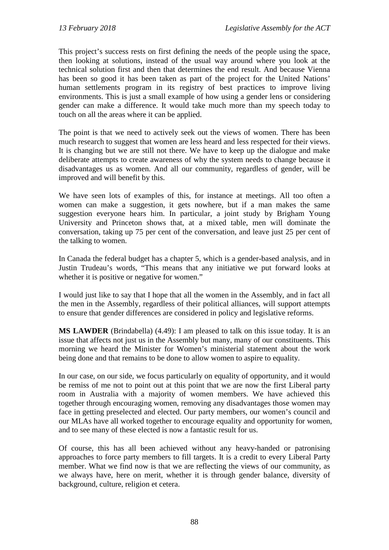This project's success rests on first defining the needs of the people using the space, then looking at solutions, instead of the usual way around where you look at the technical solution first and then that determines the end result. And because Vienna has been so good it has been taken as part of the project for the United Nations' human settlements program in its registry of best practices to improve living environments. This is just a small example of how using a gender lens or considering gender can make a difference. It would take much more than my speech today to touch on all the areas where it can be applied.

The point is that we need to actively seek out the views of women. There has been much research to suggest that women are less heard and less respected for their views. It is changing but we are still not there. We have to keep up the dialogue and make deliberate attempts to create awareness of why the system needs to change because it disadvantages us as women. And all our community, regardless of gender, will be improved and will benefit by this.

We have seen lots of examples of this, for instance at meetings. All too often a women can make a suggestion, it gets nowhere, but if a man makes the same suggestion everyone hears him. In particular, a joint study by Brigham Young University and Princeton shows that, at a mixed table, men will dominate the conversation, taking up 75 per cent of the conversation, and leave just 25 per cent of the talking to women.

In Canada the federal budget has a chapter 5, which is a gender-based analysis, and in Justin Trudeau's words, "This means that any initiative we put forward looks at whether it is positive or negative for women."

I would just like to say that I hope that all the women in the Assembly, and in fact all the men in the Assembly, regardless of their political alliances, will support attempts to ensure that gender differences are considered in policy and legislative reforms.

**MS LAWDER** (Brindabella) (4.49): I am pleased to talk on this issue today. It is an issue that affects not just us in the Assembly but many, many of our constituents. This morning we heard the Minister for Women's ministerial statement about the work being done and that remains to be done to allow women to aspire to equality.

In our case, on our side, we focus particularly on equality of opportunity, and it would be remiss of me not to point out at this point that we are now the first Liberal party room in Australia with a majority of women members. We have achieved this together through encouraging women, removing any disadvantages those women may face in getting preselected and elected. Our party members, our women's council and our MLAs have all worked together to encourage equality and opportunity for women, and to see many of these elected is now a fantastic result for us.

Of course, this has all been achieved without any heavy-handed or patronising approaches to force party members to fill targets. It is a credit to every Liberal Party member. What we find now is that we are reflecting the views of our community, as we always have, here on merit, whether it is through gender balance, diversity of background, culture, religion et cetera.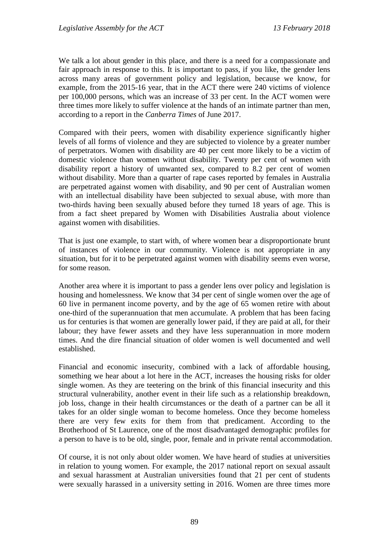We talk a lot about gender in this place, and there is a need for a compassionate and fair approach in response to this. It is important to pass, if you like, the gender lens across many areas of government policy and legislation, because we know, for example, from the 2015-16 year, that in the ACT there were 240 victims of violence per 100,000 persons, which was an increase of 33 per cent. In the ACT women were three times more likely to suffer violence at the hands of an intimate partner than men, according to a report in the *Canberra Times* of June 2017.

Compared with their peers, women with disability experience significantly higher levels of all forms of violence and they are subjected to violence by a greater number of perpetrators. Women with disability are 40 per cent more likely to be a victim of domestic violence than women without disability. Twenty per cent of women with disability report a history of unwanted sex, compared to 8.2 per cent of women without disability. More than a quarter of rape cases reported by females in Australia are perpetrated against women with disability, and 90 per cent of Australian women with an intellectual disability have been subjected to sexual abuse, with more than two-thirds having been sexually abused before they turned 18 years of age. This is from a fact sheet prepared by Women with Disabilities Australia about violence against women with disabilities.

That is just one example, to start with, of where women bear a disproportionate brunt of instances of violence in our community. Violence is not appropriate in any situation, but for it to be perpetrated against women with disability seems even worse, for some reason.

Another area where it is important to pass a gender lens over policy and legislation is housing and homelessness. We know that 34 per cent of single women over the age of 60 live in permanent income poverty, and by the age of 65 women retire with about one-third of the superannuation that men accumulate. A problem that has been facing us for centuries is that women are generally lower paid, if they are paid at all, for their labour; they have fewer assets and they have less superannuation in more modern times. And the dire financial situation of older women is well documented and well established.

Financial and economic insecurity, combined with a lack of affordable housing, something we hear about a lot here in the ACT, increases the housing risks for older single women. As they are teetering on the brink of this financial insecurity and this structural vulnerability, another event in their life such as a relationship breakdown, job loss, change in their health circumstances or the death of a partner can be all it takes for an older single woman to become homeless. Once they become homeless there are very few exits for them from that predicament. According to the Brotherhood of St Laurence, one of the most disadvantaged demographic profiles for a person to have is to be old, single, poor, female and in private rental accommodation.

Of course, it is not only about older women. We have heard of studies at universities in relation to young women. For example, the 2017 national report on sexual assault and sexual harassment at Australian universities found that 21 per cent of students were sexually harassed in a university setting in 2016. Women are three times more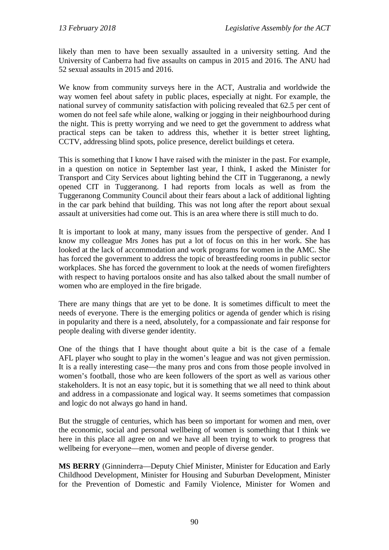likely than men to have been sexually assaulted in a university setting. And the University of Canberra had five assaults on campus in 2015 and 2016. The ANU had 52 sexual assaults in 2015 and 2016.

We know from community surveys here in the ACT, Australia and worldwide the way women feel about safety in public places, especially at night. For example, the national survey of community satisfaction with policing revealed that 62.5 per cent of women do not feel safe while alone, walking or jogging in their neighbourhood during the night. This is pretty worrying and we need to get the government to address what practical steps can be taken to address this, whether it is better street lighting, CCTV, addressing blind spots, police presence, derelict buildings et cetera.

This is something that I know I have raised with the minister in the past. For example, in a question on notice in September last year, I think, I asked the Minister for Transport and City Services about lighting behind the CIT in Tuggeranong, a newly opened CIT in Tuggeranong. I had reports from locals as well as from the Tuggeranong Community Council about their fears about a lack of additional lighting in the car park behind that building. This was not long after the report about sexual assault at universities had come out. This is an area where there is still much to do.

It is important to look at many, many issues from the perspective of gender. And I know my colleague Mrs Jones has put a lot of focus on this in her work. She has looked at the lack of accommodation and work programs for women in the AMC. She has forced the government to address the topic of breastfeeding rooms in public sector workplaces. She has forced the government to look at the needs of women firefighters with respect to having portaloos onsite and has also talked about the small number of women who are employed in the fire brigade.

There are many things that are yet to be done. It is sometimes difficult to meet the needs of everyone. There is the emerging politics or agenda of gender which is rising in popularity and there is a need, absolutely, for a compassionate and fair response for people dealing with diverse gender identity.

One of the things that I have thought about quite a bit is the case of a female AFL player who sought to play in the women's league and was not given permission. It is a really interesting case—the many pros and cons from those people involved in women's football, those who are keen followers of the sport as well as various other stakeholders. It is not an easy topic, but it is something that we all need to think about and address in a compassionate and logical way. It seems sometimes that compassion and logic do not always go hand in hand.

But the struggle of centuries, which has been so important for women and men, over the economic, social and personal wellbeing of women is something that I think we here in this place all agree on and we have all been trying to work to progress that wellbeing for everyone—men, women and people of diverse gender.

**MS BERRY** (Ginninderra—Deputy Chief Minister, Minister for Education and Early Childhood Development, Minister for Housing and Suburban Development, Minister for the Prevention of Domestic and Family Violence, Minister for Women and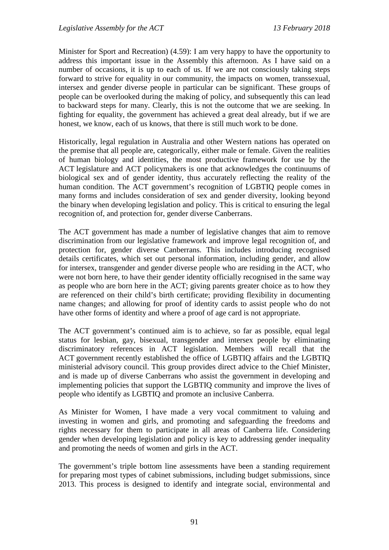Minister for Sport and Recreation) (4.59): I am very happy to have the opportunity to address this important issue in the Assembly this afternoon. As I have said on a number of occasions, it is up to each of us. If we are not consciously taking steps forward to strive for equality in our community, the impacts on women, transsexual, intersex and gender diverse people in particular can be significant. These groups of people can be overlooked during the making of policy, and subsequently this can lead to backward steps for many. Clearly, this is not the outcome that we are seeking. In fighting for equality, the government has achieved a great deal already, but if we are honest, we know, each of us knows, that there is still much work to be done.

Historically, legal regulation in Australia and other Western nations has operated on the premise that all people are, categorically, either male or female. Given the realities of human biology and identities, the most productive framework for use by the ACT legislature and ACT policymakers is one that acknowledges the continuums of biological sex and of gender identity, thus accurately reflecting the reality of the human condition. The ACT government's recognition of LGBTIQ people comes in many forms and includes consideration of sex and gender diversity, looking beyond the binary when developing legislation and policy. This is critical to ensuring the legal recognition of, and protection for, gender diverse Canberrans.

The ACT government has made a number of legislative changes that aim to remove discrimination from our legislative framework and improve legal recognition of, and protection for, gender diverse Canberrans. This includes introducing recognised details certificates, which set out personal information, including gender, and allow for intersex, transgender and gender diverse people who are residing in the ACT, who were not born here, to have their gender identity officially recognised in the same way as people who are born here in the ACT; giving parents greater choice as to how they are referenced on their child's birth certificate; providing flexibility in documenting name changes; and allowing for proof of identity cards to assist people who do not have other forms of identity and where a proof of age card is not appropriate.

The ACT government's continued aim is to achieve, so far as possible, equal legal status for lesbian, gay, bisexual, transgender and intersex people by eliminating discriminatory references in ACT legislation. Members will recall that the ACT government recently established the office of LGBTIQ affairs and the LGBTIQ ministerial advisory council. This group provides direct advice to the Chief Minister, and is made up of diverse Canberrans who assist the government in developing and implementing policies that support the LGBTIQ community and improve the lives of people who identify as LGBTIQ and promote an inclusive Canberra.

As Minister for Women, I have made a very vocal commitment to valuing and investing in women and girls, and promoting and safeguarding the freedoms and rights necessary for them to participate in all areas of Canberra life. Considering gender when developing legislation and policy is key to addressing gender inequality and promoting the needs of women and girls in the ACT.

The government's triple bottom line assessments have been a standing requirement for preparing most types of cabinet submissions, including budget submissions, since 2013. This process is designed to identify and integrate social, environmental and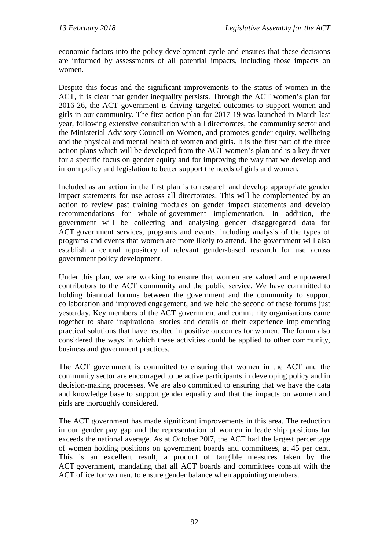economic factors into the policy development cycle and ensures that these decisions are informed by assessments of all potential impacts, including those impacts on women.

Despite this focus and the significant improvements to the status of women in the ACT, it is clear that gender inequality persists. Through the ACT women's plan for 2016-26, the ACT government is driving targeted outcomes to support women and girls in our community. The first action plan for 2017-19 was launched in March last year, following extensive consultation with all directorates, the community sector and the Ministerial Advisory Council on Women, and promotes gender equity, wellbeing and the physical and mental health of women and girls. It is the first part of the three action plans which will be developed from the ACT women's plan and is a key driver for a specific focus on gender equity and for improving the way that we develop and inform policy and legislation to better support the needs of girls and women.

Included as an action in the first plan is to research and develop appropriate gender impact statements for use across all directorates. This will be complemented by an action to review past training modules on gender impact statements and develop recommendations for whole-of-government implementation. In addition, the government will be collecting and analysing gender disaggregated data for ACT government services, programs and events, including analysis of the types of programs and events that women are more likely to attend. The government will also establish a central repository of relevant gender-based research for use across government policy development.

Under this plan, we are working to ensure that women are valued and empowered contributors to the ACT community and the public service. We have committed to holding biannual forums between the government and the community to support collaboration and improved engagement, and we held the second of these forums just yesterday. Key members of the ACT government and community organisations came together to share inspirational stories and details of their experience implementing practical solutions that have resulted in positive outcomes for women. The forum also considered the ways in which these activities could be applied to other community, business and government practices.

The ACT government is committed to ensuring that women in the ACT and the community sector are encouraged to be active participants in developing policy and in decision-making processes. We are also committed to ensuring that we have the data and knowledge base to support gender equality and that the impacts on women and girls are thoroughly considered.

The ACT government has made significant improvements in this area. The reduction in our gender pay gap and the representation of women in leadership positions far exceeds the national average. As at October 20l7, the ACT had the largest percentage of women holding positions on government boards and committees, at 45 per cent. This is an excellent result, a product of tangible measures taken by the ACT government, mandating that all ACT boards and committees consult with the ACT office for women, to ensure gender balance when appointing members.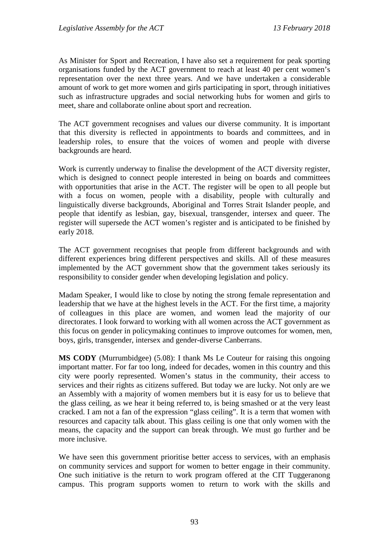As Minister for Sport and Recreation, I have also set a requirement for peak sporting organisations funded by the ACT government to reach at least 40 per cent women's representation over the next three years. And we have undertaken a considerable amount of work to get more women and girls participating in sport, through initiatives such as infrastructure upgrades and social networking hubs for women and girls to meet, share and collaborate online about sport and recreation.

The ACT government recognises and values our diverse community. It is important that this diversity is reflected in appointments to boards and committees, and in leadership roles, to ensure that the voices of women and people with diverse backgrounds are heard.

Work is currently underway to finalise the development of the ACT diversity register, which is designed to connect people interested in being on boards and committees with opportunities that arise in the ACT. The register will be open to all people but with a focus on women, people with a disability, people with culturally and linguistically diverse backgrounds, Aboriginal and Torres Strait Islander people, and people that identify as lesbian, gay, bisexual, transgender, intersex and queer. The register will supersede the ACT women's register and is anticipated to be finished by early 2018.

The ACT government recognises that people from different backgrounds and with different experiences bring different perspectives and skills. All of these measures implemented by the ACT government show that the government takes seriously its responsibility to consider gender when developing legislation and policy.

Madam Speaker, I would like to close by noting the strong female representation and leadership that we have at the highest levels in the ACT. For the first time, a majority of colleagues in this place are women, and women lead the majority of our directorates. I look forward to working with all women across the ACT government as this focus on gender in policymaking continues to improve outcomes for women, men, boys, girls, transgender, intersex and gender-diverse Canberrans.

**MS CODY** (Murrumbidgee) (5.08): I thank Ms Le Couteur for raising this ongoing important matter. For far too long, indeed for decades, women in this country and this city were poorly represented. Women's status in the community, their access to services and their rights as citizens suffered. But today we are lucky. Not only are we an Assembly with a majority of women members but it is easy for us to believe that the glass ceiling, as we hear it being referred to, is being smashed or at the very least cracked. I am not a fan of the expression "glass ceiling". It is a term that women with resources and capacity talk about. This glass ceiling is one that only women with the means, the capacity and the support can break through. We must go further and be more inclusive.

We have seen this government prioritise better access to services, with an emphasis on community services and support for women to better engage in their community. One such initiative is the return to work program offered at the CIT Tuggeranong campus. This program supports women to return to work with the skills and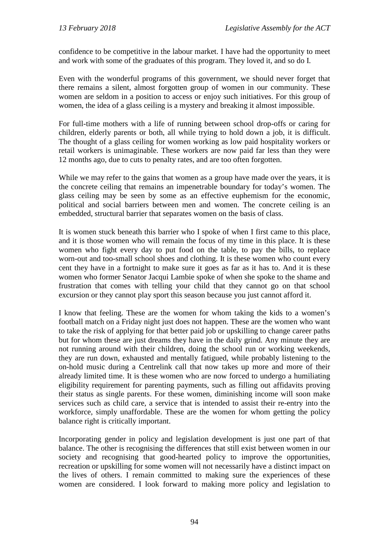confidence to be competitive in the labour market. I have had the opportunity to meet and work with some of the graduates of this program. They loved it, and so do I.

Even with the wonderful programs of this government, we should never forget that there remains a silent, almost forgotten group of women in our community. These women are seldom in a position to access or enjoy such initiatives. For this group of women, the idea of a glass ceiling is a mystery and breaking it almost impossible.

For full-time mothers with a life of running between school drop-offs or caring for children, elderly parents or both, all while trying to hold down a job, it is difficult. The thought of a glass ceiling for women working as low paid hospitality workers or retail workers is unimaginable. These workers are now paid far less than they were 12 months ago, due to cuts to penalty rates, and are too often forgotten.

While we may refer to the gains that women as a group have made over the years, it is the concrete ceiling that remains an impenetrable boundary for today's women. The glass ceiling may be seen by some as an effective euphemism for the economic, political and social barriers between men and women. The concrete ceiling is an embedded, structural barrier that separates women on the basis of class.

It is women stuck beneath this barrier who I spoke of when I first came to this place, and it is those women who will remain the focus of my time in this place. It is these women who fight every day to put food on the table, to pay the bills, to replace worn-out and too-small school shoes and clothing. It is these women who count every cent they have in a fortnight to make sure it goes as far as it has to. And it is these women who former Senator Jacqui Lambie spoke of when she spoke to the shame and frustration that comes with telling your child that they cannot go on that school excursion or they cannot play sport this season because you just cannot afford it.

I know that feeling. These are the women for whom taking the kids to a women's football match on a Friday night just does not happen. These are the women who want to take the risk of applying for that better paid job or upskilling to change career paths but for whom these are just dreams they have in the daily grind. Any minute they are not running around with their children, doing the school run or working weekends, they are run down, exhausted and mentally fatigued, while probably listening to the on-hold music during a Centrelink call that now takes up more and more of their already limited time. It is these women who are now forced to undergo a humiliating eligibility requirement for parenting payments, such as filling out affidavits proving their status as single parents. For these women, diminishing income will soon make services such as child care, a service that is intended to assist their re-entry into the workforce, simply unaffordable. These are the women for whom getting the policy balance right is critically important.

Incorporating gender in policy and legislation development is just one part of that balance. The other is recognising the differences that still exist between women in our society and recognising that good-hearted policy to improve the opportunities, recreation or upskilling for some women will not necessarily have a distinct impact on the lives of others. I remain committed to making sure the experiences of these women are considered. I look forward to making more policy and legislation to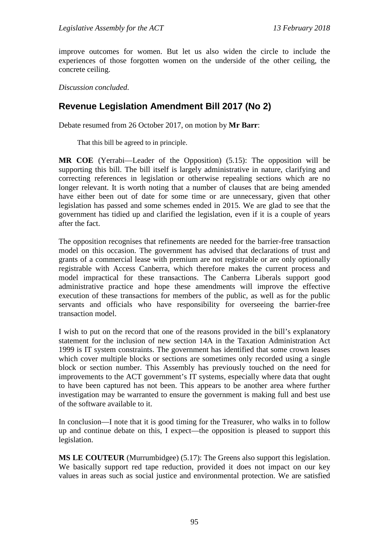improve outcomes for women. But let us also widen the circle to include the experiences of those forgotten women on the underside of the other ceiling, the concrete ceiling.

*Discussion concluded*.

# **Revenue Legislation Amendment Bill 2017 (No 2)**

Debate resumed from 26 October 2017, on motion by **Mr Barr**:

That this bill be agreed to in principle.

**MR COE** (Yerrabi—Leader of the Opposition) (5.15): The opposition will be supporting this bill. The bill itself is largely administrative in nature, clarifying and correcting references in legislation or otherwise repealing sections which are no longer relevant. It is worth noting that a number of clauses that are being amended have either been out of date for some time or are unnecessary, given that other legislation has passed and some schemes ended in 2015. We are glad to see that the government has tidied up and clarified the legislation, even if it is a couple of years after the fact.

The opposition recognises that refinements are needed for the barrier-free transaction model on this occasion. The government has advised that declarations of trust and grants of a commercial lease with premium are not registrable or are only optionally registrable with Access Canberra, which therefore makes the current process and model impractical for these transactions. The Canberra Liberals support good administrative practice and hope these amendments will improve the effective execution of these transactions for members of the public, as well as for the public servants and officials who have responsibility for overseeing the barrier-free transaction model.

I wish to put on the record that one of the reasons provided in the bill's explanatory statement for the inclusion of new section 14A in the Taxation Administration Act 1999 is IT system constraints. The government has identified that some crown leases which cover multiple blocks or sections are sometimes only recorded using a single block or section number. This Assembly has previously touched on the need for improvements to the ACT government's IT systems, especially where data that ought to have been captured has not been. This appears to be another area where further investigation may be warranted to ensure the government is making full and best use of the software available to it.

In conclusion—I note that it is good timing for the Treasurer, who walks in to follow up and continue debate on this, I expect—the opposition is pleased to support this legislation.

**MS LE COUTEUR** (Murrumbidgee) (5.17): The Greens also support this legislation. We basically support red tape reduction, provided it does not impact on our key values in areas such as social justice and environmental protection. We are satisfied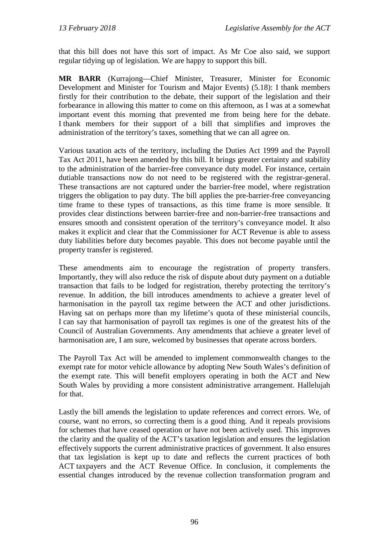that this bill does not have this sort of impact. As Mr Coe also said, we support regular tidying up of legislation. We are happy to support this bill.

**MR BARR** (Kurrajong—Chief Minister, Treasurer, Minister for Economic Development and Minister for Tourism and Major Events) (5.18): I thank members firstly for their contribution to the debate, their support of the legislation and their forbearance in allowing this matter to come on this afternoon, as I was at a somewhat important event this morning that prevented me from being here for the debate. I thank members for their support of a bill that simplifies and improves the administration of the territory's taxes, something that we can all agree on.

Various taxation acts of the territory, including the Duties Act 1999 and the Payroll Tax Act 2011, have been amended by this bill. It brings greater certainty and stability to the administration of the barrier-free conveyance duty model. For instance, certain dutiable transactions now do not need to be registered with the registrar-general. These transactions are not captured under the barrier-free model, where registration triggers the obligation to pay duty. The bill applies the pre-barrier-free conveyancing time frame to these types of transactions, as this time frame is more sensible. It provides clear distinctions between barrier-free and non-barrier-free transactions and ensures smooth and consistent operation of the territory's conveyance model. It also makes it explicit and clear that the Commissioner for ACT Revenue is able to assess duty liabilities before duty becomes payable. This does not become payable until the property transfer is registered.

These amendments aim to encourage the registration of property transfers. Importantly, they will also reduce the risk of dispute about duty payment on a dutiable transaction that fails to be lodged for registration, thereby protecting the territory's revenue. In addition, the bill introduces amendments to achieve a greater level of harmonisation in the payroll tax regime between the ACT and other jurisdictions. Having sat on perhaps more than my lifetime's quota of these ministerial councils, I can say that harmonisation of payroll tax regimes is one of the greatest hits of the Council of Australian Governments. Any amendments that achieve a greater level of harmonisation are, I am sure, welcomed by businesses that operate across borders.

The Payroll Tax Act will be amended to implement commonwealth changes to the exempt rate for motor vehicle allowance by adopting New South Wales's definition of the exempt rate. This will benefit employers operating in both the ACT and New South Wales by providing a more consistent administrative arrangement. Hallelujah for that.

Lastly the bill amends the legislation to update references and correct errors. We, of course, want no errors, so correcting them is a good thing. And it repeals provisions for schemes that have ceased operation or have not been actively used. This improves the clarity and the quality of the ACT's taxation legislation and ensures the legislation effectively supports the current administrative practices of government. It also ensures that tax legislation is kept up to date and reflects the current practices of both ACT taxpayers and the ACT Revenue Office. In conclusion, it complements the essential changes introduced by the revenue collection transformation program and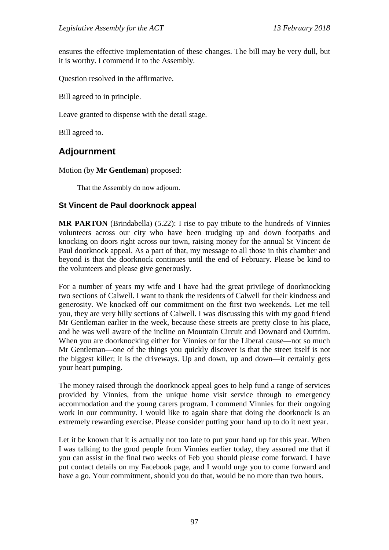ensures the effective implementation of these changes. The bill may be very dull, but it is worthy. I commend it to the Assembly.

Question resolved in the affirmative.

Bill agreed to in principle.

Leave granted to dispense with the detail stage.

Bill agreed to.

# **Adjournment**

Motion (by **Mr Gentleman**) proposed:

That the Assembly do now adjourn.

### **St Vincent de Paul doorknock appeal**

**MR PARTON** (Brindabella) (5.22): I rise to pay tribute to the hundreds of Vinnies volunteers across our city who have been trudging up and down footpaths and knocking on doors right across our town, raising money for the annual St Vincent de Paul doorknock appeal. As a part of that, my message to all those in this chamber and beyond is that the doorknock continues until the end of February. Please be kind to the volunteers and please give generously.

For a number of years my wife and I have had the great privilege of doorknocking two sections of Calwell. I want to thank the residents of Calwell for their kindness and generosity. We knocked off our commitment on the first two weekends. Let me tell you, they are very hilly sections of Calwell. I was discussing this with my good friend Mr Gentleman earlier in the week, because these streets are pretty close to his place, and he was well aware of the incline on Mountain Circuit and Downard and Outtrim. When you are doorknocking either for Vinnies or for the Liberal cause—not so much Mr Gentleman—one of the things you quickly discover is that the street itself is not the biggest killer; it is the driveways. Up and down, up and down—it certainly gets your heart pumping.

The money raised through the doorknock appeal goes to help fund a range of services provided by Vinnies, from the unique home visit service through to emergency accommodation and the young carers program. I commend Vinnies for their ongoing work in our community. I would like to again share that doing the doorknock is an extremely rewarding exercise. Please consider putting your hand up to do it next year.

Let it be known that it is actually not too late to put your hand up for this year. When I was talking to the good people from Vinnies earlier today, they assured me that if you can assist in the final two weeks of Feb you should please come forward. I have put contact details on my Facebook page, and I would urge you to come forward and have a go. Your commitment, should you do that, would be no more than two hours.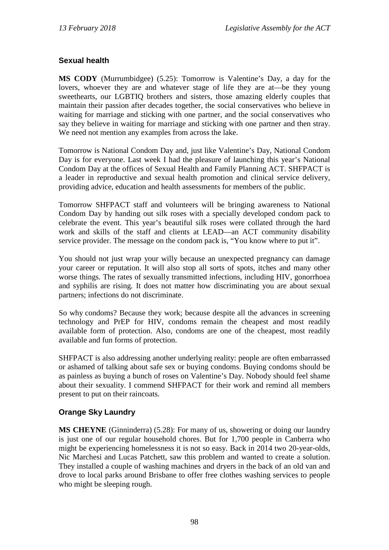## **Sexual health**

**MS CODY** (Murrumbidgee) (5.25): Tomorrow is Valentine's Day, a day for the lovers, whoever they are and whatever stage of life they are at—be they young sweethearts, our LGBTIQ brothers and sisters, those amazing elderly couples that maintain their passion after decades together, the social conservatives who believe in waiting for marriage and sticking with one partner, and the social conservatives who say they believe in waiting for marriage and sticking with one partner and then stray. We need not mention any examples from across the lake.

Tomorrow is National Condom Day and, just like Valentine's Day, National Condom Day is for everyone. Last week I had the pleasure of launching this year's National Condom Day at the offices of Sexual Health and Family Planning ACT. SHFPACT is a leader in reproductive and sexual health promotion and clinical service delivery, providing advice, education and health assessments for members of the public.

Tomorrow SHFPACT staff and volunteers will be bringing awareness to National Condom Day by handing out silk roses with a specially developed condom pack to celebrate the event. This year's beautiful silk roses were collated through the hard work and skills of the staff and clients at LEAD—an ACT community disability service provider. The message on the condom pack is, "You know where to put it".

You should not just wrap your willy because an unexpected pregnancy can damage your career or reputation. It will also stop all sorts of spots, itches and many other worse things. The rates of sexually transmitted infections, including HIV, gonorrhoea and syphilis are rising. It does not matter how discriminating you are about sexual partners; infections do not discriminate.

So why condoms? Because they work; because despite all the advances in screening technology and PrEP for HIV, condoms remain the cheapest and most readily available form of protection. Also, condoms are one of the cheapest, most readily available and fun forms of protection.

SHFPACT is also addressing another underlying reality: people are often embarrassed or ashamed of talking about safe sex or buying condoms. Buying condoms should be as painless as buying a bunch of roses on Valentine's Day. Nobody should feel shame about their sexuality. I commend SHFPACT for their work and remind all members present to put on their raincoats.

## **Orange Sky Laundry**

**MS CHEYNE** (Ginninderra) (5.28): For many of us, showering or doing our laundry is just one of our regular household chores. But for 1,700 people in Canberra who might be experiencing homelessness it is not so easy. Back in 2014 two 20-year-olds, Nic Marchesi and Lucas Patchett, saw this problem and wanted to create a solution. They installed a couple of washing machines and dryers in the back of an old van and drove to local parks around Brisbane to offer free clothes washing services to people who might be sleeping rough.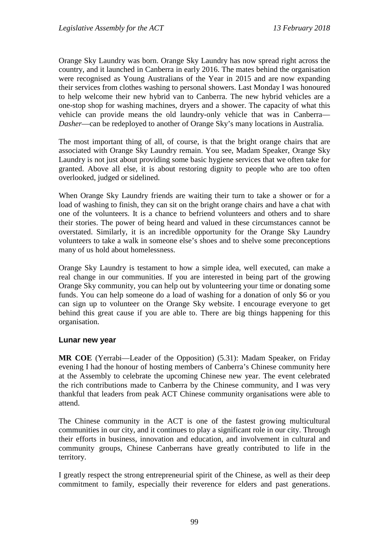Orange Sky Laundry was born. Orange Sky Laundry has now spread right across the country, and it launched in Canberra in early 2016. The mates behind the organisation were recognised as Young Australians of the Year in 2015 and are now expanding their services from clothes washing to personal showers. Last Monday I was honoured to help welcome their new hybrid van to Canberra. The new hybrid vehicles are a one-stop shop for washing machines, dryers and a shower. The capacity of what this vehicle can provide means the old laundry-only vehicle that was in Canberra— *Dasher*—can be redeployed to another of Orange Sky's many locations in Australia.

The most important thing of all, of course, is that the bright orange chairs that are associated with Orange Sky Laundry remain. You see, Madam Speaker, Orange Sky Laundry is not just about providing some basic hygiene services that we often take for granted. Above all else, it is about restoring dignity to people who are too often overlooked, judged or sidelined.

When Orange Sky Laundry friends are waiting their turn to take a shower or for a load of washing to finish, they can sit on the bright orange chairs and have a chat with one of the volunteers. It is a chance to befriend volunteers and others and to share their stories. The power of being heard and valued in these circumstances cannot be overstated. Similarly, it is an incredible opportunity for the Orange Sky Laundry volunteers to take a walk in someone else's shoes and to shelve some preconceptions many of us hold about homelessness.

Orange Sky Laundry is testament to how a simple idea, well executed, can make a real change in our communities. If you are interested in being part of the growing Orange Sky community, you can help out by volunteering your time or donating some funds. You can help someone do a load of washing for a donation of only \$6 or you can sign up to volunteer on the Orange Sky website. I encourage everyone to get behind this great cause if you are able to. There are big things happening for this organisation.

#### **Lunar new year**

**MR COE** (Yerrabi—Leader of the Opposition) (5.31): Madam Speaker, on Friday evening I had the honour of hosting members of Canberra's Chinese community here at the Assembly to celebrate the upcoming Chinese new year. The event celebrated the rich contributions made to Canberra by the Chinese community, and I was very thankful that leaders from peak ACT Chinese community organisations were able to attend.

The Chinese community in the ACT is one of the fastest growing multicultural communities in our city, and it continues to play a significant role in our city. Through their efforts in business, innovation and education, and involvement in cultural and community groups, Chinese Canberrans have greatly contributed to life in the territory.

I greatly respect the strong entrepreneurial spirit of the Chinese, as well as their deep commitment to family, especially their reverence for elders and past generations.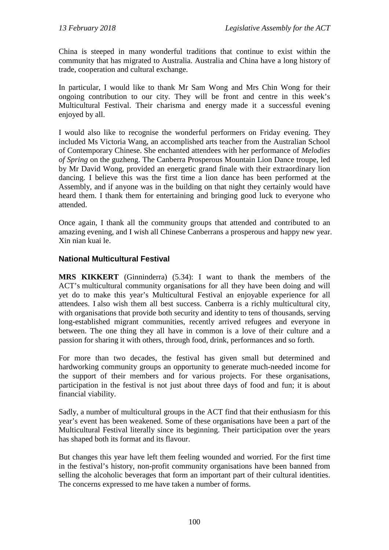China is steeped in many wonderful traditions that continue to exist within the community that has migrated to Australia. Australia and China have a long history of trade, cooperation and cultural exchange.

In particular, I would like to thank Mr Sam Wong and Mrs Chin Wong for their ongoing contribution to our city. They will be front and centre in this week's Multicultural Festival. Their charisma and energy made it a successful evening enjoyed by all.

I would also like to recognise the wonderful performers on Friday evening. They included Ms Victoria Wang, an accomplished arts teacher from the Australian School of Contemporary Chinese. She enchanted attendees with her performance of *Melodies of Spring* on the guzheng. The Canberra Prosperous Mountain Lion Dance troupe, led by Mr David Wong, provided an energetic grand finale with their extraordinary lion dancing. I believe this was the first time a lion dance has been performed at the Assembly, and if anyone was in the building on that night they certainly would have heard them. I thank them for entertaining and bringing good luck to everyone who attended.

Once again, I thank all the community groups that attended and contributed to an amazing evening, and I wish all Chinese Canberrans a prosperous and happy new year. Xin nian kuai le.

#### **National Multicultural Festival**

**MRS KIKKERT** (Ginninderra) (5.34): I want to thank the members of the ACT's multicultural community organisations for all they have been doing and will yet do to make this year's Multicultural Festival an enjoyable experience for all attendees. I also wish them all best success. Canberra is a richly multicultural city, with organisations that provide both security and identity to tens of thousands, serving long-established migrant communities, recently arrived refugees and everyone in between. The one thing they all have in common is a love of their culture and a passion for sharing it with others, through food, drink, performances and so forth.

For more than two decades, the festival has given small but determined and hardworking community groups an opportunity to generate much-needed income for the support of their members and for various projects. For these organisations, participation in the festival is not just about three days of food and fun; it is about financial viability.

Sadly, a number of multicultural groups in the ACT find that their enthusiasm for this year's event has been weakened. Some of these organisations have been a part of the Multicultural Festival literally since its beginning. Their participation over the years has shaped both its format and its flavour.

But changes this year have left them feeling wounded and worried. For the first time in the festival's history, non-profit community organisations have been banned from selling the alcoholic beverages that form an important part of their cultural identities. The concerns expressed to me have taken a number of forms.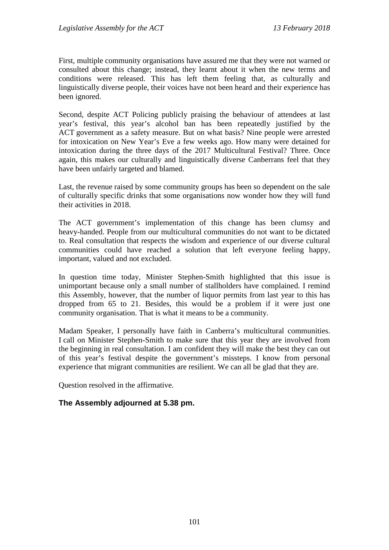First, multiple community organisations have assured me that they were not warned or consulted about this change; instead, they learnt about it when the new terms and conditions were released. This has left them feeling that, as culturally and linguistically diverse people, their voices have not been heard and their experience has been ignored.

Second, despite ACT Policing publicly praising the behaviour of attendees at last year's festival, this year's alcohol ban has been repeatedly justified by the ACT government as a safety measure. But on what basis? Nine people were arrested for intoxication on New Year's Eve a few weeks ago. How many were detained for intoxication during the three days of the 2017 Multicultural Festival? Three. Once again, this makes our culturally and linguistically diverse Canberrans feel that they have been unfairly targeted and blamed.

Last, the revenue raised by some community groups has been so dependent on the sale of culturally specific drinks that some organisations now wonder how they will fund their activities in 2018.

The ACT government's implementation of this change has been clumsy and heavy-handed. People from our multicultural communities do not want to be dictated to. Real consultation that respects the wisdom and experience of our diverse cultural communities could have reached a solution that left everyone feeling happy, important, valued and not excluded.

In question time today, Minister Stephen-Smith highlighted that this issue is unimportant because only a small number of stallholders have complained. I remind this Assembly, however, that the number of liquor permits from last year to this has dropped from 65 to 21. Besides, this would be a problem if it were just one community organisation. That is what it means to be a community.

Madam Speaker, I personally have faith in Canberra's multicultural communities. I call on Minister Stephen-Smith to make sure that this year they are involved from the beginning in real consultation. I am confident they will make the best they can out of this year's festival despite the government's missteps. I know from personal experience that migrant communities are resilient. We can all be glad that they are.

Question resolved in the affirmative.

#### **The Assembly adjourned at 5.38 pm.**